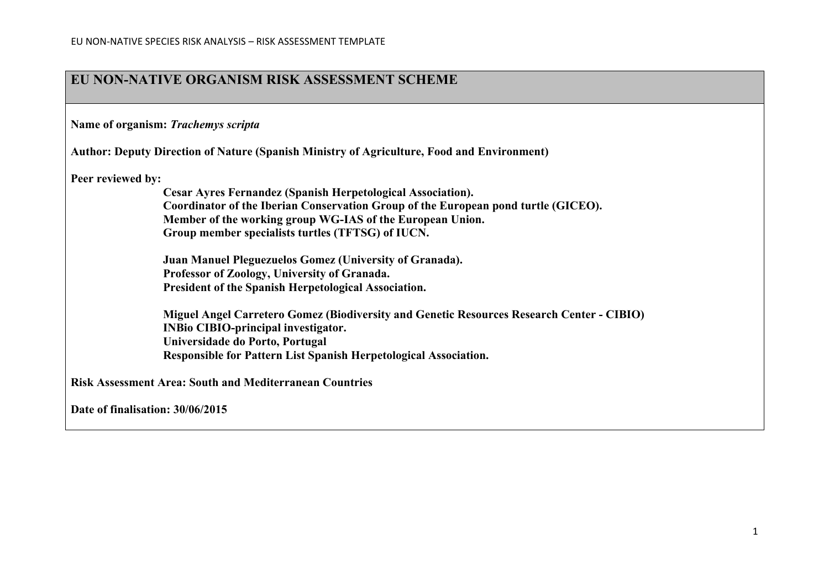## **EU NON-NATIVE ORGANISM RISK ASSESSMENT SCHEME**

**Name of organism:** *Trachemys scripta*

**Author: Deputy Direction of Nature (Spanish Ministry of Agriculture, Food and Environment)**

**Peer reviewed by:** 

**Cesar Ayres Fernandez (Spanish Herpetological Association). Coordinator of the Iberian Conservation Group of the European pond turtle (GICEO). Member of the working group WG-IAS of the European Union. Group member specialists turtles (TFTSG) of IUCN.**

**Juan Manuel Pleguezuelos Gomez (University of Granada). Professor of Zoology, University of Granada. President of the Spanish Herpetological Association.**

**Miguel Angel Carretero Gomez (Biodiversity and Genetic Resources Research Center - CIBIO) INBio CIBIO-principal investigator. Universidade do Porto, Portugal Responsible for Pattern List Spanish Herpetological Association.**

**Risk Assessment Area: South and Mediterranean Countries**

**Date of finalisation: 30/06/2015**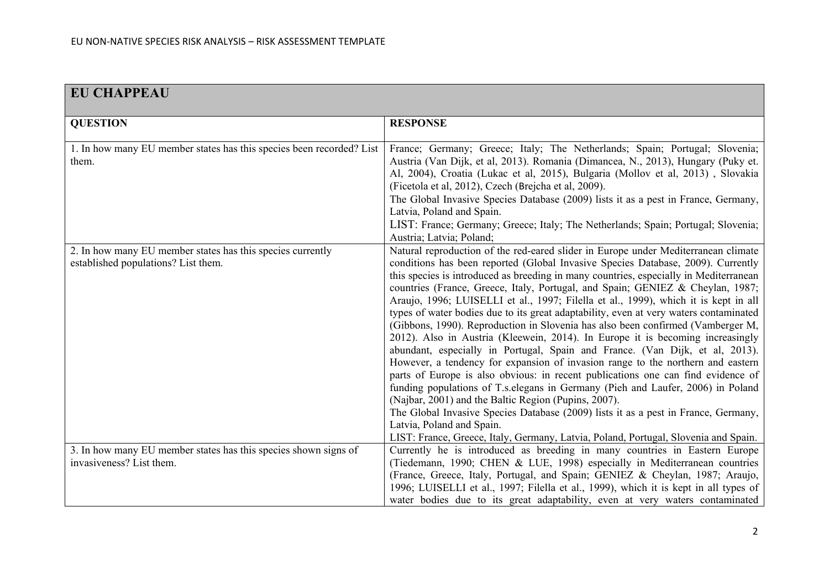| <b>EU CHAPPEAU</b>                                                                                |                                                                                                                                                                                                                                                                                                                                                                                                                                                                                                                                                                                                                                                                                                                                                                                                                                                                                                                                                                                                                                                                                                                                                                                                                                                                                                                     |
|---------------------------------------------------------------------------------------------------|---------------------------------------------------------------------------------------------------------------------------------------------------------------------------------------------------------------------------------------------------------------------------------------------------------------------------------------------------------------------------------------------------------------------------------------------------------------------------------------------------------------------------------------------------------------------------------------------------------------------------------------------------------------------------------------------------------------------------------------------------------------------------------------------------------------------------------------------------------------------------------------------------------------------------------------------------------------------------------------------------------------------------------------------------------------------------------------------------------------------------------------------------------------------------------------------------------------------------------------------------------------------------------------------------------------------|
| <b>QUESTION</b>                                                                                   | <b>RESPONSE</b>                                                                                                                                                                                                                                                                                                                                                                                                                                                                                                                                                                                                                                                                                                                                                                                                                                                                                                                                                                                                                                                                                                                                                                                                                                                                                                     |
| 1. In how many EU member states has this species been recorded? List<br>them.                     | France; Germany; Greece; Italy; The Netherlands; Spain; Portugal; Slovenia;<br>Austria (Van Dijk, et al, 2013). Romania (Dimancea, N., 2013), Hungary (Puky et.<br>Al, 2004), Croatia (Lukac et al, 2015), Bulgaria (Mollov et al, 2013), Slovakia<br>(Ficetola et al, 2012), Czech (Brejcha et al, 2009).<br>The Global Invasive Species Database (2009) lists it as a pest in France, Germany,<br>Latvia, Poland and Spain.<br>LIST: France; Germany; Greece; Italy; The Netherlands; Spain; Portugal; Slovenia;<br>Austria; Latvia; Poland;                                                                                                                                                                                                                                                                                                                                                                                                                                                                                                                                                                                                                                                                                                                                                                      |
| 2. In how many EU member states has this species currently<br>established populations? List them. | Natural reproduction of the red-eared slider in Europe under Mediterranean climate<br>conditions has been reported (Global Invasive Species Database, 2009). Currently<br>this species is introduced as breeding in many countries, especially in Mediterranean<br>countries (France, Greece, Italy, Portugal, and Spain; GENIEZ & Cheylan, 1987;<br>Araujo, 1996; LUISELLI et al., 1997; Filella et al., 1999), which it is kept in all<br>types of water bodies due to its great adaptability, even at very waters contaminated<br>(Gibbons, 1990). Reproduction in Slovenia has also been confirmed (Vamberger M,<br>2012). Also in Austria (Kleewein, 2014). In Europe it is becoming increasingly<br>abundant, especially in Portugal, Spain and France. (Van Dijk, et al, 2013).<br>However, a tendency for expansion of invasion range to the northern and eastern<br>parts of Europe is also obvious: in recent publications one can find evidence of<br>funding populations of T.s. elegans in Germany (Pieh and Laufer, 2006) in Poland<br>(Najbar, 2001) and the Baltic Region (Pupins, 2007).<br>The Global Invasive Species Database (2009) lists it as a pest in France, Germany,<br>Latvia, Poland and Spain.<br>LIST: France, Greece, Italy, Germany, Latvia, Poland, Portugal, Slovenia and Spain. |
| 3. In how many EU member states has this species shown signs of<br>invasiveness? List them.       | Currently he is introduced as breeding in many countries in Eastern Europe<br>(Tiedemann, 1990; CHEN & LUE, 1998) especially in Mediterranean countries<br>(France, Greece, Italy, Portugal, and Spain; GENIEZ & Cheylan, 1987; Araujo,<br>1996; LUISELLI et al., 1997; Filella et al., 1999), which it is kept in all types of<br>water bodies due to its great adaptability, even at very waters contaminated                                                                                                                                                                                                                                                                                                                                                                                                                                                                                                                                                                                                                                                                                                                                                                                                                                                                                                     |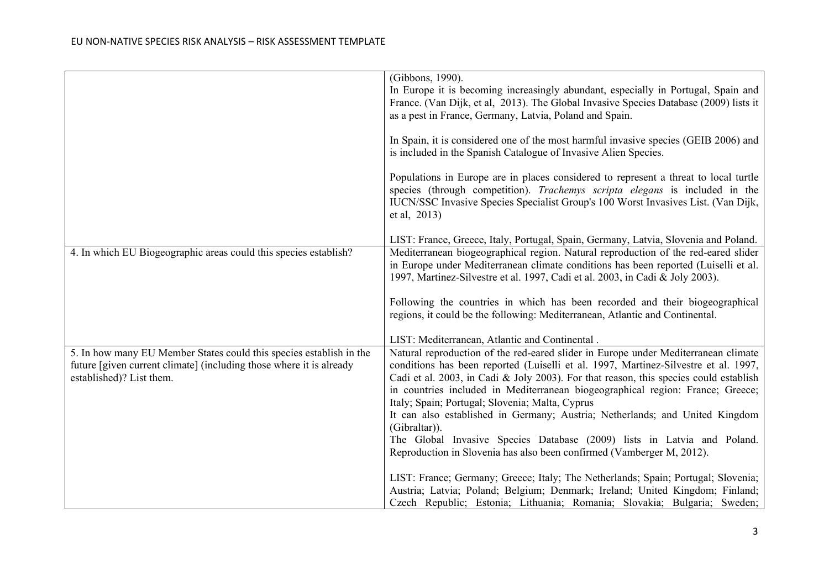|                                                                     | (Gibbons, 1990).<br>In Europe it is becoming increasingly abundant, especially in Portugal, Spain and<br>France. (Van Dijk, et al, 2013). The Global Invasive Species Database (2009) lists it<br>as a pest in France, Germany, Latvia, Poland and Spain.                |
|---------------------------------------------------------------------|--------------------------------------------------------------------------------------------------------------------------------------------------------------------------------------------------------------------------------------------------------------------------|
|                                                                     | In Spain, it is considered one of the most harmful invasive species (GEIB 2006) and<br>is included in the Spanish Catalogue of Invasive Alien Species.                                                                                                                   |
|                                                                     | Populations in Europe are in places considered to represent a threat to local turtle<br>species (through competition). Trachemys scripta elegans is included in the<br>IUCN/SSC Invasive Species Specialist Group's 100 Worst Invasives List. (Van Dijk,<br>et al, 2013) |
|                                                                     | LIST: France, Greece, Italy, Portugal, Spain, Germany, Latvia, Slovenia and Poland.                                                                                                                                                                                      |
| 4. In which EU Biogeographic areas could this species establish?    | Mediterranean biogeographical region. Natural reproduction of the red-eared slider                                                                                                                                                                                       |
|                                                                     | in Europe under Mediterranean climate conditions has been reported (Luiselli et al.                                                                                                                                                                                      |
|                                                                     | 1997, Martinez-Silvestre et al. 1997, Cadi et al. 2003, in Cadi & Joly 2003).                                                                                                                                                                                            |
|                                                                     |                                                                                                                                                                                                                                                                          |
|                                                                     | Following the countries in which has been recorded and their biogeographical                                                                                                                                                                                             |
|                                                                     | regions, it could be the following: Mediterranean, Atlantic and Continental.                                                                                                                                                                                             |
|                                                                     | LIST: Mediterranean, Atlantic and Continental.                                                                                                                                                                                                                           |
| 5. In how many EU Member States could this species establish in the | Natural reproduction of the red-eared slider in Europe under Mediterranean climate                                                                                                                                                                                       |
| future [given current climate] (including those where it is already | conditions has been reported (Luiselli et al. 1997, Martinez-Silvestre et al. 1997,                                                                                                                                                                                      |
| established)? List them.                                            | Cadi et al. 2003, in Cadi & Joly 2003). For that reason, this species could establish                                                                                                                                                                                    |
|                                                                     | in countries included in Mediterranean biogeographical region: France; Greece;                                                                                                                                                                                           |
|                                                                     | Italy; Spain; Portugal; Slovenia; Malta, Cyprus                                                                                                                                                                                                                          |
|                                                                     | It can also established in Germany; Austria; Netherlands; and United Kingdom                                                                                                                                                                                             |
|                                                                     | (Gibraltar)).                                                                                                                                                                                                                                                            |
|                                                                     | The Global Invasive Species Database (2009) lists in Latvia and Poland.<br>Reproduction in Slovenia has also been confirmed (Vamberger M, 2012).                                                                                                                         |
|                                                                     |                                                                                                                                                                                                                                                                          |
|                                                                     | LIST: France; Germany; Greece; Italy; The Netherlands; Spain; Portugal; Slovenia;                                                                                                                                                                                        |
|                                                                     | Austria; Latvia; Poland; Belgium; Denmark; Ireland; United Kingdom; Finland;                                                                                                                                                                                             |
|                                                                     | Czech Republic; Estonia; Lithuania; Romania; Slovakia; Bulgaria; Sweden;                                                                                                                                                                                                 |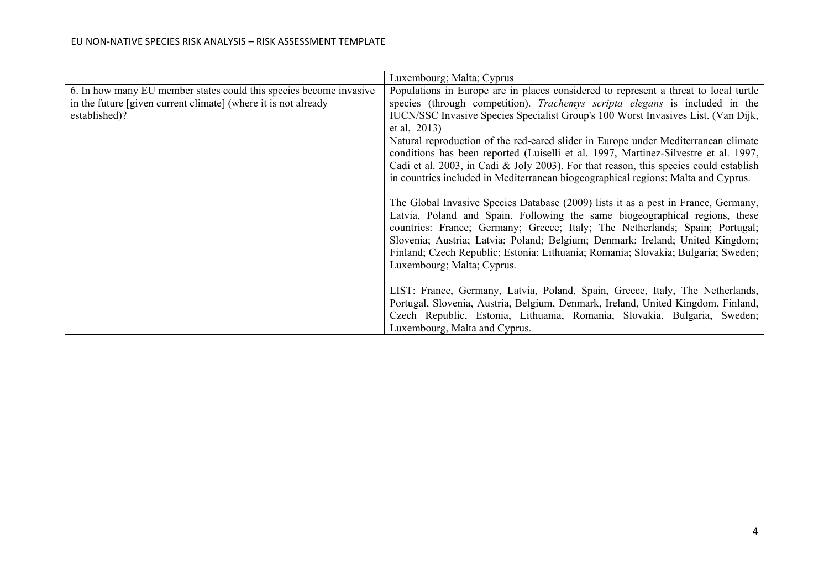|                                                                    | Luxembourg; Malta; Cyprus                                                             |  |
|--------------------------------------------------------------------|---------------------------------------------------------------------------------------|--|
| 6. In how many EU member states could this species become invasive | Populations in Europe are in places considered to represent a threat to local turtle  |  |
| in the future [given current climate] (where it is not already     | species (through competition). Trachemys scripta elegans is included in the           |  |
| established)?                                                      | IUCN/SSC Invasive Species Specialist Group's 100 Worst Invasives List. (Van Dijk,     |  |
|                                                                    | et al, 2013)                                                                          |  |
|                                                                    | Natural reproduction of the red-eared slider in Europe under Mediterranean climate    |  |
|                                                                    | conditions has been reported (Luiselli et al. 1997, Martinez-Silvestre et al. 1997,   |  |
|                                                                    | Cadi et al. 2003, in Cadi & Joly 2003). For that reason, this species could establish |  |
|                                                                    | in countries included in Mediterranean biogeographical regions: Malta and Cyprus.     |  |
|                                                                    |                                                                                       |  |
|                                                                    | The Global Invasive Species Database (2009) lists it as a pest in France, Germany,    |  |
|                                                                    | Latvia, Poland and Spain. Following the same biogeographical regions, these           |  |
|                                                                    | countries: France; Germany; Greece; Italy; The Netherlands; Spain; Portugal;          |  |
|                                                                    | Slovenia; Austria; Latvia; Poland; Belgium; Denmark; Ireland; United Kingdom;         |  |
|                                                                    | Finland; Czech Republic; Estonia; Lithuania; Romania; Slovakia; Bulgaria; Sweden;     |  |
|                                                                    | Luxembourg; Malta; Cyprus.                                                            |  |
|                                                                    |                                                                                       |  |
|                                                                    | LIST: France, Germany, Latvia, Poland, Spain, Greece, Italy, The Netherlands,         |  |
|                                                                    | Portugal, Slovenia, Austria, Belgium, Denmark, Ireland, United Kingdom, Finland,      |  |
|                                                                    | Czech Republic, Estonia, Lithuania, Romania, Slovakia, Bulgaria, Sweden;              |  |
|                                                                    | Luxembourg, Malta and Cyprus.                                                         |  |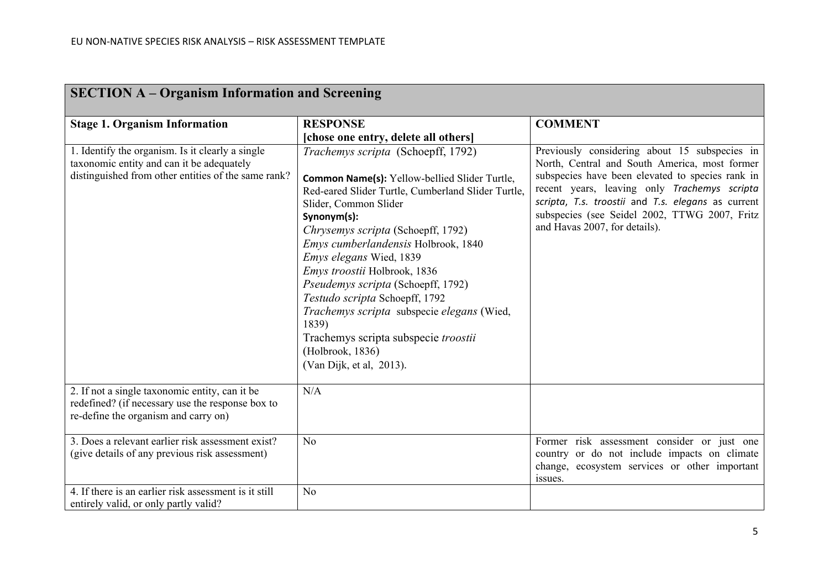| <b>SECTION A – Organism Information and Screening</b>                                                                                                |                                                                                                                                                                                                                                                                                                                                                                                                                                                                                                                                                         |                                                                                                                                                                                                                                                                                                                                            |  |
|------------------------------------------------------------------------------------------------------------------------------------------------------|---------------------------------------------------------------------------------------------------------------------------------------------------------------------------------------------------------------------------------------------------------------------------------------------------------------------------------------------------------------------------------------------------------------------------------------------------------------------------------------------------------------------------------------------------------|--------------------------------------------------------------------------------------------------------------------------------------------------------------------------------------------------------------------------------------------------------------------------------------------------------------------------------------------|--|
| <b>Stage 1. Organism Information</b>                                                                                                                 | <b>RESPONSE</b>                                                                                                                                                                                                                                                                                                                                                                                                                                                                                                                                         | <b>COMMENT</b>                                                                                                                                                                                                                                                                                                                             |  |
|                                                                                                                                                      | [chose one entry, delete all others]                                                                                                                                                                                                                                                                                                                                                                                                                                                                                                                    |                                                                                                                                                                                                                                                                                                                                            |  |
| 1. Identify the organism. Is it clearly a single<br>taxonomic entity and can it be adequately<br>distinguished from other entities of the same rank? | Trachemys scripta (Schoepff, 1792)<br><b>Common Name(s):</b> Yellow-bellied Slider Turtle,<br>Red-eared Slider Turtle, Cumberland Slider Turtle,<br>Slider, Common Slider<br>Synonym(s):<br>Chrysemys scripta (Schoepff, 1792)<br>Emys cumberlandensis Holbrook, 1840<br>Emys elegans Wied, 1839<br>Emys troostii Holbrook, 1836<br>Pseudemys scripta (Schoepff, 1792)<br>Testudo scripta Schoepff, 1792<br>Trachemys scripta subspecie elegans (Wied,<br>1839)<br>Trachemys scripta subspecie troostii<br>(Holbrook, 1836)<br>(Van Dijk, et al, 2013). | Previously considering about 15 subspecies in<br>North, Central and South America, most former<br>subspecies have been elevated to species rank in<br>recent years, leaving only Trachemys scripta<br>scripta, T.s. troostii and T.s. elegans as current<br>subspecies (see Seidel 2002, TTWG 2007, Fritz<br>and Havas 2007, for details). |  |
| 2. If not a single taxonomic entity, can it be<br>redefined? (if necessary use the response box to<br>re-define the organism and carry on)           | N/A                                                                                                                                                                                                                                                                                                                                                                                                                                                                                                                                                     |                                                                                                                                                                                                                                                                                                                                            |  |
| 3. Does a relevant earlier risk assessment exist?<br>(give details of any previous risk assessment)                                                  | N <sub>o</sub>                                                                                                                                                                                                                                                                                                                                                                                                                                                                                                                                          | Former risk assessment consider or just one<br>country or do not include impacts on climate<br>change, ecosystem services or other important<br>issues.                                                                                                                                                                                    |  |
| 4. If there is an earlier risk assessment is it still<br>entirely valid, or only partly valid?                                                       | N <sub>o</sub>                                                                                                                                                                                                                                                                                                                                                                                                                                                                                                                                          |                                                                                                                                                                                                                                                                                                                                            |  |

### **SECTION A – Organism Information and Screening**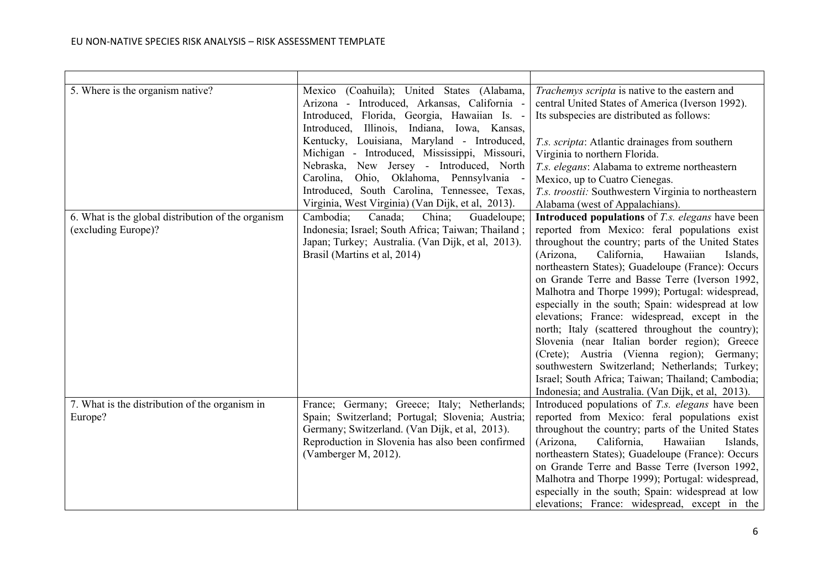| 5. Where is the organism native?<br>6. What is the global distribution of the organism<br>(excluding Europe)? | Mexico (Coahuila); United States (Alabama,<br>Arizona - Introduced, Arkansas, California -<br>Introduced, Florida, Georgia, Hawaiian Is. -<br>Introduced, Illinois, Indiana, Iowa, Kansas,<br>Kentucky, Louisiana, Maryland - Introduced,<br>Michigan - Introduced, Mississippi, Missouri,<br>Nebraska, New Jersey - Introduced, North<br>Carolina, Ohio, Oklahoma, Pennsylvania -<br>Introduced, South Carolina, Tennessee, Texas,<br>Virginia, West Virginia) (Van Dijk, et al, 2013).<br>Cambodia:<br>Canada;<br>China;<br>Guadeloupe;<br>Indonesia; Israel; South Africa; Taiwan; Thailand;<br>Japan; Turkey; Australia. (Van Dijk, et al, 2013).<br>Brasil (Martins et al, 2014) | Trachemys scripta is native to the eastern and<br>central United States of America (Iverson 1992).<br>Its subspecies are distributed as follows:<br>T.s. scripta: Atlantic drainages from southern<br>Virginia to northern Florida.<br>T.s. elegans: Alabama to extreme northeastern<br>Mexico, up to Cuatro Cienegas.<br>T.s. troostii: Southwestern Virginia to northeastern<br>Alabama (west of Appalachians).<br><b>Introduced populations</b> of <i>T.s. elegans</i> have been<br>reported from Mexico: feral populations exist<br>throughout the country; parts of the United States<br>(Arizona,<br>California,<br>Hawaiian<br>Islands,<br>northeastern States); Guadeloupe (France): Occurs<br>on Grande Terre and Basse Terre (Iverson 1992, |
|---------------------------------------------------------------------------------------------------------------|---------------------------------------------------------------------------------------------------------------------------------------------------------------------------------------------------------------------------------------------------------------------------------------------------------------------------------------------------------------------------------------------------------------------------------------------------------------------------------------------------------------------------------------------------------------------------------------------------------------------------------------------------------------------------------------|-------------------------------------------------------------------------------------------------------------------------------------------------------------------------------------------------------------------------------------------------------------------------------------------------------------------------------------------------------------------------------------------------------------------------------------------------------------------------------------------------------------------------------------------------------------------------------------------------------------------------------------------------------------------------------------------------------------------------------------------------------|
|                                                                                                               |                                                                                                                                                                                                                                                                                                                                                                                                                                                                                                                                                                                                                                                                                       | Malhotra and Thorpe 1999); Portugal: widespread,<br>especially in the south; Spain: widespread at low<br>elevations; France: widespread, except in the<br>north; Italy (scattered throughout the country);<br>Slovenia (near Italian border region); Greece<br>(Crete); Austria (Vienna region); Germany;<br>southwestern Switzerland; Netherlands; Turkey;<br>Israel; South Africa; Taiwan; Thailand; Cambodia;<br>Indonesia; and Australia. (Van Dijk, et al, 2013).                                                                                                                                                                                                                                                                                |
| 7. What is the distribution of the organism in<br>Europe?                                                     | France; Germany; Greece; Italy; Netherlands;<br>Spain; Switzerland; Portugal; Slovenia; Austria;<br>Germany; Switzerland. (Van Dijk, et al, 2013).<br>Reproduction in Slovenia has also been confirmed<br>(Vamberger M, 2012).                                                                                                                                                                                                                                                                                                                                                                                                                                                        | Introduced populations of T.s. elegans have been<br>reported from Mexico: feral populations exist<br>throughout the country; parts of the United States<br>(Arizona,<br>California,<br>Hawaiian<br>Islands,<br>northeastern States); Guadeloupe (France): Occurs<br>on Grande Terre and Basse Terre (Iverson 1992,<br>Malhotra and Thorpe 1999); Portugal: widespread,<br>especially in the south; Spain: widespread at low<br>elevations; France: widespread, except in the                                                                                                                                                                                                                                                                          |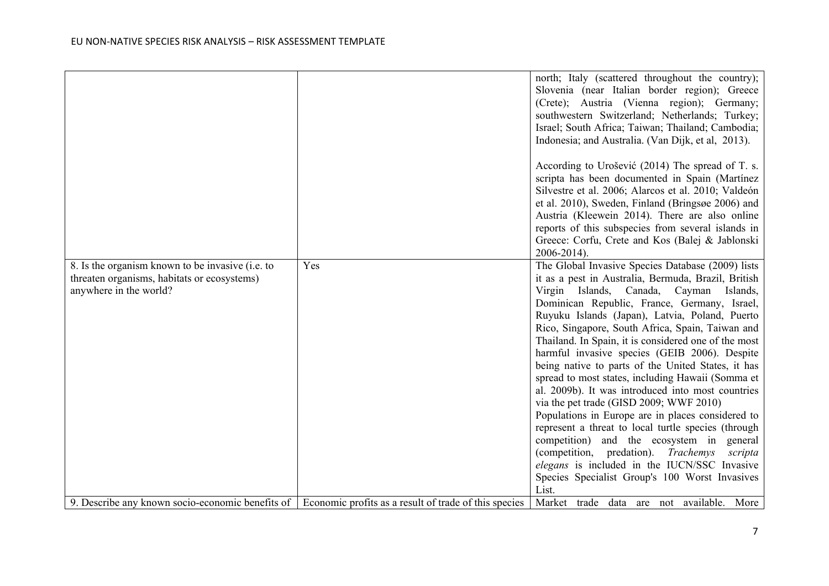|                                                                                                 |                                                       | north; Italy (scattered throughout the country);<br>Slovenia (near Italian border region); Greece<br>(Crete); Austria (Vienna region); Germany;<br>southwestern Switzerland; Netherlands; Turkey;<br>Israel; South Africa; Taiwan; Thailand; Cambodia;<br>Indonesia; and Australia. (Van Dijk, et al, 2013).                                                                             |
|-------------------------------------------------------------------------------------------------|-------------------------------------------------------|------------------------------------------------------------------------------------------------------------------------------------------------------------------------------------------------------------------------------------------------------------------------------------------------------------------------------------------------------------------------------------------|
|                                                                                                 |                                                       | According to Urošević (2014) The spread of T. s.<br>scripta has been documented in Spain (Martínez<br>Silvestre et al. 2006; Alarcos et al. 2010; Valdeón<br>et al. 2010), Sweden, Finland (Bringsøe 2006) and<br>Austria (Kleewein 2014). There are also online<br>reports of this subspecies from several islands in<br>Greece: Corfu, Crete and Kos (Balej & Jablonski<br>2006-2014). |
| 8. Is the organism known to be invasive (i.e. to<br>threaten organisms, habitats or ecosystems) | Yes                                                   | The Global Invasive Species Database (2009) lists<br>it as a pest in Australia, Bermuda, Brazil, British                                                                                                                                                                                                                                                                                 |
| anywhere in the world?                                                                          |                                                       | Virgin Islands, Canada, Cayman<br>Islands,                                                                                                                                                                                                                                                                                                                                               |
|                                                                                                 |                                                       | Dominican Republic, France, Germany, Israel,                                                                                                                                                                                                                                                                                                                                             |
|                                                                                                 |                                                       | Ruyuku Islands (Japan), Latvia, Poland, Puerto<br>Rico, Singapore, South Africa, Spain, Taiwan and                                                                                                                                                                                                                                                                                       |
|                                                                                                 |                                                       | Thailand. In Spain, it is considered one of the most                                                                                                                                                                                                                                                                                                                                     |
|                                                                                                 |                                                       | harmful invasive species (GEIB 2006). Despite                                                                                                                                                                                                                                                                                                                                            |
|                                                                                                 |                                                       | being native to parts of the United States, it has                                                                                                                                                                                                                                                                                                                                       |
|                                                                                                 |                                                       | spread to most states, including Hawaii (Somma et                                                                                                                                                                                                                                                                                                                                        |
|                                                                                                 |                                                       | al. 2009b). It was introduced into most countries                                                                                                                                                                                                                                                                                                                                        |
|                                                                                                 |                                                       | via the pet trade (GISD 2009; WWF 2010)<br>Populations in Europe are in places considered to                                                                                                                                                                                                                                                                                             |
|                                                                                                 |                                                       | represent a threat to local turtle species (through                                                                                                                                                                                                                                                                                                                                      |
|                                                                                                 |                                                       | competition) and the ecosystem in general                                                                                                                                                                                                                                                                                                                                                |
|                                                                                                 |                                                       | (competition, predation). Trachemys<br>scripta                                                                                                                                                                                                                                                                                                                                           |
|                                                                                                 |                                                       | elegans is included in the IUCN/SSC Invasive                                                                                                                                                                                                                                                                                                                                             |
|                                                                                                 |                                                       | Species Specialist Group's 100 Worst Invasives                                                                                                                                                                                                                                                                                                                                           |
|                                                                                                 |                                                       | List.                                                                                                                                                                                                                                                                                                                                                                                    |
| 9. Describe any known socio-economic benefits of                                                | Economic profits as a result of trade of this species | Market trade data are not available. More                                                                                                                                                                                                                                                                                                                                                |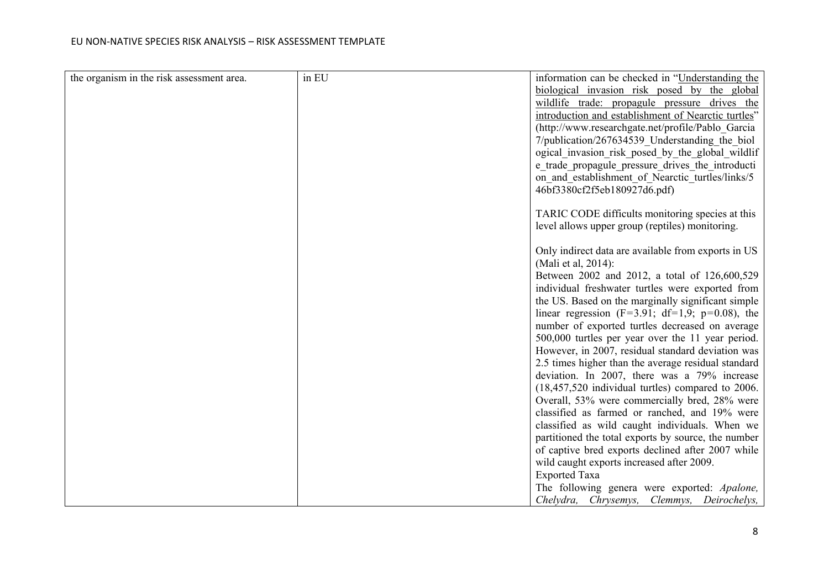| the organism in the risk assessment area. | in EU | information can be checked in "Understanding the     |
|-------------------------------------------|-------|------------------------------------------------------|
|                                           |       | biological invasion risk posed by the global         |
|                                           |       | wildlife trade: propagule pressure drives the        |
|                                           |       | introduction and establishment of Nearctic turtles"  |
|                                           |       | (http://www.researchgate.net/profile/Pablo Garcia    |
|                                           |       | 7/publication/267634539 Understanding the biol       |
|                                           |       | ogical invasion risk posed by the global wildlif     |
|                                           |       | e trade propagule pressure drives the introducti     |
|                                           |       | on and establishment of Nearctic turtles/links/5     |
|                                           |       | 46bf3380cf2f5eb180927d6.pdf)                         |
|                                           |       |                                                      |
|                                           |       | TARIC CODE difficults monitoring species at this     |
|                                           |       | level allows upper group (reptiles) monitoring.      |
|                                           |       |                                                      |
|                                           |       | Only indirect data are available from exports in US  |
|                                           |       | (Mali et al, 2014):                                  |
|                                           |       | Between 2002 and 2012, a total of 126,600,529        |
|                                           |       | individual freshwater turtles were exported from     |
|                                           |       | the US. Based on the marginally significant simple   |
|                                           |       | linear regression (F=3.91; df=1,9; p=0.08), the      |
|                                           |       | number of exported turtles decreased on average      |
|                                           |       | 500,000 turtles per year over the 11 year period.    |
|                                           |       | However, in 2007, residual standard deviation was    |
|                                           |       | 2.5 times higher than the average residual standard  |
|                                           |       | deviation. In 2007, there was a 79% increase         |
|                                           |       | $(18,457,520)$ individual turtles) compared to 2006. |
|                                           |       | Overall, 53% were commercially bred, 28% were        |
|                                           |       | classified as farmed or ranched, and 19% were        |
|                                           |       | classified as wild caught individuals. When we       |
|                                           |       | partitioned the total exports by source, the number  |
|                                           |       | of captive bred exports declined after 2007 while    |
|                                           |       | wild caught exports increased after 2009.            |
|                                           |       | <b>Exported Taxa</b>                                 |
|                                           |       | The following genera were exported: Apalone,         |
|                                           |       | Chelydra, Chrysemys, Clemmys, Deirochelys,           |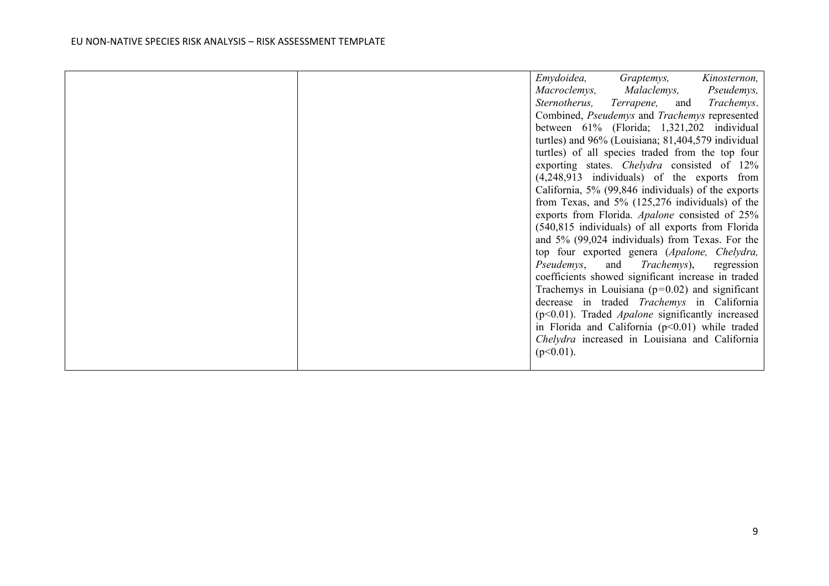|  | Emydoidea,<br>Graptemys,<br>Kinosternon,<br>Malaclemys,<br>Pseudemys,<br>Macroclemys,<br>Sternotherus,<br>Terrapene,<br>Trachemys.<br>and<br>Combined, Pseudemys and Trachemys represented<br>between 61% (Florida; 1,321,202 individual<br>turtles) and 96% (Louisiana; 81,404,579 individual<br>turtles) of all species traded from the top four<br>exporting states. Chelydra consisted of 12%<br>$(4,248,913$ individuals) of the exports from<br>California, 5% (99,846 individuals) of the exports<br>from Texas, and $5\%$ (125,276 individuals) of the<br>exports from Florida. Apalone consisted of 25%<br>(540,815 individuals) of all exports from Florida<br>and 5% (99,024 individuals) from Texas. For the<br>top four exported genera (Apalone, Chelydra,<br>and <i>Trachemys</i> ),<br>Pseudemys,<br>regression<br>coefficients showed significant increase in traded<br>Trachemys in Louisiana ( $p=0.02$ ) and significant |
|--|----------------------------------------------------------------------------------------------------------------------------------------------------------------------------------------------------------------------------------------------------------------------------------------------------------------------------------------------------------------------------------------------------------------------------------------------------------------------------------------------------------------------------------------------------------------------------------------------------------------------------------------------------------------------------------------------------------------------------------------------------------------------------------------------------------------------------------------------------------------------------------------------------------------------------------------------|
|  | decrease in traded Trachemys in California<br>$(p<0.01)$ . Traded <i>Apalone</i> significantly increased<br>in Florida and California (p<0.01) while traded<br>Chelydra increased in Louisiana and California<br>$(p<0.01)$ .                                                                                                                                                                                                                                                                                                                                                                                                                                                                                                                                                                                                                                                                                                                |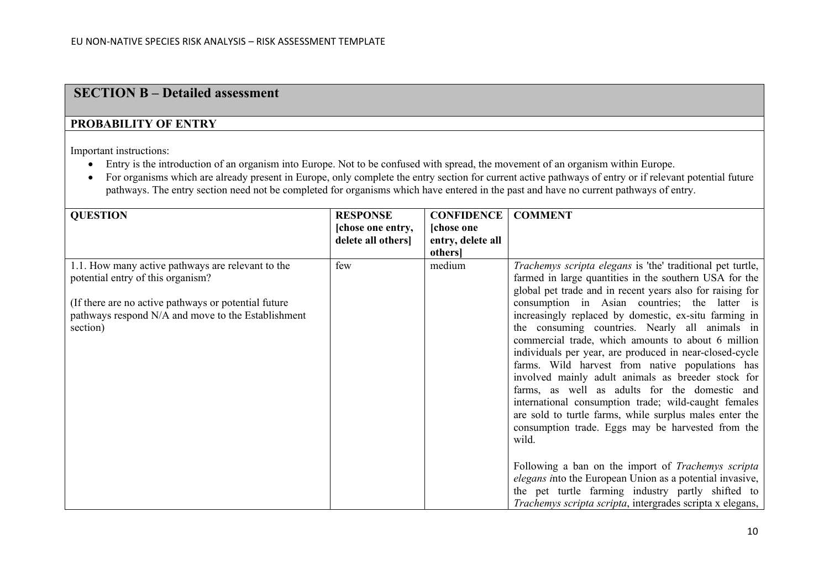## **SECTION B – Detailed assessment**

#### **PROBABILITY OF ENTRY**

Important instructions:

- Entry is the introduction of an organism into Europe. Not to be confused with spread, the movement of an organism within Europe.
- For organisms which are already present in Europe, only complete the entry section for current active pathways of entry or if relevant potential future pathways. The entry section need not be completed for organisms which have entered in the past and have no current pathways of entry.

| <b>QUESTION</b>                                       | <b>RESPONSE</b>   | <b>CONFIDENCE</b> | <b>COMMENT</b>                                                    |
|-------------------------------------------------------|-------------------|-------------------|-------------------------------------------------------------------|
|                                                       | [chose one entry, | [chose one        |                                                                   |
|                                                       | delete all others | entry, delete all |                                                                   |
|                                                       |                   | <i>others</i>     |                                                                   |
| 1.1. How many active pathways are relevant to the     | few               | medium            | <i>Trachemys scripta elegans</i> is 'the' traditional pet turtle, |
| potential entry of this organism?                     |                   |                   | farmed in large quantities in the southern USA for the            |
|                                                       |                   |                   | global pet trade and in recent years also for raising for         |
| (If there are no active pathways or potential future) |                   |                   | consumption in Asian countries; the latter is                     |
| pathways respond N/A and move to the Establishment    |                   |                   | increasingly replaced by domestic, ex-situ farming in             |
| section)                                              |                   |                   | the consuming countries. Nearly all animals in                    |
|                                                       |                   |                   | commercial trade, which amounts to about 6 million                |
|                                                       |                   |                   | individuals per year, are produced in near-closed-cycle           |
|                                                       |                   |                   | farms. Wild harvest from native populations has                   |
|                                                       |                   |                   | involved mainly adult animals as breeder stock for                |
|                                                       |                   |                   | farms, as well as adults for the domestic and                     |
|                                                       |                   |                   | international consumption trade; wild-caught females              |
|                                                       |                   |                   | are sold to turtle farms, while surplus males enter the           |
|                                                       |                   |                   | consumption trade. Eggs may be harvested from the                 |
|                                                       |                   |                   | wild.                                                             |
|                                                       |                   |                   |                                                                   |
|                                                       |                   |                   | Following a ban on the import of Trachemys scripta                |
|                                                       |                   |                   | elegans into the European Union as a potential invasive,          |
|                                                       |                   |                   | the pet turtle farming industry partly shifted to                 |
|                                                       |                   |                   | Trachemys scripta scripta, intergrades scripta x elegans,         |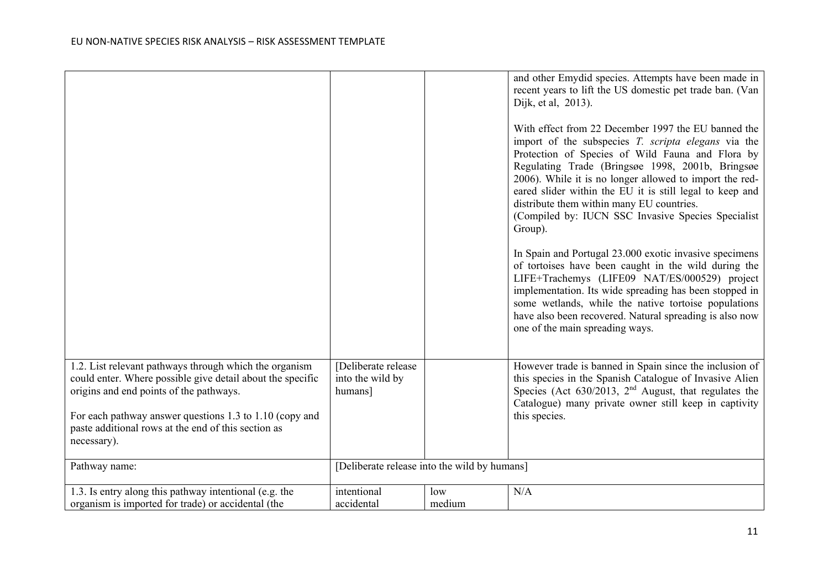|                                                                                                                                                                                                                                                                                                  |                                                    |               | and other Emydid species. Attempts have been made in<br>recent years to lift the US domestic pet trade ban. (Van<br>Dijk, et al, 2013).<br>With effect from 22 December 1997 the EU banned the<br>import of the subspecies T. scripta elegans via the<br>Protection of Species of Wild Fauna and Flora by<br>Regulating Trade (Bringsøe 1998, 2001b, Bringsøe<br>2006). While it is no longer allowed to import the red-<br>eared slider within the EU it is still legal to keep and<br>distribute them within many EU countries.<br>(Compiled by: IUCN SSC Invasive Species Specialist<br>Group). |
|--------------------------------------------------------------------------------------------------------------------------------------------------------------------------------------------------------------------------------------------------------------------------------------------------|----------------------------------------------------|---------------|----------------------------------------------------------------------------------------------------------------------------------------------------------------------------------------------------------------------------------------------------------------------------------------------------------------------------------------------------------------------------------------------------------------------------------------------------------------------------------------------------------------------------------------------------------------------------------------------------|
|                                                                                                                                                                                                                                                                                                  |                                                    |               | In Spain and Portugal 23.000 exotic invasive specimens<br>of tortoises have been caught in the wild during the<br>LIFE+Trachemys (LIFE09 NAT/ES/000529) project<br>implementation. Its wide spreading has been stopped in<br>some wetlands, while the native tortoise populations<br>have also been recovered. Natural spreading is also now<br>one of the main spreading ways.                                                                                                                                                                                                                    |
| 1.2. List relevant pathways through which the organism<br>could enter. Where possible give detail about the specific<br>origins and end points of the pathways.<br>For each pathway answer questions 1.3 to 1.10 (copy and<br>paste additional rows at the end of this section as<br>necessary). | [Deliberate release<br>into the wild by<br>humans] |               | However trade is banned in Spain since the inclusion of<br>this species in the Spanish Catalogue of Invasive Alien<br>Species (Act $630/2013$ , $2nd$ August, that regulates the<br>Catalogue) many private owner still keep in captivity<br>this species.                                                                                                                                                                                                                                                                                                                                         |
| Pathway name:                                                                                                                                                                                                                                                                                    | [Deliberate release into the wild by humans]       |               |                                                                                                                                                                                                                                                                                                                                                                                                                                                                                                                                                                                                    |
| 1.3. Is entry along this pathway intentional (e.g. the<br>organism is imported for trade) or accidental (the                                                                                                                                                                                     | intentional<br>accidental                          | low<br>medium | N/A                                                                                                                                                                                                                                                                                                                                                                                                                                                                                                                                                                                                |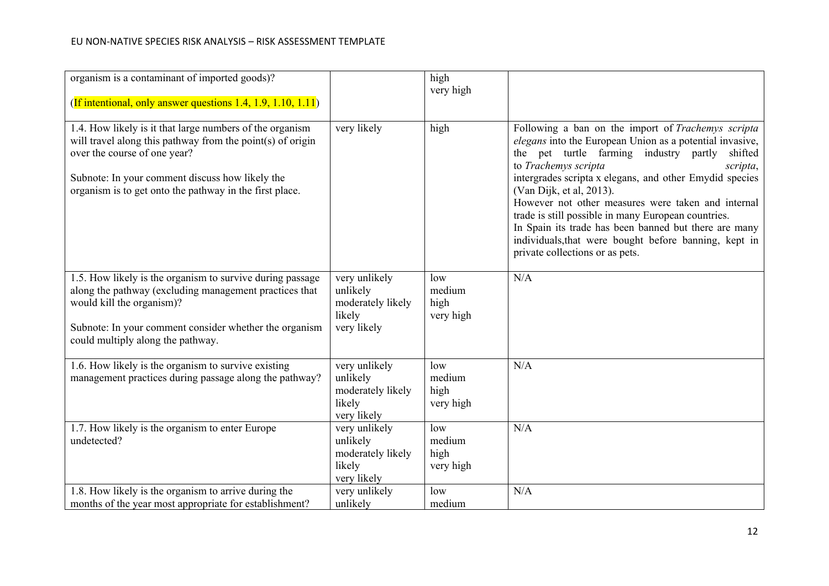| organism is a contaminant of imported goods)?<br>(If intentional, only answer questions 1.4, 1.9, 1.10, 1.11)                                                                                                                                                           |                                                                         | high<br>very high                  |                                                                                                                                                                                                                                                                                                                                                                                                                                                                                                                                                                  |
|-------------------------------------------------------------------------------------------------------------------------------------------------------------------------------------------------------------------------------------------------------------------------|-------------------------------------------------------------------------|------------------------------------|------------------------------------------------------------------------------------------------------------------------------------------------------------------------------------------------------------------------------------------------------------------------------------------------------------------------------------------------------------------------------------------------------------------------------------------------------------------------------------------------------------------------------------------------------------------|
| 1.4. How likely is it that large numbers of the organism<br>will travel along this pathway from the point $(s)$ of origin<br>over the course of one year?<br>Subnote: In your comment discuss how likely the<br>organism is to get onto the pathway in the first place. | very likely                                                             | high                               | Following a ban on the import of Trachemys scripta<br>elegans into the European Union as a potential invasive,<br>the pet turtle farming industry partly<br>shifted<br>to Trachemys scripta<br>scripta,<br>intergrades scripta x elegans, and other Emydid species<br>(Van Dijk, et al, 2013).<br>However not other measures were taken and internal<br>trade is still possible in many European countries.<br>In Spain its trade has been banned but there are many<br>individuals, that were bought before banning, kept in<br>private collections or as pets. |
| 1.5. How likely is the organism to survive during passage<br>along the pathway (excluding management practices that<br>would kill the organism)?<br>Subnote: In your comment consider whether the organism<br>could multiply along the pathway.                         | very unlikely<br>unlikely<br>moderately likely<br>likely<br>very likely | low<br>medium<br>high<br>very high | N/A                                                                                                                                                                                                                                                                                                                                                                                                                                                                                                                                                              |
| 1.6. How likely is the organism to survive existing<br>management practices during passage along the pathway?                                                                                                                                                           | very unlikely<br>unlikely<br>moderately likely<br>likely<br>very likely | low<br>medium<br>high<br>very high | N/A                                                                                                                                                                                                                                                                                                                                                                                                                                                                                                                                                              |
| 1.7. How likely is the organism to enter Europe<br>undetected?                                                                                                                                                                                                          | very unlikely<br>unlikely<br>moderately likely<br>likely<br>very likely | low<br>medium<br>high<br>very high | N/A                                                                                                                                                                                                                                                                                                                                                                                                                                                                                                                                                              |
| 1.8. How likely is the organism to arrive during the<br>months of the year most appropriate for establishment?                                                                                                                                                          | very unlikely<br>unlikely                                               | low<br>medium                      | N/A                                                                                                                                                                                                                                                                                                                                                                                                                                                                                                                                                              |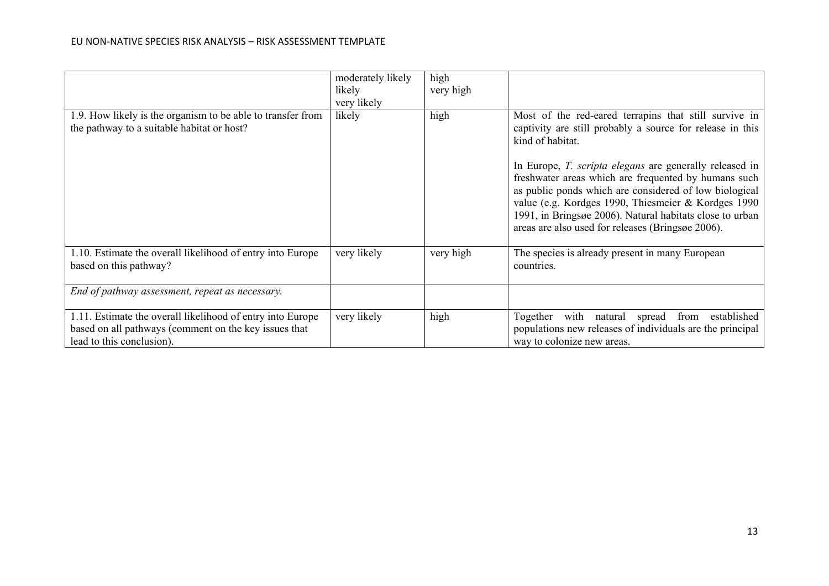#### EU NON-NATIVE SPECIES RISK ANALYSIS – RISK ASSESSMENT TEMPLATE

|                                                                                                                                                  | moderately likely<br>likely<br>very likely | high<br>very high |                                                                                                                                                                                                                                                                                                                            |
|--------------------------------------------------------------------------------------------------------------------------------------------------|--------------------------------------------|-------------------|----------------------------------------------------------------------------------------------------------------------------------------------------------------------------------------------------------------------------------------------------------------------------------------------------------------------------|
| 1.9. How likely is the organism to be able to transfer from<br>the pathway to a suitable habitat or host?                                        | likely                                     | high              | Most of the red-eared terrapins that still survive in<br>captivity are still probably a source for release in this<br>kind of habitat.<br>In Europe, <i>T. scripta elegans</i> are generally released in<br>freshwater areas which are frequented by humans such<br>as public ponds which are considered of low biological |
|                                                                                                                                                  |                                            |                   | value (e.g. Kordges 1990, Thiesmeier & Kordges 1990<br>1991, in Bringsøe 2006). Natural habitats close to urban<br>areas are also used for releases (Bringsøe 2006).                                                                                                                                                       |
| 1.10. Estimate the overall likelihood of entry into Europe<br>based on this pathway?                                                             | very likely                                | very high         | The species is already present in many European<br>countries.                                                                                                                                                                                                                                                              |
| End of pathway assessment, repeat as necessary.                                                                                                  |                                            |                   |                                                                                                                                                                                                                                                                                                                            |
| 1.11. Estimate the overall likelihood of entry into Europe<br>based on all pathways (comment on the key issues that<br>lead to this conclusion). | very likely                                | high              | with<br>Together<br>from<br>established<br>natural<br>spread<br>populations new releases of individuals are the principal<br>way to colonize new areas.                                                                                                                                                                    |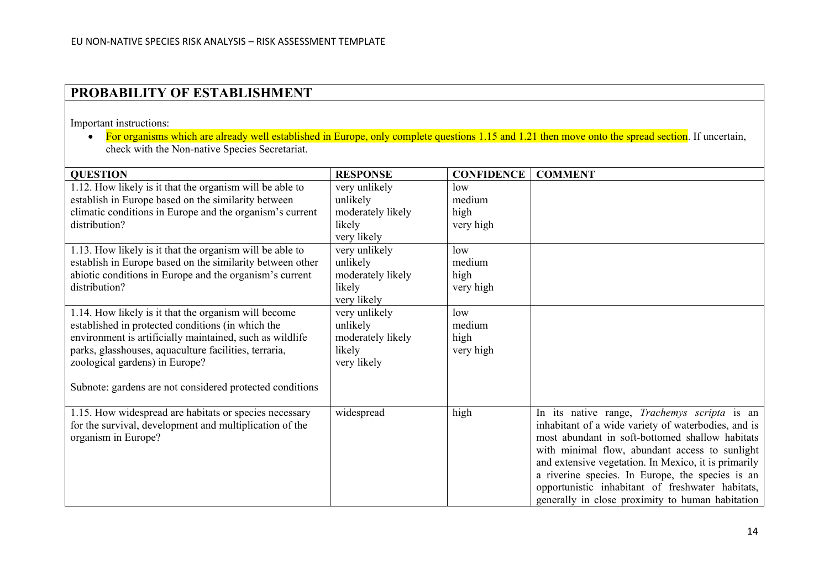## **PROBABILITY OF ESTABLISHMENT**

Important instructions:

• For organisms which are already well established in Europe, only complete questions 1.15 and 1.21 then move onto the spread section. If uncertain, check with the Non-native Species Secretariat.

| <b>QUESTION</b>                                                                                                                                                                                                                                                                                                              | <b>RESPONSE</b>                                                                        | <b>CONFIDENCE</b>                  | <b>COMMENT</b>                                                                                                                                                                                                                                                                                                                                                                                                               |
|------------------------------------------------------------------------------------------------------------------------------------------------------------------------------------------------------------------------------------------------------------------------------------------------------------------------------|----------------------------------------------------------------------------------------|------------------------------------|------------------------------------------------------------------------------------------------------------------------------------------------------------------------------------------------------------------------------------------------------------------------------------------------------------------------------------------------------------------------------------------------------------------------------|
| 1.12. How likely is it that the organism will be able to<br>establish in Europe based on the similarity between<br>climatic conditions in Europe and the organism's current<br>distribution?                                                                                                                                 | very unlikely<br>unlikely<br>moderately likely<br>likely                               | low<br>medium<br>high<br>very high |                                                                                                                                                                                                                                                                                                                                                                                                                              |
| 1.13. How likely is it that the organism will be able to<br>establish in Europe based on the similarity between other<br>abiotic conditions in Europe and the organism's current<br>distribution?                                                                                                                            | very likely<br>very unlikely<br>unlikely<br>moderately likely<br>likely<br>very likely | low<br>medium<br>high<br>very high |                                                                                                                                                                                                                                                                                                                                                                                                                              |
| 1.14. How likely is it that the organism will become<br>established in protected conditions (in which the<br>environment is artificially maintained, such as wildlife<br>parks, glasshouses, aquaculture facilities, terraria,<br>zoological gardens) in Europe?<br>Subnote: gardens are not considered protected conditions | very unlikely<br>unlikely<br>moderately likely<br>likely<br>very likely                | low<br>medium<br>high<br>very high |                                                                                                                                                                                                                                                                                                                                                                                                                              |
| 1.15. How widespread are habitats or species necessary<br>for the survival, development and multiplication of the<br>organism in Europe?                                                                                                                                                                                     | widespread                                                                             | high                               | In its native range, Trachemys scripta is an<br>inhabitant of a wide variety of waterbodies, and is<br>most abundant in soft-bottomed shallow habitats<br>with minimal flow, abundant access to sunlight<br>and extensive vegetation. In Mexico, it is primarily<br>a riverine species. In Europe, the species is an<br>opportunistic inhabitant of freshwater habitats,<br>generally in close proximity to human habitation |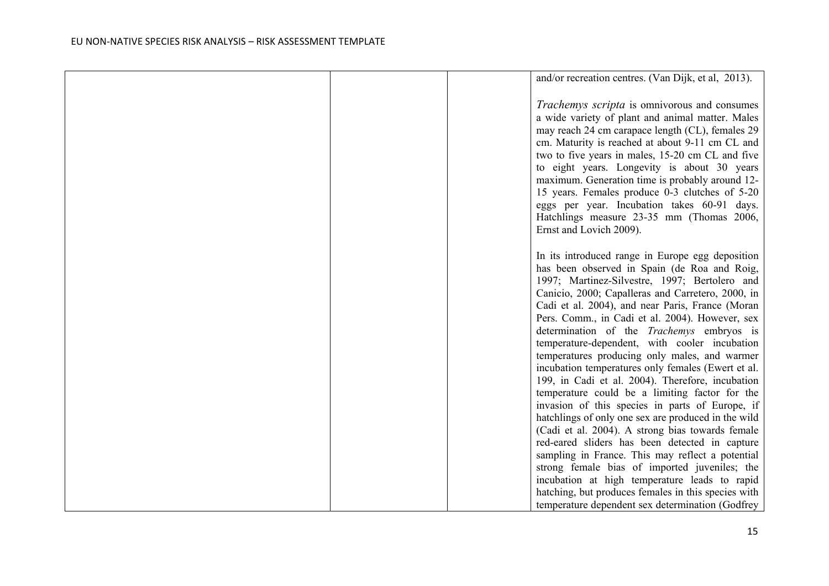|  | and/or recreation centres. (Van Dijk, et al, 2013).                                                 |  |
|--|-----------------------------------------------------------------------------------------------------|--|
|  |                                                                                                     |  |
|  | Trachemys scripta is omnivorous and consumes                                                        |  |
|  | a wide variety of plant and animal matter. Males                                                    |  |
|  | may reach 24 cm carapace length (CL), females 29                                                    |  |
|  | cm. Maturity is reached at about 9-11 cm CL and                                                     |  |
|  | two to five years in males, 15-20 cm CL and five                                                    |  |
|  | to eight years. Longevity is about 30 years                                                         |  |
|  | maximum. Generation time is probably around 12-                                                     |  |
|  | 15 years. Females produce 0-3 clutches of 5-20                                                      |  |
|  | eggs per year. Incubation takes 60-91 days.                                                         |  |
|  | Hatchlings measure 23-35 mm (Thomas 2006,                                                           |  |
|  | Ernst and Lovich 2009).                                                                             |  |
|  |                                                                                                     |  |
|  | In its introduced range in Europe egg deposition                                                    |  |
|  | has been observed in Spain (de Roa and Roig,                                                        |  |
|  |                                                                                                     |  |
|  | 1997; Martinez-Silvestre, 1997; Bertolero and                                                       |  |
|  | Canicio, 2000; Capalleras and Carretero, 2000, in                                                   |  |
|  | Cadi et al. 2004), and near Paris, France (Moran<br>Pers. Comm., in Cadi et al. 2004). However, sex |  |
|  |                                                                                                     |  |
|  | determination of the <i>Trachemys</i> embryos is                                                    |  |
|  | temperature-dependent, with cooler incubation                                                       |  |
|  | temperatures producing only males, and warmer                                                       |  |
|  | incubation temperatures only females (Ewert et al.                                                  |  |
|  | 199, in Cadi et al. 2004). Therefore, incubation                                                    |  |
|  | temperature could be a limiting factor for the                                                      |  |
|  | invasion of this species in parts of Europe, if                                                     |  |
|  | hatchlings of only one sex are produced in the wild                                                 |  |
|  | (Cadi et al. 2004). A strong bias towards female                                                    |  |
|  | red-eared sliders has been detected in capture                                                      |  |
|  | sampling in France. This may reflect a potential<br>strong female bias of imported juveniles; the   |  |
|  |                                                                                                     |  |
|  | incubation at high temperature leads to rapid                                                       |  |
|  | hatching, but produces females in this species with                                                 |  |
|  | temperature dependent sex determination (Godfrey                                                    |  |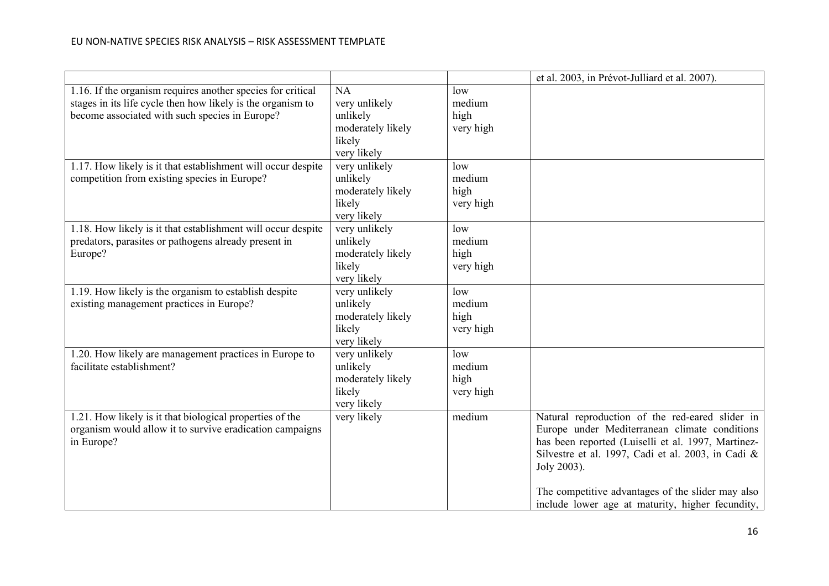|                                                              |                   |           | et al. 2003, in Prévot-Julliard et al. 2007).      |
|--------------------------------------------------------------|-------------------|-----------|----------------------------------------------------|
| 1.16. If the organism requires another species for critical  | NA                | low       |                                                    |
| stages in its life cycle then how likely is the organism to  | very unlikely     | medium    |                                                    |
| become associated with such species in Europe?               | unlikely          | high      |                                                    |
|                                                              | moderately likely | very high |                                                    |
|                                                              | likely            |           |                                                    |
|                                                              | very likely       |           |                                                    |
| 1.17. How likely is it that establishment will occur despite | very unlikely     | low       |                                                    |
| competition from existing species in Europe?                 | unlikely          | medium    |                                                    |
|                                                              | moderately likely | high      |                                                    |
|                                                              | likely            | very high |                                                    |
|                                                              | very likely       |           |                                                    |
| 1.18. How likely is it that establishment will occur despite | very unlikely     | low       |                                                    |
| predators, parasites or pathogens already present in         | unlikely          | medium    |                                                    |
| Europe?                                                      | moderately likely | high      |                                                    |
|                                                              | likely            | very high |                                                    |
|                                                              | very likely       |           |                                                    |
| 1.19. How likely is the organism to establish despite        | very unlikely     | low       |                                                    |
| existing management practices in Europe?                     | unlikely          | medium    |                                                    |
|                                                              | moderately likely | high      |                                                    |
|                                                              | likely            | very high |                                                    |
|                                                              | very likely       |           |                                                    |
| 1.20. How likely are management practices in Europe to       | very unlikely     | low       |                                                    |
| facilitate establishment?                                    | unlikely          | medium    |                                                    |
|                                                              | moderately likely | high      |                                                    |
|                                                              | likely            | very high |                                                    |
|                                                              | very likely       |           |                                                    |
| 1.21. How likely is it that biological properties of the     | very likely       | medium    | Natural reproduction of the red-eared slider in    |
| organism would allow it to survive eradication campaigns     |                   |           | Europe under Mediterranean climate conditions      |
| in Europe?                                                   |                   |           | has been reported (Luiselli et al. 1997, Martinez- |
|                                                              |                   |           | Silvestre et al. 1997, Cadi et al. 2003, in Cadi & |
|                                                              |                   |           | Joly 2003).                                        |
|                                                              |                   |           | The competitive advantages of the slider may also  |
|                                                              |                   |           | include lower age at maturity, higher fecundity,   |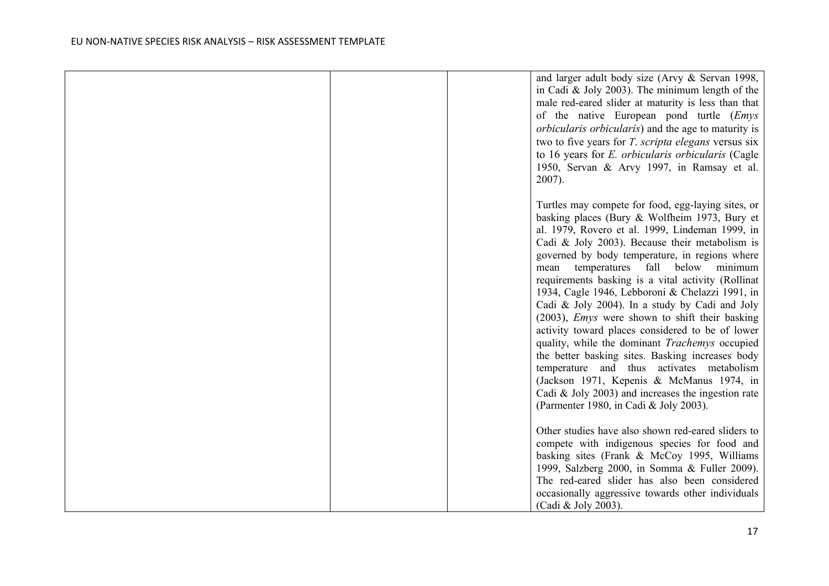|  | and larger adult body size (Arvy & Servan 1998,<br>in Cadi & Joly 2003). The minimum length of the<br>male red-eared slider at maturity is less than that<br>of the native European pond turtle (Emys<br>orbicularis orbicularis) and the age to maturity is<br>two to five years for <i>T. scripta elegans</i> versus six<br>to 16 years for E. orbicularis orbicularis (Cagle<br>1950, Servan & Arvy 1997, in Ramsay et al.<br>2007).                                                                                                                                                                                                                                                                                                                                                                                                                                          |
|--|----------------------------------------------------------------------------------------------------------------------------------------------------------------------------------------------------------------------------------------------------------------------------------------------------------------------------------------------------------------------------------------------------------------------------------------------------------------------------------------------------------------------------------------------------------------------------------------------------------------------------------------------------------------------------------------------------------------------------------------------------------------------------------------------------------------------------------------------------------------------------------|
|  | Turtles may compete for food, egg-laying sites, or<br>basking places (Bury & Wolfheim 1973, Bury et<br>al. 1979, Rovero et al. 1999, Lindeman 1999, in<br>Cadi & Joly 2003). Because their metabolism is<br>governed by body temperature, in regions where<br>temperatures fall below minimum<br>mean<br>requirements basking is a vital activity (Rollinat<br>1934, Cagle 1946, Lebboroni & Chelazzi 1991, in<br>Cadi & Joly 2004). In a study by Cadi and Joly<br>(2003), <i>Emys</i> were shown to shift their basking<br>activity toward places considered to be of lower<br>quality, while the dominant Trachemys occupied<br>the better basking sites. Basking increases body<br>temperature and thus activates metabolism<br>(Jackson 1971, Kepenis & McManus 1974, in<br>Cadi $\&$ Joly 2003) and increases the ingestion rate<br>(Parmenter 1980, in Cadi & Joly 2003). |
|  | Other studies have also shown red-eared sliders to<br>compete with indigenous species for food and<br>basking sites (Frank & McCoy 1995, Williams<br>1999, Salzberg 2000, in Somma & Fuller 2009).<br>The red-eared slider has also been considered<br>occasionally aggressive towards other individuals<br>(Cadi & Joly 2003).                                                                                                                                                                                                                                                                                                                                                                                                                                                                                                                                                  |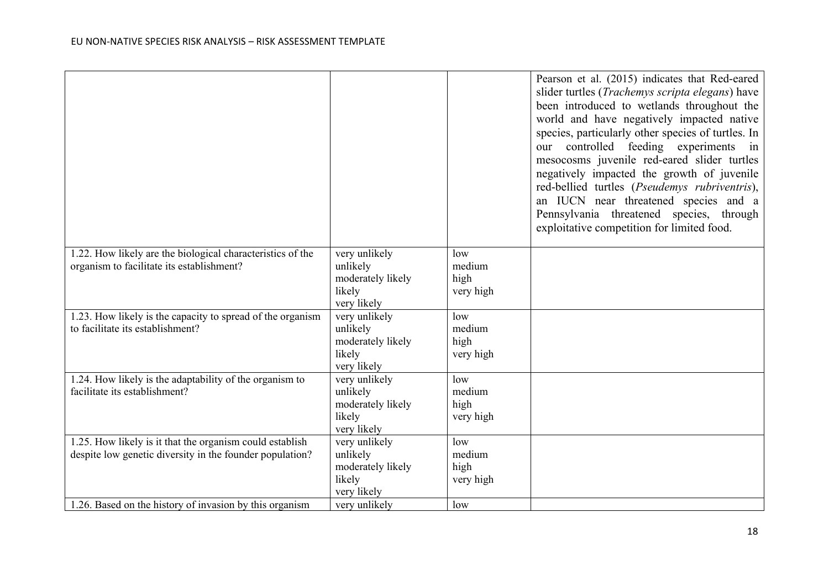|                                                            |                       |           | Pearson et al. (2015) indicates that Red-eared<br>slider turtles ( <i>Trachemys scripta elegans</i> ) have<br>been introduced to wetlands throughout the<br>world and have negatively impacted native<br>species, particularly other species of turtles. In<br>our controlled feeding experiments in<br>mesocosms juvenile red-eared slider turtles<br>negatively impacted the growth of juvenile<br>red-bellied turtles (Pseudemys rubriventris),<br>an IUCN near threatened species and a<br>Pennsylvania threatened species, through<br>exploitative competition for limited food. |
|------------------------------------------------------------|-----------------------|-----------|---------------------------------------------------------------------------------------------------------------------------------------------------------------------------------------------------------------------------------------------------------------------------------------------------------------------------------------------------------------------------------------------------------------------------------------------------------------------------------------------------------------------------------------------------------------------------------------|
| 1.22. How likely are the biological characteristics of the | very unlikely         | low       |                                                                                                                                                                                                                                                                                                                                                                                                                                                                                                                                                                                       |
| organism to facilitate its establishment?                  | unlikely              | medium    |                                                                                                                                                                                                                                                                                                                                                                                                                                                                                                                                                                                       |
|                                                            | moderately likely     | high      |                                                                                                                                                                                                                                                                                                                                                                                                                                                                                                                                                                                       |
|                                                            | likely                | very high |                                                                                                                                                                                                                                                                                                                                                                                                                                                                                                                                                                                       |
|                                                            | very likely           |           |                                                                                                                                                                                                                                                                                                                                                                                                                                                                                                                                                                                       |
| 1.23. How likely is the capacity to spread of the organism | very unlikely         | low       |                                                                                                                                                                                                                                                                                                                                                                                                                                                                                                                                                                                       |
| to facilitate its establishment?                           | unlikely              | medium    |                                                                                                                                                                                                                                                                                                                                                                                                                                                                                                                                                                                       |
|                                                            | moderately likely     | high      |                                                                                                                                                                                                                                                                                                                                                                                                                                                                                                                                                                                       |
|                                                            | likely<br>very likely | very high |                                                                                                                                                                                                                                                                                                                                                                                                                                                                                                                                                                                       |
| 1.24. How likely is the adaptability of the organism to    | very unlikely         | low       |                                                                                                                                                                                                                                                                                                                                                                                                                                                                                                                                                                                       |
| facilitate its establishment?                              | unlikely              | medium    |                                                                                                                                                                                                                                                                                                                                                                                                                                                                                                                                                                                       |
|                                                            | moderately likely     | high      |                                                                                                                                                                                                                                                                                                                                                                                                                                                                                                                                                                                       |
|                                                            | likely                | very high |                                                                                                                                                                                                                                                                                                                                                                                                                                                                                                                                                                                       |
|                                                            | very likely           |           |                                                                                                                                                                                                                                                                                                                                                                                                                                                                                                                                                                                       |
| 1.25. How likely is it that the organism could establish   | very unlikely         | low       |                                                                                                                                                                                                                                                                                                                                                                                                                                                                                                                                                                                       |
| despite low genetic diversity in the founder population?   | unlikely              | medium    |                                                                                                                                                                                                                                                                                                                                                                                                                                                                                                                                                                                       |
|                                                            | moderately likely     | high      |                                                                                                                                                                                                                                                                                                                                                                                                                                                                                                                                                                                       |
|                                                            | likely                | very high |                                                                                                                                                                                                                                                                                                                                                                                                                                                                                                                                                                                       |
|                                                            | very likely           |           |                                                                                                                                                                                                                                                                                                                                                                                                                                                                                                                                                                                       |
| 1.26. Based on the history of invasion by this organism    | very unlikely         | low       |                                                                                                                                                                                                                                                                                                                                                                                                                                                                                                                                                                                       |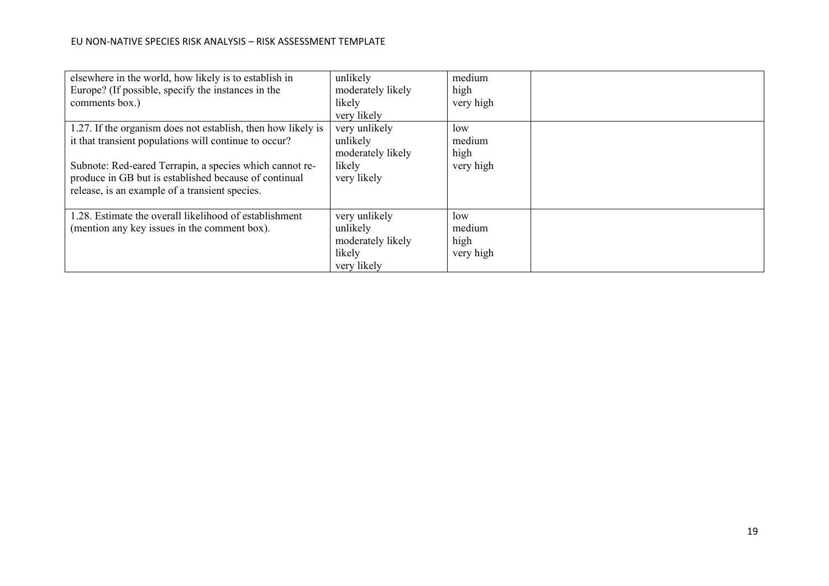| elsewhere in the world, how likely is to establish in        | unlikely          | medium    |  |
|--------------------------------------------------------------|-------------------|-----------|--|
| Europe? (If possible, specify the instances in the           | moderately likely | high      |  |
| comments box.)                                               | likely            | very high |  |
|                                                              | very likely       |           |  |
| 1.27. If the organism does not establish, then how likely is | very unlikely     | low       |  |
| it that transient populations will continue to occur?        | unlikely          | medium    |  |
|                                                              | moderately likely | high      |  |
| Subnote: Red-eared Terrapin, a species which cannot re-      | likely            | very high |  |
| produce in GB but is established because of continual        | very likely       |           |  |
| release, is an example of a transient species.               |                   |           |  |
|                                                              |                   |           |  |
| 1.28. Estimate the overall likelihood of establishment       | very unlikely     | low       |  |
| (mention any key issues in the comment box).                 | unlikely          | medium    |  |
|                                                              | moderately likely | high      |  |
|                                                              | likely            | very high |  |
|                                                              | very likely       |           |  |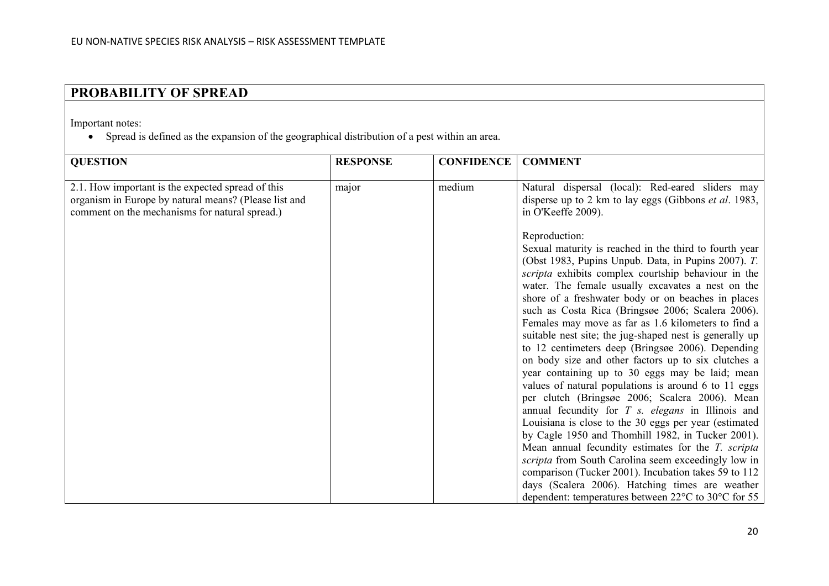# **PROBABILITY OF SPREAD**

Important notes:

• Spread is defined as the expansion of the geographical distribution of a pest within an area.

| <b>QUESTION</b>                                                                                                                                              | <b>RESPONSE</b> | <b>CONFIDENCE</b> | <b>COMMENT</b>                                                                                                                                                                                                                                                                                                                                                                                                                                                                                                                                                                                                                                                                                                                                                                                                                                                                                                                                                                                                                                                                                                                                                                                       |
|--------------------------------------------------------------------------------------------------------------------------------------------------------------|-----------------|-------------------|------------------------------------------------------------------------------------------------------------------------------------------------------------------------------------------------------------------------------------------------------------------------------------------------------------------------------------------------------------------------------------------------------------------------------------------------------------------------------------------------------------------------------------------------------------------------------------------------------------------------------------------------------------------------------------------------------------------------------------------------------------------------------------------------------------------------------------------------------------------------------------------------------------------------------------------------------------------------------------------------------------------------------------------------------------------------------------------------------------------------------------------------------------------------------------------------------|
|                                                                                                                                                              |                 |                   |                                                                                                                                                                                                                                                                                                                                                                                                                                                                                                                                                                                                                                                                                                                                                                                                                                                                                                                                                                                                                                                                                                                                                                                                      |
| 2.1. How important is the expected spread of this<br>organism in Europe by natural means? (Please list and<br>comment on the mechanisms for natural spread.) | major           | medium            | Natural dispersal (local): Red-eared sliders may<br>disperse up to 2 km to lay eggs (Gibbons <i>et al.</i> 1983,<br>in O'Keeffe 2009).                                                                                                                                                                                                                                                                                                                                                                                                                                                                                                                                                                                                                                                                                                                                                                                                                                                                                                                                                                                                                                                               |
|                                                                                                                                                              |                 |                   | Reproduction:<br>Sexual maturity is reached in the third to fourth year<br>(Obst 1983, Pupins Unpub. Data, in Pupins 2007). T.<br>scripta exhibits complex courtship behaviour in the<br>water. The female usually excavates a nest on the<br>shore of a freshwater body or on beaches in places<br>such as Costa Rica (Bringsøe 2006; Scalera 2006).<br>Females may move as far as 1.6 kilometers to find a<br>suitable nest site; the jug-shaped nest is generally up<br>to 12 centimeters deep (Bringsøe 2006). Depending<br>on body size and other factors up to six clutches a<br>year containing up to 30 eggs may be laid; mean<br>values of natural populations is around 6 to 11 eggs<br>per clutch (Bringsøe 2006; Scalera 2006). Mean<br>annual fecundity for $T$ s. elegans in Illinois and<br>Louisiana is close to the 30 eggs per year (estimated<br>by Cagle 1950 and Thomhill 1982, in Tucker 2001).<br>Mean annual fecundity estimates for the T. scripta<br>scripta from South Carolina seem exceedingly low in<br>comparison (Tucker 2001). Incubation takes 59 to 112<br>days (Scalera 2006). Hatching times are weather<br>dependent: temperatures between 22°C to 30°C for 55 |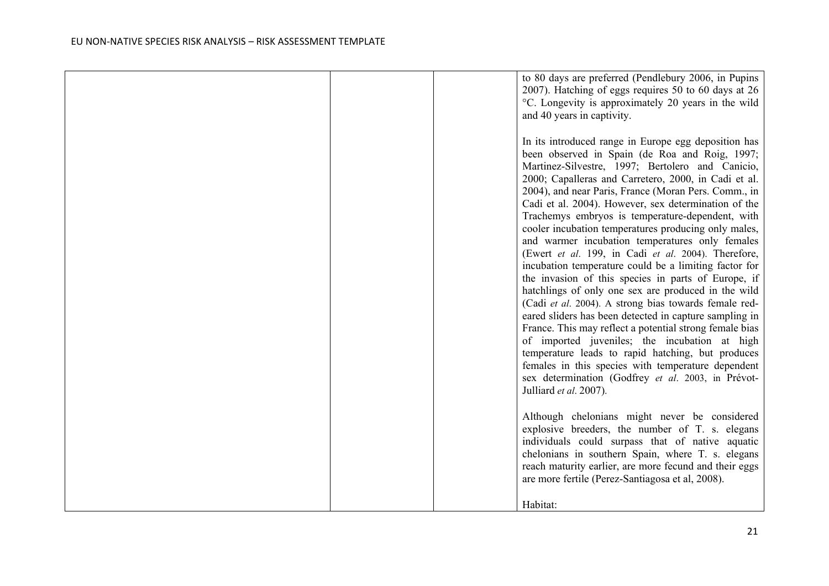|  | to 80 days are preferred (Pendlebury 2006, in Pupins<br>2007). Hatching of eggs requires 50 to 60 days at 26<br>°C. Longevity is approximately 20 years in the wild<br>and 40 years in captivity.                                                                                                                                                                                                                                                                                                                                                                                                                                                                                                                                                                                                                                                                                                                                                                                                                                                                                                                                                         |
|--|-----------------------------------------------------------------------------------------------------------------------------------------------------------------------------------------------------------------------------------------------------------------------------------------------------------------------------------------------------------------------------------------------------------------------------------------------------------------------------------------------------------------------------------------------------------------------------------------------------------------------------------------------------------------------------------------------------------------------------------------------------------------------------------------------------------------------------------------------------------------------------------------------------------------------------------------------------------------------------------------------------------------------------------------------------------------------------------------------------------------------------------------------------------|
|  | In its introduced range in Europe egg deposition has<br>been observed in Spain (de Roa and Roig, 1997;<br>Martinez-Silvestre, 1997; Bertolero and Canicio,<br>2000; Capalleras and Carretero, 2000, in Cadi et al.<br>2004), and near Paris, France (Moran Pers. Comm., in<br>Cadi et al. 2004). However, sex determination of the<br>Trachemys embryos is temperature-dependent, with<br>cooler incubation temperatures producing only males,<br>and warmer incubation temperatures only females<br>(Ewert et al. 199, in Cadi et al. 2004). Therefore,<br>incubation temperature could be a limiting factor for<br>the invasion of this species in parts of Europe, if<br>hatchlings of only one sex are produced in the wild<br>(Cadi et al. 2004). A strong bias towards female red-<br>eared sliders has been detected in capture sampling in<br>France. This may reflect a potential strong female bias<br>of imported juveniles; the incubation at high<br>temperature leads to rapid hatching, but produces<br>females in this species with temperature dependent<br>sex determination (Godfrey et al. 2003, in Prévot-<br>Julliard et al. 2007). |
|  | Although chelonians might never be considered<br>explosive breeders, the number of T. s. elegans<br>individuals could surpass that of native aquatic<br>chelonians in southern Spain, where T. s. elegans<br>reach maturity earlier, are more fecund and their eggs<br>are more fertile (Perez-Santiagosa et al, 2008).<br>Habitat:                                                                                                                                                                                                                                                                                                                                                                                                                                                                                                                                                                                                                                                                                                                                                                                                                       |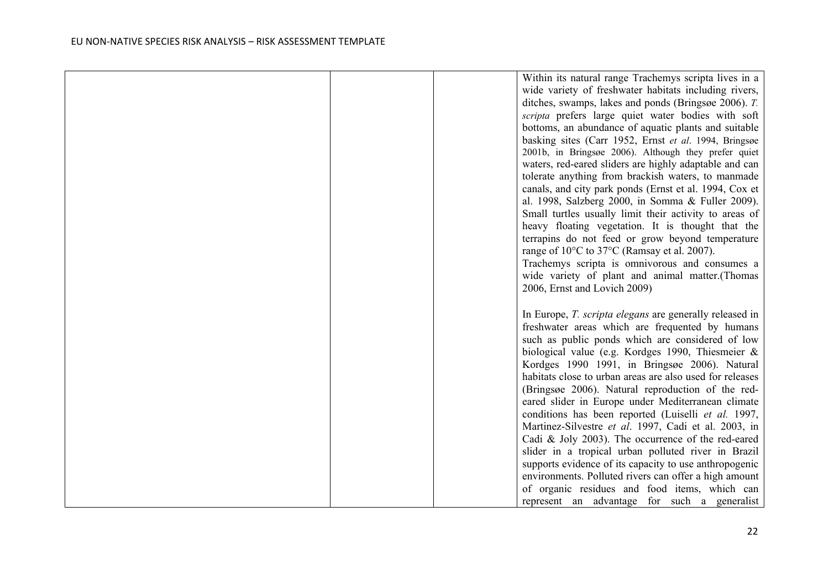|  | Within its natural range Trachemys scripta lives in a    |
|--|----------------------------------------------------------|
|  | wide variety of freshwater habitats including rivers,    |
|  | ditches, swamps, lakes and ponds (Bringsøe 2006). T.     |
|  | scripta prefers large quiet water bodies with soft       |
|  | bottoms, an abundance of aquatic plants and suitable     |
|  |                                                          |
|  | basking sites (Carr 1952, Ernst et al. 1994, Bringsøe    |
|  | 2001b, in Bringsøe 2006). Although they prefer quiet     |
|  | waters, red-eared sliders are highly adaptable and can   |
|  | tolerate anything from brackish waters, to manmade       |
|  | canals, and city park ponds (Ernst et al. 1994, Cox et   |
|  | al. 1998, Salzberg 2000, in Somma & Fuller 2009).        |
|  | Small turtles usually limit their activity to areas of   |
|  | heavy floating vegetation. It is thought that the        |
|  | terrapins do not feed or grow beyond temperature         |
|  | range of 10°C to 37°C (Ramsay et al. 2007).              |
|  | Trachemys scripta is omnivorous and consumes a           |
|  | wide variety of plant and animal matter.(Thomas          |
|  |                                                          |
|  | 2006, Ernst and Lovich 2009)                             |
|  |                                                          |
|  | In Europe, T. scripta elegans are generally released in  |
|  | freshwater areas which are frequented by humans          |
|  | such as public ponds which are considered of low         |
|  | biological value (e.g. Kordges 1990, Thiesmeier &        |
|  | Kordges 1990 1991, in Bringsøe 2006). Natural            |
|  | habitats close to urban areas are also used for releases |
|  | (Bringsøe 2006). Natural reproduction of the red-        |
|  | eared slider in Europe under Mediterranean climate       |
|  | conditions has been reported (Luiselli et al. 1997,      |
|  |                                                          |
|  | Martinez-Silvestre et al. 1997, Cadi et al. 2003, in     |
|  | Cadi & Joly 2003). The occurrence of the red-eared       |
|  | slider in a tropical urban polluted river in Brazil      |
|  | supports evidence of its capacity to use anthropogenic   |
|  | environments. Polluted rivers can offer a high amount    |
|  | of organic residues and food items, which can            |
|  | represent an advantage for such a generalist             |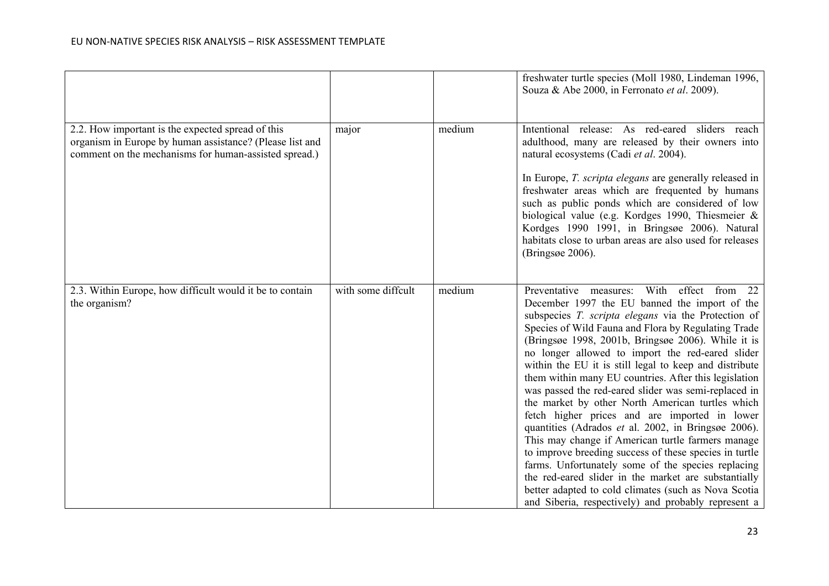|                                                                                                                                                                        |                    |        | freshwater turtle species (Moll 1980, Lindeman 1996,<br>Souza & Abe 2000, in Ferronato et al. 2009).                                                                                                                                                                                                                                                                                                                                                                                                                                                                                                                                                                                                                                                                                                                                                                                                                                                                                                            |
|------------------------------------------------------------------------------------------------------------------------------------------------------------------------|--------------------|--------|-----------------------------------------------------------------------------------------------------------------------------------------------------------------------------------------------------------------------------------------------------------------------------------------------------------------------------------------------------------------------------------------------------------------------------------------------------------------------------------------------------------------------------------------------------------------------------------------------------------------------------------------------------------------------------------------------------------------------------------------------------------------------------------------------------------------------------------------------------------------------------------------------------------------------------------------------------------------------------------------------------------------|
| 2.2. How important is the expected spread of this<br>organism in Europe by human assistance? (Please list and<br>comment on the mechanisms for human-assisted spread.) | major              | medium | Intentional release: As red-eared sliders reach<br>adulthood, many are released by their owners into<br>natural ecosystems (Cadi et al. 2004).<br>In Europe, T. scripta elegans are generally released in<br>freshwater areas which are frequented by humans<br>such as public ponds which are considered of low<br>biological value (e.g. Kordges 1990, Thiesmeier &<br>Kordges 1990 1991, in Bringsøe 2006). Natural<br>habitats close to urban areas are also used for releases<br>(Bringsøe 2006).                                                                                                                                                                                                                                                                                                                                                                                                                                                                                                          |
| 2.3. Within Europe, how difficult would it be to contain<br>the organism?                                                                                              | with some diffcult | medium | Preventative measures:<br>With<br>effect from<br>22<br>December 1997 the EU banned the import of the<br>subspecies T. scripta elegans via the Protection of<br>Species of Wild Fauna and Flora by Regulating Trade<br>(Bringsøe 1998, 2001b, Bringsøe 2006). While it is<br>no longer allowed to import the red-eared slider<br>within the EU it is still legal to keep and distribute<br>them within many EU countries. After this legislation<br>was passed the red-eared slider was semi-replaced in<br>the market by other North American turtles which<br>fetch higher prices and are imported in lower<br>quantities (Adrados et al. 2002, in Bringsøe 2006).<br>This may change if American turtle farmers manage<br>to improve breeding success of these species in turtle<br>farms. Unfortunately some of the species replacing<br>the red-eared slider in the market are substantially<br>better adapted to cold climates (such as Nova Scotia<br>and Siberia, respectively) and probably represent a |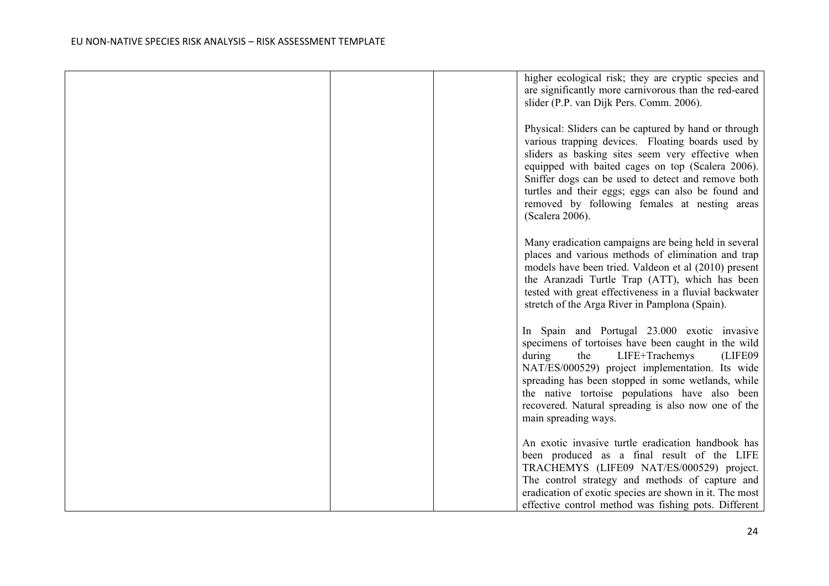|  | higher ecological risk; they are cryptic species and<br>are significantly more carnivorous than the red-eared<br>slider (P.P. van Dijk Pers. Comm. 2006).                                                                                                                                                                                                                                           |
|--|-----------------------------------------------------------------------------------------------------------------------------------------------------------------------------------------------------------------------------------------------------------------------------------------------------------------------------------------------------------------------------------------------------|
|  | Physical: Sliders can be captured by hand or through<br>various trapping devices. Floating boards used by<br>sliders as basking sites seem very effective when<br>equipped with baited cages on top (Scalera 2006).<br>Sniffer dogs can be used to detect and remove both<br>turtles and their eggs; eggs can also be found and<br>removed by following females at nesting areas<br>(Scalera 2006). |
|  | Many eradication campaigns are being held in several<br>places and various methods of elimination and trap<br>models have been tried. Valdeon et al (2010) present<br>the Aranzadi Turtle Trap (ATT), which has been<br>tested with great effectiveness in a fluvial backwater<br>stretch of the Arga River in Pamplona (Spain).                                                                    |
|  | In Spain and Portugal 23.000 exotic invasive<br>specimens of tortoises have been caught in the wild<br>LIFE+Trachemys<br>during<br>the<br>(LIFE09)<br>NAT/ES/000529) project implementation. Its wide<br>spreading has been stopped in some wetlands, while<br>the native tortoise populations have also been<br>recovered. Natural spreading is also now one of the<br>main spreading ways.        |
|  | An exotic invasive turtle eradication handbook has<br>been produced as a final result of the LIFE<br>TRACHEMYS (LIFE09 NAT/ES/000529) project.<br>The control strategy and methods of capture and<br>eradication of exotic species are shown in it. The most<br>effective control method was fishing pots. Different                                                                                |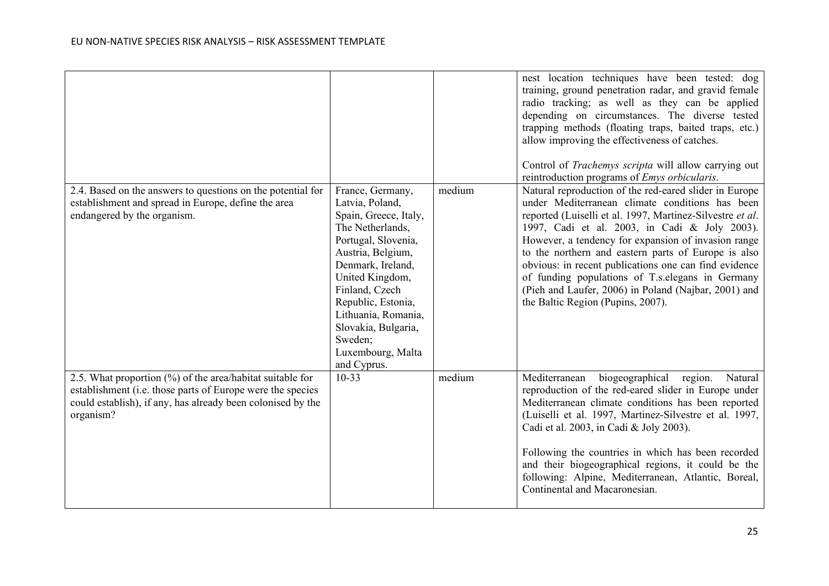|                                                                                                                                                                                                     |                                                                                                                                                                                                                                                                                                           |        | nest location techniques have been tested: dog<br>training, ground penetration radar, and gravid female<br>radio tracking; as well as they can be applied<br>depending on circumstances. The diverse tested<br>trapping methods (floating traps, baited traps, etc.)<br>allow improving the effectiveness of catches.<br>Control of Trachemys scripta will allow carrying out<br>reintroduction programs of <i>Emys orbicularis</i> .                                                                                                            |
|-----------------------------------------------------------------------------------------------------------------------------------------------------------------------------------------------------|-----------------------------------------------------------------------------------------------------------------------------------------------------------------------------------------------------------------------------------------------------------------------------------------------------------|--------|--------------------------------------------------------------------------------------------------------------------------------------------------------------------------------------------------------------------------------------------------------------------------------------------------------------------------------------------------------------------------------------------------------------------------------------------------------------------------------------------------------------------------------------------------|
| 2.4. Based on the answers to questions on the potential for<br>establishment and spread in Europe, define the area<br>endangered by the organism.                                                   | France, Germany,<br>Latvia, Poland,<br>Spain, Greece, Italy,<br>The Netherlands,<br>Portugal, Slovenia,<br>Austria, Belgium,<br>Denmark, Ireland,<br>United Kingdom,<br>Finland, Czech<br>Republic, Estonia,<br>Lithuania, Romania,<br>Slovakia, Bulgaria,<br>Sweden;<br>Luxembourg, Malta<br>and Cyprus. | medium | Natural reproduction of the red-eared slider in Europe<br>under Mediterranean climate conditions has been<br>reported (Luiselli et al. 1997, Martinez-Silvestre et al.<br>1997, Cadi et al. 2003, in Cadi & Joly 2003).<br>However, a tendency for expansion of invasion range<br>to the northern and eastern parts of Europe is also<br>obvious: in recent publications one can find evidence<br>of funding populations of T.s. elegans in Germany<br>(Pieh and Laufer, 2006) in Poland (Najbar, 2001) and<br>the Baltic Region (Pupins, 2007). |
| 2.5. What proportion (%) of the area/habitat suitable for<br>establishment (i.e. those parts of Europe were the species<br>could establish), if any, has already been colonised by the<br>organism? | $10 - 33$                                                                                                                                                                                                                                                                                                 | medium | Mediterranean<br>biogeographical region.<br>Natural<br>reproduction of the red-eared slider in Europe under<br>Mediterranean climate conditions has been reported<br>(Luiselli et al. 1997, Martinez-Silvestre et al. 1997,<br>Cadi et al. 2003, in Cadi & Joly 2003).<br>Following the countries in which has been recorded<br>and their biogeographical regions, it could be the<br>following: Alpine, Mediterranean, Atlantic, Boreal,<br>Continental and Macaronesian.                                                                       |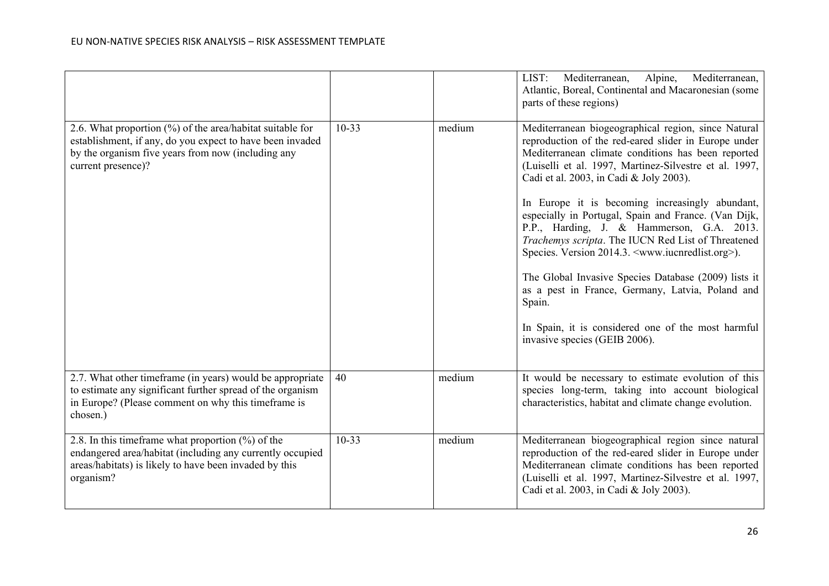|                                                                                                                                                                                                    |           |        | Mediterranean,<br>Alpine,<br>Mediterranean,<br>LIST:<br>Atlantic, Boreal, Continental and Macaronesian (some<br>parts of these regions)                                                                                                                                                                                                                                                                                                                                                                                                                        |
|----------------------------------------------------------------------------------------------------------------------------------------------------------------------------------------------------|-----------|--------|----------------------------------------------------------------------------------------------------------------------------------------------------------------------------------------------------------------------------------------------------------------------------------------------------------------------------------------------------------------------------------------------------------------------------------------------------------------------------------------------------------------------------------------------------------------|
| 2.6. What proportion (%) of the area/habitat suitable for<br>establishment, if any, do you expect to have been invaded<br>by the organism five years from now (including any<br>current presence)? | $10 - 33$ | medium | Mediterranean biogeographical region, since Natural<br>reproduction of the red-eared slider in Europe under<br>Mediterranean climate conditions has been reported<br>(Luiselli et al. 1997, Martinez-Silvestre et al. 1997,<br>Cadi et al. 2003, in Cadi & Joly 2003).<br>In Europe it is becoming increasingly abundant,<br>especially in Portugal, Spain and France. (Van Dijk,<br>P.P., Harding, J. & Hammerson, G.A. 2013.<br>Trachemys scripta. The IUCN Red List of Threatened<br>Species. Version 2014.3. <www.iucnredlist.org>).</www.iucnredlist.org> |
|                                                                                                                                                                                                    |           |        | The Global Invasive Species Database (2009) lists it<br>as a pest in France, Germany, Latvia, Poland and<br>Spain.                                                                                                                                                                                                                                                                                                                                                                                                                                             |
|                                                                                                                                                                                                    |           |        | In Spain, it is considered one of the most harmful<br>invasive species (GEIB 2006).                                                                                                                                                                                                                                                                                                                                                                                                                                                                            |
| 2.7. What other timeframe (in years) would be appropriate<br>to estimate any significant further spread of the organism<br>in Europe? (Please comment on why this timeframe is<br>chosen.)         | 40        | medium | It would be necessary to estimate evolution of this<br>species long-term, taking into account biological<br>characteristics, habitat and climate change evolution.                                                                                                                                                                                                                                                                                                                                                                                             |
| 2.8. In this time frame what proportion $(\%)$ of the<br>endangered area/habitat (including any currently occupied<br>areas/habitats) is likely to have been invaded by this<br>organism?          | $10 - 33$ | medium | Mediterranean biogeographical region since natural<br>reproduction of the red-eared slider in Europe under<br>Mediterranean climate conditions has been reported<br>(Luiselli et al. 1997, Martinez-Silvestre et al. 1997,<br>Cadi et al. 2003, in Cadi & Joly 2003).                                                                                                                                                                                                                                                                                          |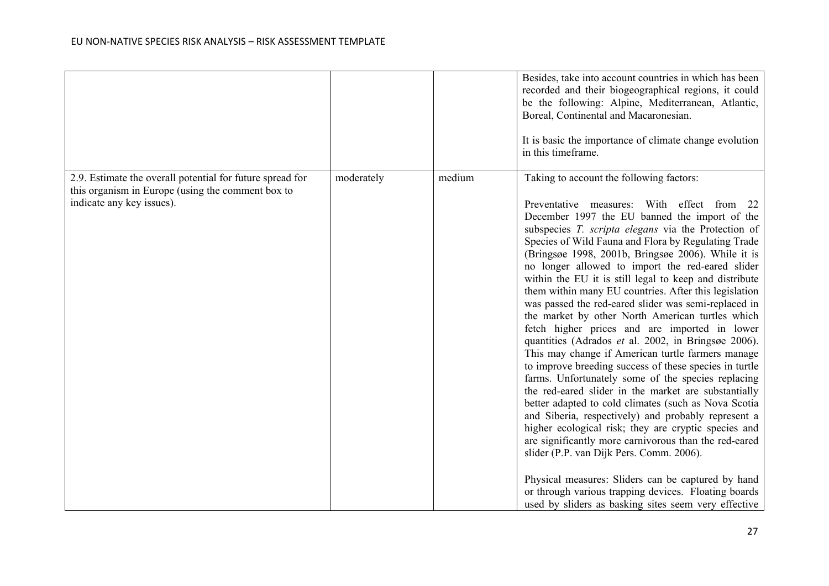|                                                                                                                                             |            |        | Besides, take into account countries in which has been<br>recorded and their biogeographical regions, it could<br>be the following: Alpine, Mediterranean, Atlantic,<br>Boreal, Continental and Macaronesian.<br>It is basic the importance of climate change evolution<br>in this timeframe.                                                                                                                                                                                                                                                                                                                                                                                                                                                                                                                                                                                                                                                                                                                                                                                                                                                                                                                                                                                                                                                                                            |
|---------------------------------------------------------------------------------------------------------------------------------------------|------------|--------|------------------------------------------------------------------------------------------------------------------------------------------------------------------------------------------------------------------------------------------------------------------------------------------------------------------------------------------------------------------------------------------------------------------------------------------------------------------------------------------------------------------------------------------------------------------------------------------------------------------------------------------------------------------------------------------------------------------------------------------------------------------------------------------------------------------------------------------------------------------------------------------------------------------------------------------------------------------------------------------------------------------------------------------------------------------------------------------------------------------------------------------------------------------------------------------------------------------------------------------------------------------------------------------------------------------------------------------------------------------------------------------|
| 2.9. Estimate the overall potential for future spread for<br>this organism in Europe (using the comment box to<br>indicate any key issues). | moderately | medium | Taking to account the following factors:<br>Preventative measures: With effect from<br>22<br>December 1997 the EU banned the import of the<br>subspecies T. scripta elegans via the Protection of<br>Species of Wild Fauna and Flora by Regulating Trade<br>(Bringsøe 1998, 2001b, Bringsøe 2006). While it is<br>no longer allowed to import the red-eared slider<br>within the EU it is still legal to keep and distribute<br>them within many EU countries. After this legislation<br>was passed the red-eared slider was semi-replaced in<br>the market by other North American turtles which<br>fetch higher prices and are imported in lower<br>quantities (Adrados et al. 2002, in Bringsøe 2006).<br>This may change if American turtle farmers manage<br>to improve breeding success of these species in turtle<br>farms. Unfortunately some of the species replacing<br>the red-eared slider in the market are substantially<br>better adapted to cold climates (such as Nova Scotia<br>and Siberia, respectively) and probably represent a<br>higher ecological risk; they are cryptic species and<br>are significantly more carnivorous than the red-eared<br>slider (P.P. van Dijk Pers. Comm. 2006).<br>Physical measures: Sliders can be captured by hand<br>or through various trapping devices. Floating boards<br>used by sliders as basking sites seem very effective |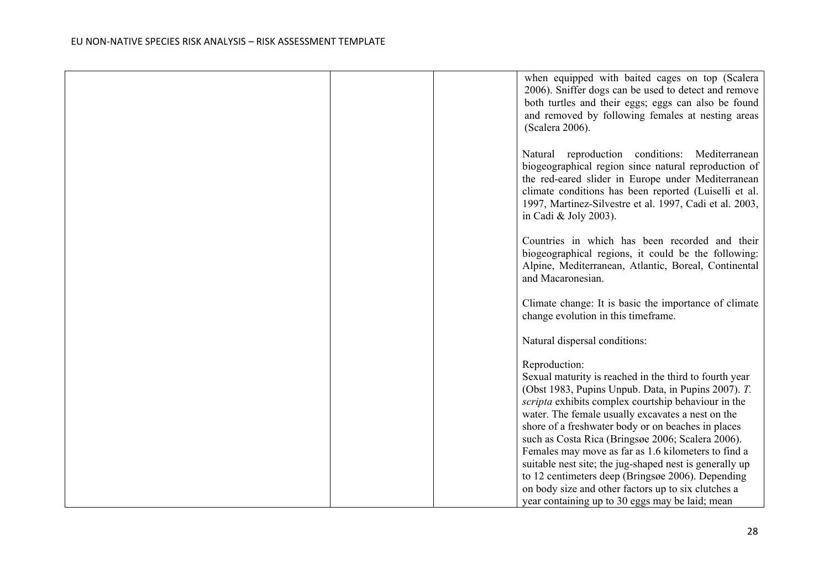|  | when equipped with baited cages on top (Scalera<br>2006). Sniffer dogs can be used to detect and remove<br>both turtles and their eggs; eggs can also be found<br>and removed by following females at nesting areas<br>(Scalera 2006).                                                                    |
|--|-----------------------------------------------------------------------------------------------------------------------------------------------------------------------------------------------------------------------------------------------------------------------------------------------------------|
|  | Natural reproduction conditions: Mediterranean<br>biogeographical region since natural reproduction of<br>the red-eared slider in Europe under Mediterranean<br>climate conditions has been reported (Luiselli et al.<br>1997, Martinez-Silvestre et al. 1997, Cadi et al. 2003,<br>in Cadi & Joly 2003). |
|  | Countries in which has been recorded and their<br>biogeographical regions, it could be the following:<br>Alpine, Mediterranean, Atlantic, Boreal, Continental<br>and Macaronesian.                                                                                                                        |
|  | Climate change: It is basic the importance of climate<br>change evolution in this timeframe.                                                                                                                                                                                                              |
|  | Natural dispersal conditions:                                                                                                                                                                                                                                                                             |
|  | Reproduction:                                                                                                                                                                                                                                                                                             |
|  | Sexual maturity is reached in the third to fourth year                                                                                                                                                                                                                                                    |
|  | (Obst 1983, Pupins Unpub. Data, in Pupins 2007). T.                                                                                                                                                                                                                                                       |
|  | scripta exhibits complex courtship behaviour in the<br>water. The female usually excavates a nest on the                                                                                                                                                                                                  |
|  | shore of a freshwater body or on beaches in places                                                                                                                                                                                                                                                        |
|  | such as Costa Rica (Bringsøe 2006; Scalera 2006).                                                                                                                                                                                                                                                         |
|  | Females may move as far as 1.6 kilometers to find a                                                                                                                                                                                                                                                       |
|  | suitable nest site; the jug-shaped nest is generally up<br>to 12 centimeters deep (Bringsøe 2006). Depending                                                                                                                                                                                              |
|  | on body size and other factors up to six clutches a                                                                                                                                                                                                                                                       |
|  | year containing up to 30 eggs may be laid; mean                                                                                                                                                                                                                                                           |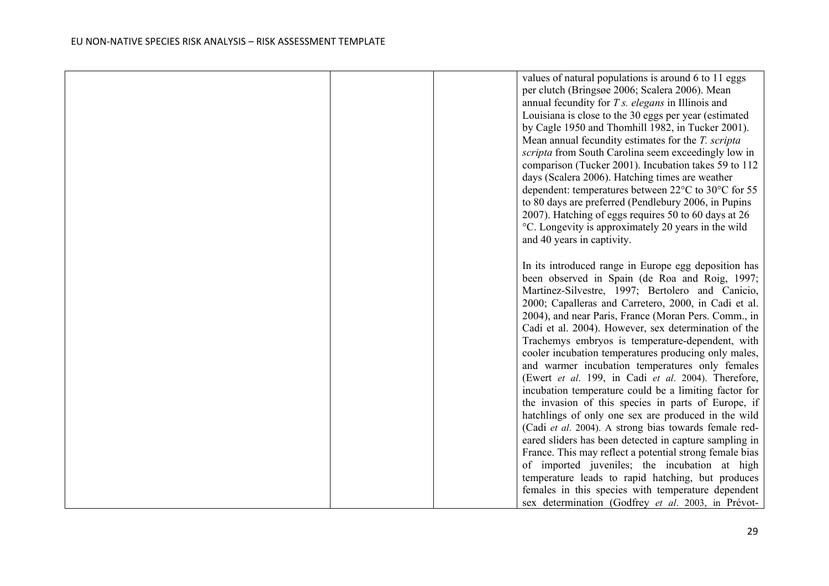|  | values of natural populations is around 6 to 11 eggs    |
|--|---------------------------------------------------------|
|  | per clutch (Bringsøe 2006; Scalera 2006). Mean          |
|  | annual fecundity for $T s$ . elegans in Illinois and    |
|  | Louisiana is close to the 30 eggs per year (estimated   |
|  | by Cagle 1950 and Thomhill 1982, in Tucker 2001).       |
|  | Mean annual fecundity estimates for the T. scripta      |
|  | scripta from South Carolina seem exceedingly low in     |
|  | comparison (Tucker 2001). Incubation takes 59 to 112    |
|  | days (Scalera 2006). Hatching times are weather         |
|  | dependent: temperatures between 22°C to 30°C for 55     |
|  | to 80 days are preferred (Pendlebury 2006, in Pupins    |
|  | 2007). Hatching of eggs requires 50 to 60 days at 26    |
|  | °C. Longevity is approximately 20 years in the wild     |
|  | and 40 years in captivity.                              |
|  |                                                         |
|  | In its introduced range in Europe egg deposition has    |
|  | been observed in Spain (de Roa and Roig, 1997;          |
|  | Martinez-Silvestre, 1997; Bertolero and Canicio,        |
|  | 2000; Capalleras and Carretero, 2000, in Cadi et al.    |
|  | 2004), and near Paris, France (Moran Pers. Comm., in    |
|  | Cadi et al. 2004). However, sex determination of the    |
|  | Trachemys embryos is temperature-dependent, with        |
|  | cooler incubation temperatures producing only males,    |
|  | and warmer incubation temperatures only females         |
|  | (Ewert et al. 199, in Cadi et al. 2004). Therefore,     |
|  | incubation temperature could be a limiting factor for   |
|  | the invasion of this species in parts of Europe, if     |
|  | hatchlings of only one sex are produced in the wild     |
|  | (Cadi et al. 2004). A strong bias towards female red-   |
|  | eared sliders has been detected in capture sampling in  |
|  | France. This may reflect a potential strong female bias |
|  | of imported juveniles; the incubation at high           |
|  | temperature leads to rapid hatching, but produces       |
|  | females in this species with temperature dependent      |
|  | sex determination (Godfrey et al. 2003, in Prévot-      |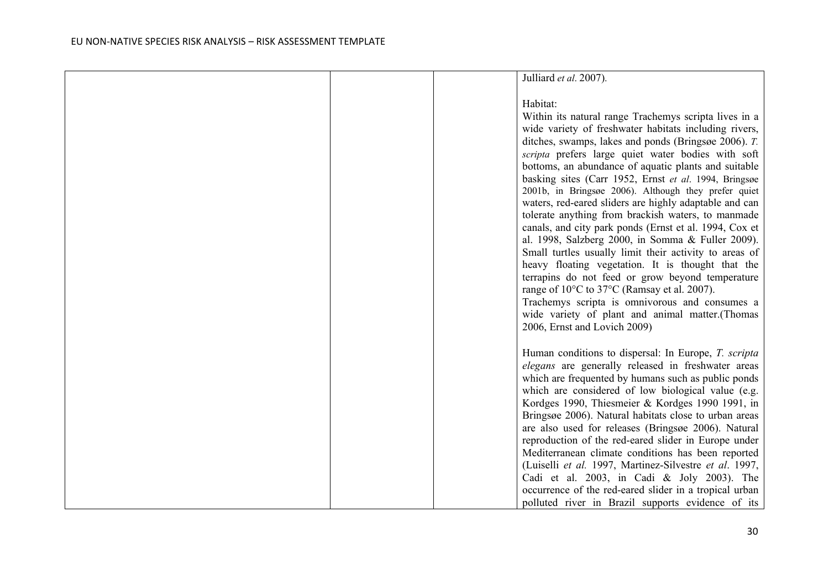|  | Julliard et al. 2007).                                 |
|--|--------------------------------------------------------|
|  |                                                        |
|  |                                                        |
|  | Habitat:                                               |
|  | Within its natural range Trachemys scripta lives in a  |
|  | wide variety of freshwater habitats including rivers,  |
|  | ditches, swamps, lakes and ponds (Bringsøe 2006). T.   |
|  | scripta prefers large quiet water bodies with soft     |
|  | bottoms, an abundance of aquatic plants and suitable   |
|  | basking sites (Carr 1952, Ernst et al. 1994, Bringsøe  |
|  | 2001b, in Bringsøe 2006). Although they prefer quiet   |
|  | waters, red-eared sliders are highly adaptable and can |
|  | tolerate anything from brackish waters, to manmade     |
|  | canals, and city park ponds (Ernst et al. 1994, Cox et |
|  | al. 1998, Salzberg 2000, in Somma & Fuller 2009).      |
|  | Small turtles usually limit their activity to areas of |
|  |                                                        |
|  | heavy floating vegetation. It is thought that the      |
|  | terrapins do not feed or grow beyond temperature       |
|  | range of 10°C to 37°C (Ramsay et al. 2007).            |
|  | Trachemys scripta is omnivorous and consumes a         |
|  | wide variety of plant and animal matter.(Thomas        |
|  | 2006, Ernst and Lovich 2009)                           |
|  |                                                        |
|  | Human conditions to dispersal: In Europe, T. scripta   |
|  | elegans are generally released in freshwater areas     |
|  | which are frequented by humans such as public ponds    |
|  | which are considered of low biological value (e.g.     |
|  | Kordges 1990, Thiesmeier & Kordges 1990 1991, in       |
|  |                                                        |
|  | Bringsøe 2006). Natural habitats close to urban areas  |
|  | are also used for releases (Bringsøe 2006). Natural    |
|  | reproduction of the red-eared slider in Europe under   |
|  | Mediterranean climate conditions has been reported     |
|  | (Luiselli et al. 1997, Martinez-Silvestre et al. 1997, |
|  | Cadi et al. 2003, in Cadi & Joly 2003). The            |
|  | occurrence of the red-eared slider in a tropical urban |
|  | polluted river in Brazil supports evidence of its      |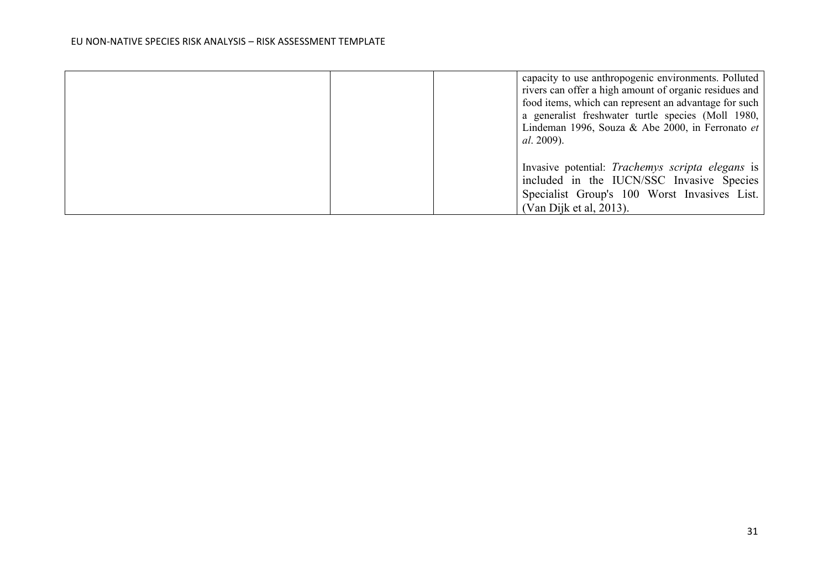|  | capacity to use anthropogenic environments. Polluted   |
|--|--------------------------------------------------------|
|  | rivers can offer a high amount of organic residues and |
|  | food items, which can represent an advantage for such  |
|  | a generalist freshwater turtle species (Moll 1980,     |
|  | Lindeman 1996, Souza & Abe 2000, in Ferronato et       |
|  | <i>al.</i> 2009).                                      |
|  |                                                        |
|  | Invasive potential: Trachemys scripta elegans is       |
|  | included in the IUCN/SSC Invasive Species              |
|  | Specialist Group's 100 Worst Invasives List.           |
|  | (Van Dijk et al, 2013).                                |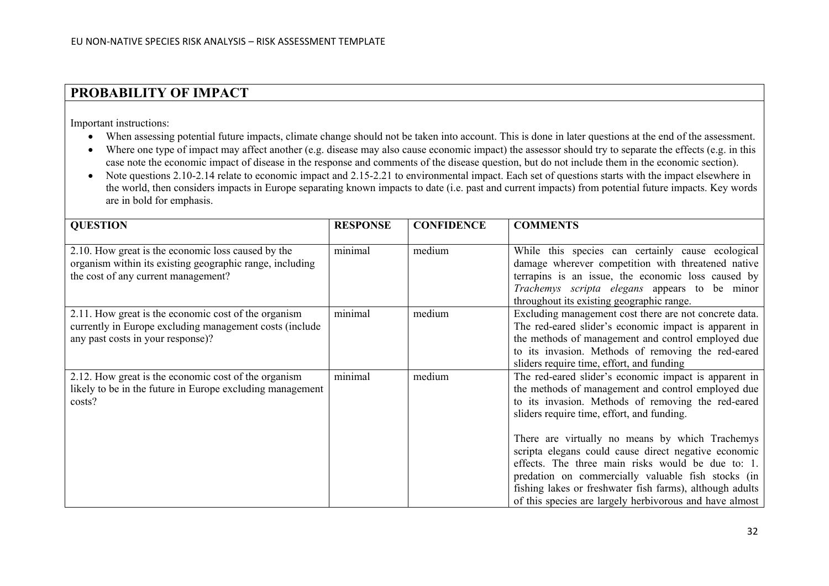## **PROBABILITY OF IMPACT**

Important instructions:

- When assessing potential future impacts, climate change should not be taken into account. This is done in later questions at the end of the assessment.
- Where one type of impact may affect another (e.g. disease may also cause economic impact) the assessor should try to separate the effects (e.g. in this case note the economic impact of disease in the response and comments of the disease question, but do not include them in the economic section).
- Note questions 2.10-2.14 relate to economic impact and 2.15-2.21 to environmental impact. Each set of questions starts with the impact elsewhere in the world, then considers impacts in Europe separating known impacts to date (i.e. past and current impacts) from potential future impacts. Key words are in bold for emphasis.

| <b>QUESTION</b>                                                                                                                                       | <b>RESPONSE</b> | <b>CONFIDENCE</b> | <b>COMMENTS</b>                                                                                                                                                                                                                                                                                                                                                                                                                                                                                                                                              |
|-------------------------------------------------------------------------------------------------------------------------------------------------------|-----------------|-------------------|--------------------------------------------------------------------------------------------------------------------------------------------------------------------------------------------------------------------------------------------------------------------------------------------------------------------------------------------------------------------------------------------------------------------------------------------------------------------------------------------------------------------------------------------------------------|
| 2.10. How great is the economic loss caused by the<br>organism within its existing geographic range, including<br>the cost of any current management? | minimal         | medium            | While this species can certainly cause ecological<br>damage wherever competition with threatened native<br>terrapins is an issue, the economic loss caused by<br>Trachemys scripta elegans appears to be minor<br>throughout its existing geographic range.                                                                                                                                                                                                                                                                                                  |
| 2.11. How great is the economic cost of the organism<br>currently in Europe excluding management costs (include<br>any past costs in your response)?  | minimal         | medium            | Excluding management cost there are not concrete data.<br>The red-eared slider's economic impact is apparent in<br>the methods of management and control employed due<br>to its invasion. Methods of removing the red-eared<br>sliders require time, effort, and funding                                                                                                                                                                                                                                                                                     |
| 2.12. How great is the economic cost of the organism<br>likely to be in the future in Europe excluding management<br>costs?                           | minimal         | medium            | The red-eared slider's economic impact is apparent in<br>the methods of management and control employed due<br>to its invasion. Methods of removing the red-eared<br>sliders require time, effort, and funding.<br>There are virtually no means by which Trachemys<br>scripta elegans could cause direct negative economic<br>effects. The three main risks would be due to: 1.<br>predation on commercially valuable fish stocks (in<br>fishing lakes or freshwater fish farms), although adults<br>of this species are largely herbivorous and have almost |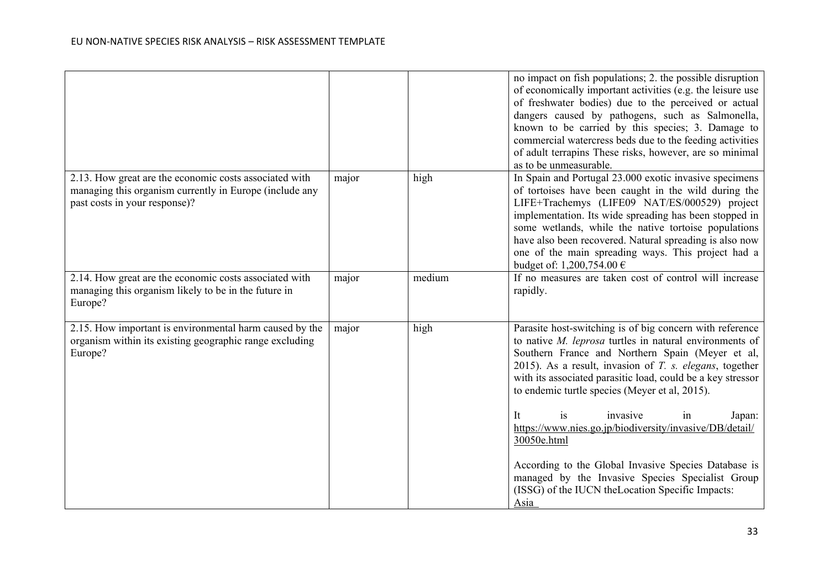|                                                                                                                                                    |       |        | no impact on fish populations; 2. the possible disruption<br>of economically important activities (e.g. the leisure use<br>of freshwater bodies) due to the perceived or actual<br>dangers caused by pathogens, such as Salmonella,<br>known to be carried by this species; 3. Damage to<br>commercial watercress beds due to the feeding activities<br>of adult terrapins These risks, however, are so minimal<br>as to be unmeasurable.                                                                                                                                                                                                            |
|----------------------------------------------------------------------------------------------------------------------------------------------------|-------|--------|------------------------------------------------------------------------------------------------------------------------------------------------------------------------------------------------------------------------------------------------------------------------------------------------------------------------------------------------------------------------------------------------------------------------------------------------------------------------------------------------------------------------------------------------------------------------------------------------------------------------------------------------------|
| 2.13. How great are the economic costs associated with<br>managing this organism currently in Europe (include any<br>past costs in your response)? | major | high   | In Spain and Portugal 23.000 exotic invasive specimens<br>of tortoises have been caught in the wild during the<br>LIFE+Trachemys (LIFE09 NAT/ES/000529) project<br>implementation. Its wide spreading has been stopped in<br>some wetlands, while the native tortoise populations<br>have also been recovered. Natural spreading is also now<br>one of the main spreading ways. This project had a<br>budget of: 1,200,754.00 €                                                                                                                                                                                                                      |
| 2.14. How great are the economic costs associated with<br>managing this organism likely to be in the future in<br>Europe?                          | major | medium | If no measures are taken cost of control will increase<br>rapidly.                                                                                                                                                                                                                                                                                                                                                                                                                                                                                                                                                                                   |
| 2.15. How important is environmental harm caused by the<br>organism within its existing geographic range excluding<br>Europe?                      | major | high   | Parasite host-switching is of big concern with reference<br>to native $M$ . leprosa turtles in natural environments of<br>Southern France and Northern Spain (Meyer et al,<br>2015). As a result, invasion of $T$ . s. elegans, together<br>with its associated parasitic load, could be a key stressor<br>to endemic turtle species (Meyer et al, 2015).<br>invasive<br>It<br>is<br>Japan:<br>in<br>https://www.nies.go.jp/biodiversity/invasive/DB/detail/<br>30050e.html<br>According to the Global Invasive Species Database is<br>managed by the Invasive Species Specialist Group<br>(ISSG) of the IUCN the Location Specific Impacts:<br>Asia |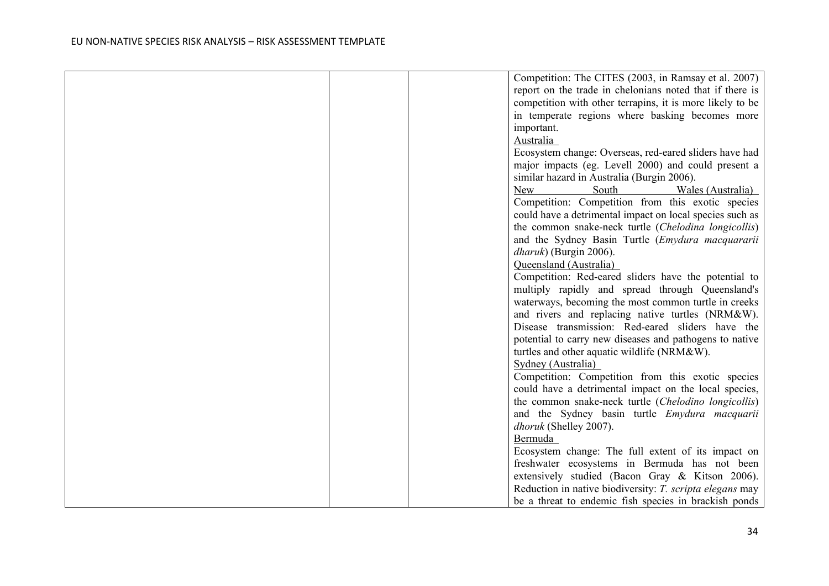|  | Competition: The CITES (2003, in Ramsay et al. 2007)      |
|--|-----------------------------------------------------------|
|  | report on the trade in chelonians noted that if there is  |
|  | competition with other terrapins, it is more likely to be |
|  | in temperate regions where basking becomes more           |
|  | important.                                                |
|  | Australia                                                 |
|  | Ecosystem change: Overseas, red-eared sliders have had    |
|  | major impacts (eg. Levell 2000) and could present a       |
|  | similar hazard in Australia (Burgin 2006).                |
|  | New<br>South<br>Wales (Australia)                         |
|  | Competition: Competition from this exotic species         |
|  | could have a detrimental impact on local species such as  |
|  | the common snake-neck turtle (Chelodina longicollis)      |
|  | and the Sydney Basin Turtle (Emydura macquararii          |
|  | <i>dharuk</i> ) (Burgin 2006).                            |
|  | Queensland (Australia)                                    |
|  | Competition: Red-eared sliders have the potential to      |
|  | multiply rapidly and spread through Queensland's          |
|  | waterways, becoming the most common turtle in creeks      |
|  | and rivers and replacing native turtles (NRM&W).          |
|  | Disease transmission: Red-eared sliders have the          |
|  | potential to carry new diseases and pathogens to native   |
|  | turtles and other aquatic wildlife (NRM&W).               |
|  | Sydney (Australia)                                        |
|  | Competition: Competition from this exotic species         |
|  | could have a detrimental impact on the local species,     |
|  | the common snake-neck turtle (Chelodino longicollis)      |
|  | and the Sydney basin turtle <i>Emydura macquarii</i>      |
|  | dhoruk (Shelley 2007).                                    |
|  | Bermuda                                                   |
|  | Ecosystem change: The full extent of its impact on        |
|  | freshwater ecosystems in Bermuda has not been             |
|  | extensively studied (Bacon Gray & Kitson 2006).           |
|  | Reduction in native biodiversity: T. scripta elegans may  |
|  | be a threat to endemic fish species in brackish ponds     |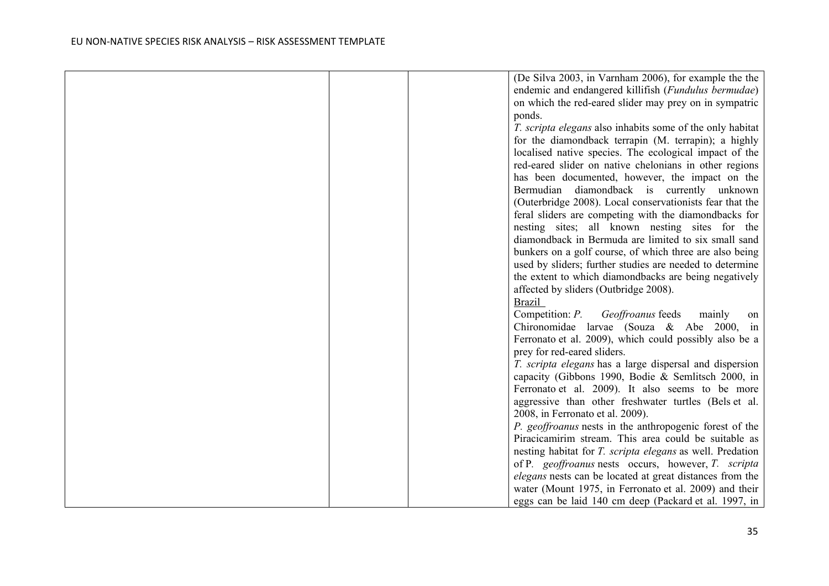|  | (De Silva 2003, in Varnham 2006), for example the the            |
|--|------------------------------------------------------------------|
|  | endemic and endangered killifish (Fundulus bermudae)             |
|  | on which the red-eared slider may prey on in sympatric           |
|  | ponds.                                                           |
|  | T. scripta elegans also inhabits some of the only habitat        |
|  | for the diamondback terrapin (M. terrapin); a highly             |
|  | localised native species. The ecological impact of the           |
|  | red-eared slider on native chelonians in other regions           |
|  | has been documented, however, the impact on the                  |
|  | Bermudian diamondback is currently unknown                       |
|  | (Outerbridge 2008). Local conservationists fear that the         |
|  | feral sliders are competing with the diamondbacks for            |
|  | nesting sites; all known nesting sites for the                   |
|  | diamondback in Bermuda are limited to six small sand             |
|  | bunkers on a golf course, of which three are also being          |
|  | used by sliders; further studies are needed to determine         |
|  | the extent to which diamondbacks are being negatively            |
|  | affected by sliders (Outbridge 2008).                            |
|  | <b>Brazil</b>                                                    |
|  | Competition: P. Geoffroanus feeds<br>mainly<br>on                |
|  | Chironomidae larvae (Souza & Abe 2000, in                        |
|  | Ferronato et al. 2009), which could possibly also be a           |
|  | prey for red-eared sliders.                                      |
|  | T. scripta elegans has a large dispersal and dispersion          |
|  | capacity (Gibbons 1990, Bodie & Semlitsch 2000, in               |
|  | Ferronato et al. 2009). It also seems to be more                 |
|  | aggressive than other freshwater turtles (Bels et al.            |
|  | 2008, in Ferronato et al. 2009).                                 |
|  | P. geoffroanus nests in the anthropogenic forest of the          |
|  | Piracicamirim stream. This area could be suitable as             |
|  | nesting habitat for <i>T. scripta elegans</i> as well. Predation |
|  | of P. geoffroanus nests occurs, however, T. scripta              |
|  | elegans nests can be located at great distances from the         |
|  | water (Mount 1975, in Ferronato et al. 2009) and their           |
|  | eggs can be laid 140 cm deep (Packard et al. 1997, in            |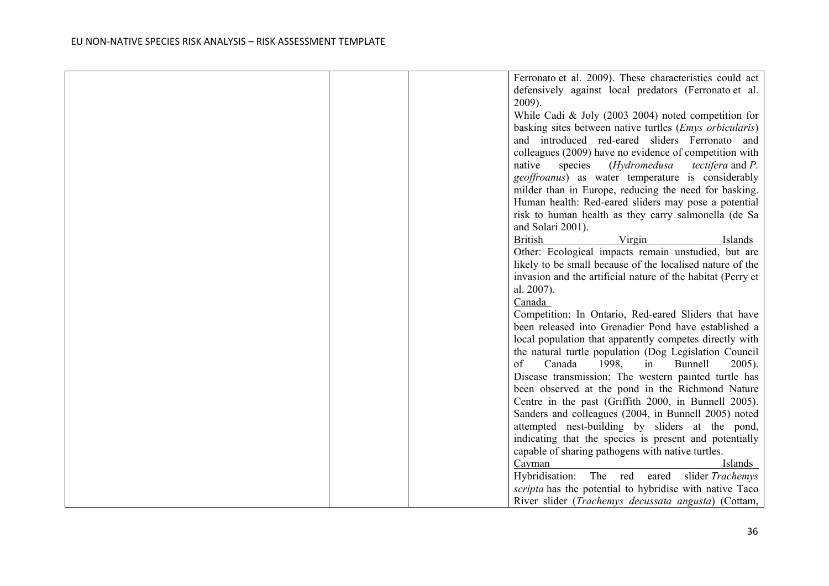|  | Ferronato et al. 2009). These characteristics could act              |
|--|----------------------------------------------------------------------|
|  | defensively against local predators (Ferronato et al.                |
|  | $2009$ ).                                                            |
|  | While Cadi & Joly (2003 2004) noted competition for                  |
|  | basking sites between native turtles ( <i>Emys orbicularis</i> )     |
|  | and introduced red-eared sliders Ferronato and                       |
|  | colleagues (2009) have no evidence of competition with               |
|  | native<br>species<br>(Hydromedusa<br><i>tectifera</i> and <i>P</i> . |
|  | geoffroanus) as water temperature is considerably                    |
|  | milder than in Europe, reducing the need for basking.                |
|  | Human health: Red-eared sliders may pose a potential                 |
|  | risk to human health as they carry salmonella (de Sa                 |
|  | and Solari 2001).                                                    |
|  | <b>British</b><br>Virgin<br>Islands                                  |
|  | Other: Ecological impacts remain unstudied, but are                  |
|  | likely to be small because of the localised nature of the            |
|  | invasion and the artificial nature of the habitat (Perry et          |
|  | al. 2007).                                                           |
|  | Canada                                                               |
|  | Competition: In Ontario, Red-eared Sliders that have                 |
|  | been released into Grenadier Pond have established a                 |
|  | local population that apparently competes directly with              |
|  | the natural turtle population (Dog Legislation Council               |
|  | 1998,<br>of<br>Canada<br><b>Bunnell</b><br>$2005$ ).<br>in           |
|  | Disease transmission: The western painted turtle has                 |
|  | been observed at the pond in the Richmond Nature                     |
|  | Centre in the past (Griffith 2000, in Bunnell 2005).                 |
|  | Sanders and colleagues (2004, in Bunnell 2005) noted                 |
|  | attempted nest-building by sliders at the pond,                      |
|  | indicating that the species is present and potentially               |
|  | capable of sharing pathogens with native turtles.                    |
|  | Cayman<br>Islands                                                    |
|  | Hybridisation:<br>The red eared<br>slider Trachemys                  |
|  | scripta has the potential to hybridise with native Taco              |
|  | River slider (Trachemys decussata angusta) (Cottam,                  |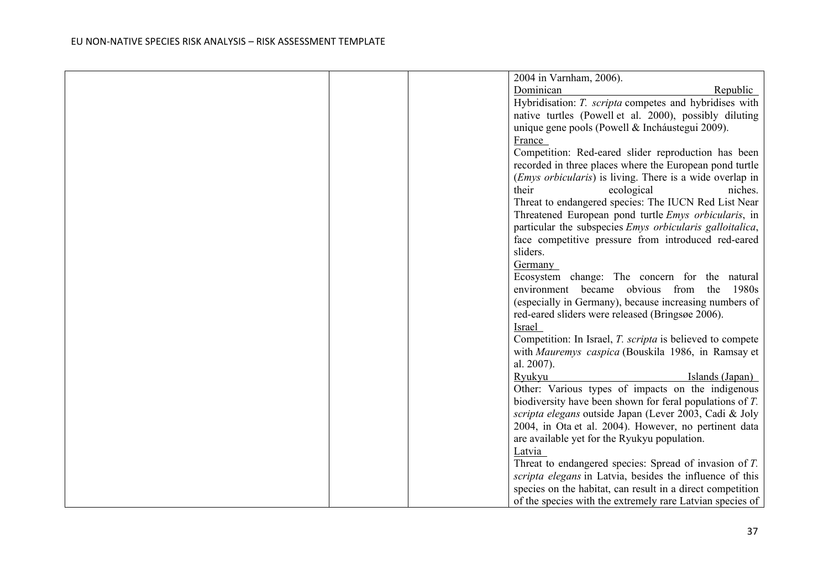|  | 2004 in Varnham, 2006).                                           |
|--|-------------------------------------------------------------------|
|  | Dominican<br>Republic                                             |
|  | Hybridisation: T. scripta competes and hybridises with            |
|  | native turtles (Powell et al. 2000), possibly diluting            |
|  | unique gene pools (Powell & Inchaustegui 2009).                   |
|  | France                                                            |
|  | Competition: Red-eared slider reproduction has been               |
|  | recorded in three places where the European pond turtle           |
|  | ( <i>Emys orbicularis</i> ) is living. There is a wide overlap in |
|  | their<br>ecological<br>niches.                                    |
|  | Threat to endangered species: The IUCN Red List Near              |
|  | Threatened European pond turtle <i>Emys orbicularis</i> , in      |
|  | particular the subspecies <i>Emys orbicularis galloitalica</i> ,  |
|  | face competitive pressure from introduced red-eared               |
|  | sliders.                                                          |
|  | Germany                                                           |
|  | Ecosystem change: The concern for the natural                     |
|  | environment became obvious from<br>the<br>1980s                   |
|  | (especially in Germany), because increasing numbers of            |
|  | red-eared sliders were released (Bringsøe 2006).                  |
|  | Israel                                                            |
|  | Competition: In Israel, <i>T. scripta</i> is believed to compete  |
|  | with Mauremys caspica (Bouskila 1986, in Ramsay et                |
|  | al. 2007).                                                        |
|  | Ryukyu<br>Islands (Japan)                                         |
|  | Other: Various types of impacts on the indigenous                 |
|  | biodiversity have been shown for feral populations of T.          |
|  | scripta elegans outside Japan (Lever 2003, Cadi & Joly            |
|  | 2004, in Ota et al. 2004). However, no pertinent data             |
|  | are available yet for the Ryukyu population.                      |
|  | Latvia                                                            |
|  | Threat to endangered species: Spread of invasion of T.            |
|  | scripta elegans in Latvia, besides the influence of this          |
|  | species on the habitat, can result in a direct competition        |
|  | of the species with the extremely rare Latvian species of         |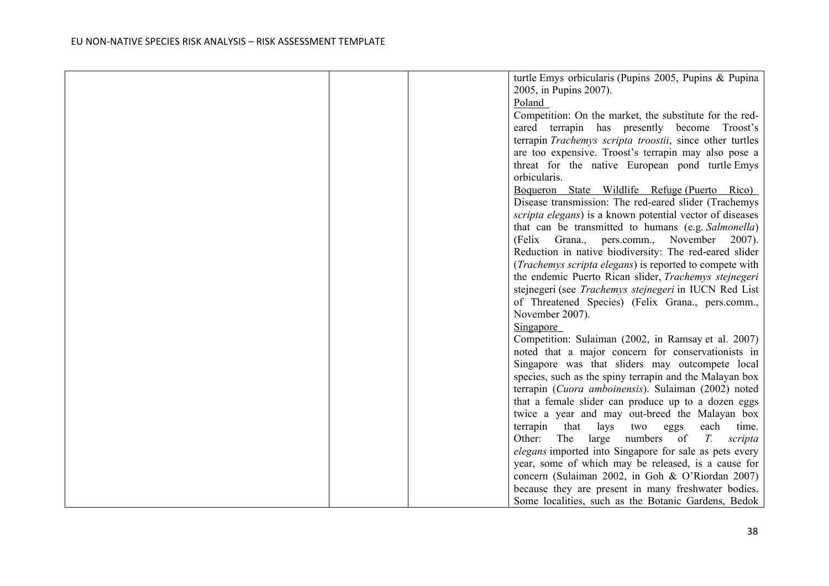|  | turtle Emys orbicularis (Pupins 2005, Pupins & Pupina            |
|--|------------------------------------------------------------------|
|  | 2005, in Pupins 2007).                                           |
|  | Poland                                                           |
|  | Competition: On the market, the substitute for the red-          |
|  | eared terrapin has presently become Troost's                     |
|  | terrapin Trachemys scripta troostii, since other turtles         |
|  | are too expensive. Troost's terrapin may also pose a             |
|  | threat for the native European pond turtle Emys                  |
|  | orbicularis.                                                     |
|  | Boqueron State Wildlife Refuge (Puerto Rico)                     |
|  | Disease transmission: The red-eared slider (Trachemys            |
|  | scripta elegans) is a known potential vector of diseases         |
|  | that can be transmitted to humans (e.g. Salmonella)              |
|  | (Felix Grana., pers.comm., November<br>2007).                    |
|  | Reduction in native biodiversity: The red-eared slider           |
|  | ( <i>Trachemys scripta elegans</i> ) is reported to compete with |
|  | the endemic Puerto Rican slider, Trachemys stejnegeri            |
|  | stejnegeri (see Trachemys stejnegeri in IUCN Red List            |
|  | of Threatened Species) (Felix Grana., pers.comm.,                |
|  | November 2007).                                                  |
|  | Singapore                                                        |
|  | Competition: Sulaiman (2002, in Ramsay et al. 2007)              |
|  | noted that a major concern for conservationists in               |
|  | Singapore was that sliders may outcompete local                  |
|  | species, such as the spiny terrapin and the Malayan box          |
|  | terrapin (Cuora amboinensis). Sulaiman (2002) noted              |
|  | that a female slider can produce up to a dozen eggs              |
|  | twice a year and may out-breed the Malayan box                   |
|  | that<br>terrapin<br>lays<br>two<br>each<br>time.<br>eggs         |
|  | numbers of<br>$T_{\cdot}$<br>Other:<br>The<br>large<br>scripta   |
|  | <i>elegans</i> imported into Singapore for sale as pets every    |
|  | year, some of which may be released, is a cause for              |
|  | concern (Sulaiman 2002, in Goh & O'Riordan 2007)                 |
|  | because they are present in many freshwater bodies.              |
|  | Some localities, such as the Botanic Gardens, Bedok              |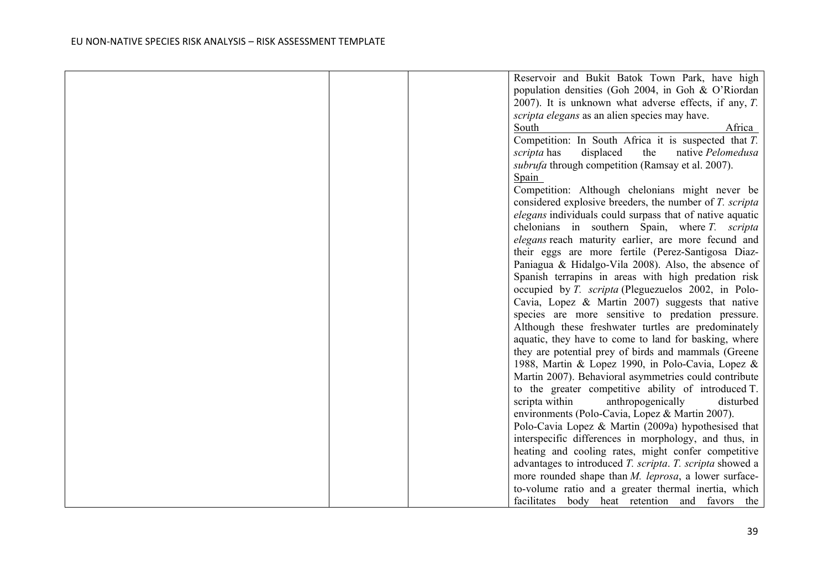|  | Reservoir and Bukit Batok Town Park, have high               |                   |
|--|--------------------------------------------------------------|-------------------|
|  | population densities (Goh 2004, in Goh & O'Riordan           |                   |
|  | 2007). It is unknown what adverse effects, if any, $T$ .     |                   |
|  | scripta elegans as an alien species may have.                |                   |
|  | South                                                        | Africa            |
|  | Competition: In South Africa it is suspected that $T$ .      |                   |
|  | displaced<br>the<br><i>scripta</i> has                       | native Pelomedusa |
|  | subrufa through competition (Ramsay et al. 2007).            |                   |
|  | Spain                                                        |                   |
|  | Competition: Although chelonians might never be              |                   |
|  | considered explosive breeders, the number of T. scripta      |                   |
|  | elegans individuals could surpass that of native aquatic     |                   |
|  | chelonians in southern Spain, where T. scripta               |                   |
|  | elegans reach maturity earlier, are more fecund and          |                   |
|  | their eggs are more fertile (Perez-Santigosa Diaz-           |                   |
|  | Paniagua & Hidalgo-Vila 2008). Also, the absence of          |                   |
|  | Spanish terrapins in areas with high predation risk          |                   |
|  | occupied by T. scripta (Pleguezuelos 2002, in Polo-          |                   |
|  | Cavia, Lopez & Martin 2007) suggests that native             |                   |
|  | species are more sensitive to predation pressure.            |                   |
|  | Although these freshwater turtles are predominately          |                   |
|  | aquatic, they have to come to land for basking, where        |                   |
|  | they are potential prey of birds and mammals (Greene         |                   |
|  | 1988, Martin & Lopez 1990, in Polo-Cavia, Lopez &            |                   |
|  | Martin 2007). Behavioral asymmetries could contribute        |                   |
|  | to the greater competitive ability of introduced T.          |                   |
|  | scripta within<br>anthropogenically                          | disturbed         |
|  | environments (Polo-Cavia, Lopez & Martin 2007).              |                   |
|  | Polo-Cavia Lopez & Martin (2009a) hypothesised that          |                   |
|  | interspecific differences in morphology, and thus, in        |                   |
|  | heating and cooling rates, might confer competitive          |                   |
|  | advantages to introduced T. scripta. T. scripta showed a     |                   |
|  | more rounded shape than <i>M. leprosa</i> , a lower surface- |                   |
|  | to-volume ratio and a greater thermal inertia, which         |                   |
|  | facilitates body heat retention and favors the               |                   |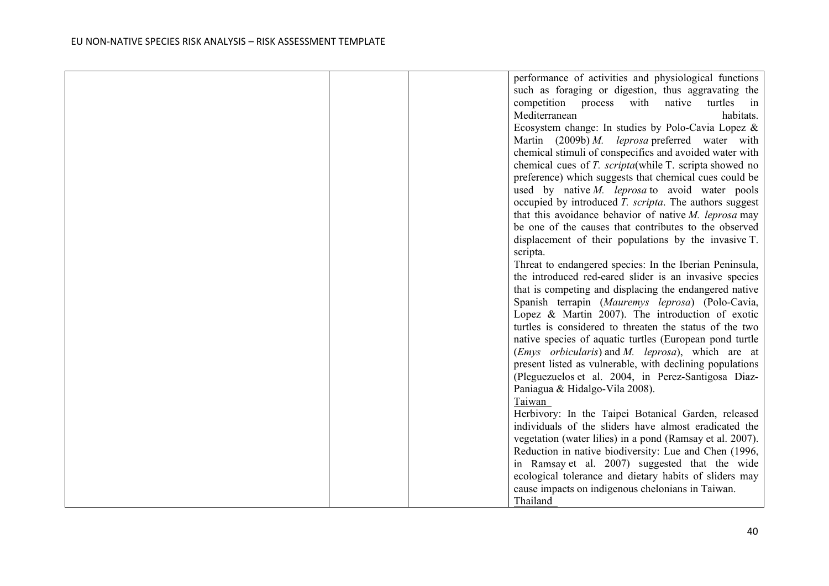|  | performance of activities and physiological functions                   |
|--|-------------------------------------------------------------------------|
|  | such as foraging or digestion, thus aggravating the                     |
|  | turtles<br>competition process with<br>native<br>$\overline{\text{in}}$ |
|  | habitats.<br>Mediterranean                                              |
|  | Ecosystem change: In studies by Polo-Cavia Lopez &                      |
|  | Martin $(2009b) M.$ leprosa preferred water with                        |
|  | chemical stimuli of conspecifics and avoided water with                 |
|  | chemical cues of T. scripta(while T. scripta showed no                  |
|  | preference) which suggests that chemical cues could be                  |
|  | used by native $M$ . <i>leprosa</i> to avoid water pools                |
|  | occupied by introduced T. scripta. The authors suggest                  |
|  | that this avoidance behavior of native $M$ . leprosa may                |
|  | be one of the causes that contributes to the observed                   |
|  | displacement of their populations by the invasive T.                    |
|  | scripta.                                                                |
|  | Threat to endangered species: In the Iberian Peninsula,                 |
|  | the introduced red-eared slider is an invasive species                  |
|  | that is competing and displacing the endangered native                  |
|  | Spanish terrapin (Mauremys leprosa) (Polo-Cavia,                        |
|  | Lopez & Martin 2007). The introduction of exotic                        |
|  | turtles is considered to threaten the status of the two                 |
|  | native species of aquatic turtles (European pond turtle                 |
|  | ( <i>Emys orbicularis</i> ) and <i>M. leprosa</i> ), which are at       |
|  | present listed as vulnerable, with declining populations                |
|  | (Pleguezuelos et al. 2004, in Perez-Santigosa Diaz-                     |
|  | Paniagua & Hidalgo-Vila 2008).                                          |
|  | Taiwan                                                                  |
|  | Herbivory: In the Taipei Botanical Garden, released                     |
|  | individuals of the sliders have almost eradicated the                   |
|  | vegetation (water lilies) in a pond (Ramsay et al. 2007).               |
|  | Reduction in native biodiversity: Lue and Chen (1996,                   |
|  | in Ramsay et al. 2007) suggested that the wide                          |
|  | ecological tolerance and dietary habits of sliders may                  |
|  | cause impacts on indigenous chelonians in Taiwan.                       |
|  | Thailand                                                                |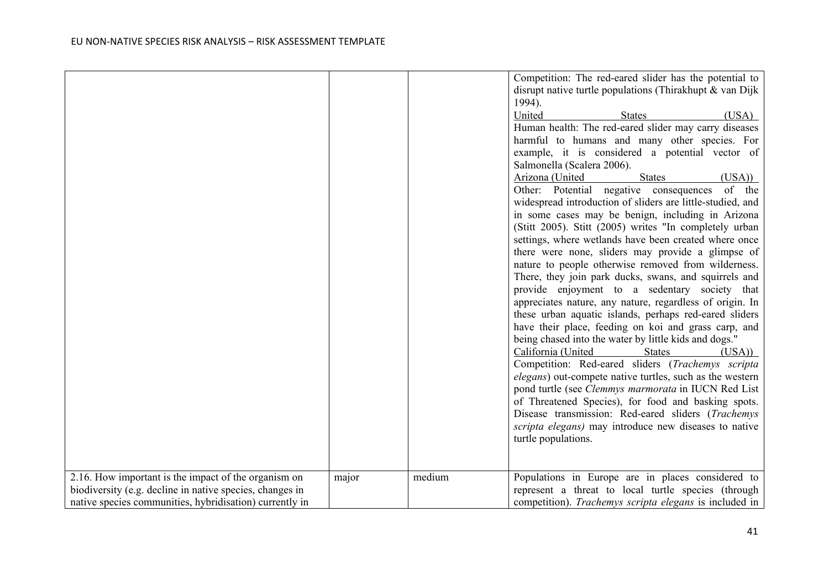|                                                                                                                                                                             |       |        | Competition: The red-eared slider has the potential to<br>disrupt native turtle populations (Thirakhupt & van Dijk<br>1994).<br>United<br>(USA)<br><b>States</b><br>Human health: The red-eared slider may carry diseases<br>harmful to humans and many other species. For<br>example, it is considered a potential vector of<br>Salmonella (Scalera 2006).<br>Arizona (United<br>(USA)<br><b>States</b><br>Other: Potential negative consequences of the<br>widespread introduction of sliders are little-studied, and<br>in some cases may be benign, including in Arizona<br>(Stitt 2005). Stitt (2005) writes "In completely urban<br>settings, where wetlands have been created where once<br>there were none, sliders may provide a glimpse of<br>nature to people otherwise removed from wilderness.<br>There, they join park ducks, swans, and squirrels and<br>provide enjoyment to a sedentary society that<br>appreciates nature, any nature, regardless of origin. In<br>these urban aquatic islands, perhaps red-eared sliders<br>have their place, feeding on koi and grass carp, and<br>being chased into the water by little kids and dogs."<br>California (United<br><b>States</b><br>$(USA)$ )<br>Competition: Red-eared sliders (Trachemys scripta<br><i>elegans</i> ) out-compete native turtles, such as the western<br>pond turtle (see Clemmys marmorata in IUCN Red List<br>of Threatened Species), for food and basking spots.<br>Disease transmission: Red-eared sliders (Trachemys<br>scripta elegans) may introduce new diseases to native<br>turtle populations. |
|-----------------------------------------------------------------------------------------------------------------------------------------------------------------------------|-------|--------|-----------------------------------------------------------------------------------------------------------------------------------------------------------------------------------------------------------------------------------------------------------------------------------------------------------------------------------------------------------------------------------------------------------------------------------------------------------------------------------------------------------------------------------------------------------------------------------------------------------------------------------------------------------------------------------------------------------------------------------------------------------------------------------------------------------------------------------------------------------------------------------------------------------------------------------------------------------------------------------------------------------------------------------------------------------------------------------------------------------------------------------------------------------------------------------------------------------------------------------------------------------------------------------------------------------------------------------------------------------------------------------------------------------------------------------------------------------------------------------------------------------------------------------------------------------------------------------------------|
| 2.16. How important is the impact of the organism on<br>biodiversity (e.g. decline in native species, changes in<br>native species communities, hybridisation) currently in | major | medium | Populations in Europe are in places considered to<br>represent a threat to local turtle species (through<br>competition). Trachemys scripta elegans is included in                                                                                                                                                                                                                                                                                                                                                                                                                                                                                                                                                                                                                                                                                                                                                                                                                                                                                                                                                                                                                                                                                                                                                                                                                                                                                                                                                                                                                            |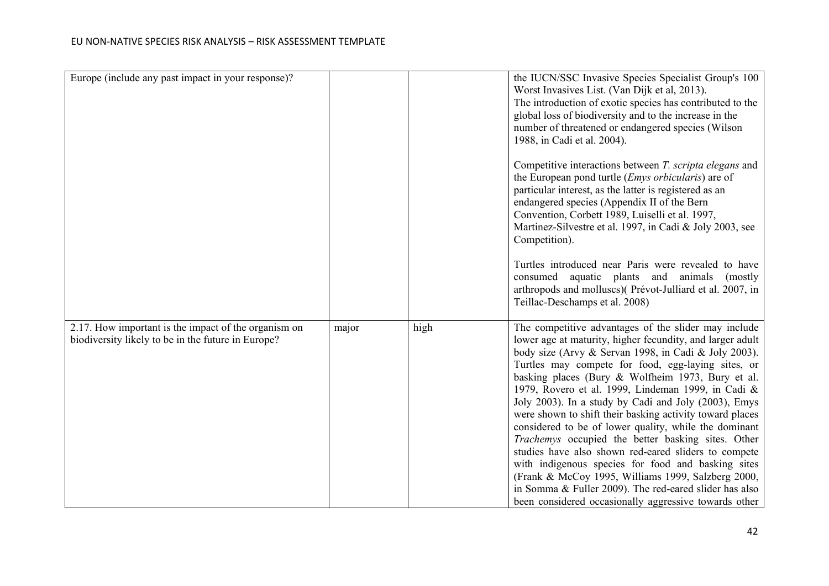| Europe (include any past impact in your response)?                                                         |       |      | the IUCN/SSC Invasive Species Specialist Group's 100<br>Worst Invasives List. (Van Dijk et al, 2013).<br>The introduction of exotic species has contributed to the<br>global loss of biodiversity and to the increase in the<br>number of threatened or endangered species (Wilson<br>1988, in Cadi et al. 2004).                                                                                                                                                                                                                                                                                                                                                                                                                                                                                                                                                    |
|------------------------------------------------------------------------------------------------------------|-------|------|----------------------------------------------------------------------------------------------------------------------------------------------------------------------------------------------------------------------------------------------------------------------------------------------------------------------------------------------------------------------------------------------------------------------------------------------------------------------------------------------------------------------------------------------------------------------------------------------------------------------------------------------------------------------------------------------------------------------------------------------------------------------------------------------------------------------------------------------------------------------|
|                                                                                                            |       |      | Competitive interactions between T. scripta elegans and<br>the European pond turtle ( <i>Emys orbicularis</i> ) are of<br>particular interest, as the latter is registered as an<br>endangered species (Appendix II of the Bern<br>Convention, Corbett 1989, Luiselli et al. 1997,<br>Martinez-Silvestre et al. 1997, in Cadi & Joly 2003, see<br>Competition).                                                                                                                                                                                                                                                                                                                                                                                                                                                                                                      |
|                                                                                                            |       |      | Turtles introduced near Paris were revealed to have<br>consumed aquatic plants and animals<br>(mostly)<br>arthropods and molluscs)(Prévot-Julliard et al. 2007, in<br>Teillac-Deschamps et al. 2008)                                                                                                                                                                                                                                                                                                                                                                                                                                                                                                                                                                                                                                                                 |
| 2.17. How important is the impact of the organism on<br>biodiversity likely to be in the future in Europe? | major | high | The competitive advantages of the slider may include<br>lower age at maturity, higher fecundity, and larger adult<br>body size (Arvy & Servan 1998, in Cadi & Joly 2003).<br>Turtles may compete for food, egg-laying sites, or<br>basking places (Bury & Wolfheim 1973, Bury et al.<br>1979, Rovero et al. 1999, Lindeman 1999, in Cadi &<br>Joly 2003). In a study by Cadi and Joly (2003), Emys<br>were shown to shift their basking activity toward places<br>considered to be of lower quality, while the dominant<br>Trachemys occupied the better basking sites. Other<br>studies have also shown red-eared sliders to compete<br>with indigenous species for food and basking sites<br>(Frank & McCoy 1995, Williams 1999, Salzberg 2000,<br>in Somma & Fuller 2009). The red-eared slider has also<br>been considered occasionally aggressive towards other |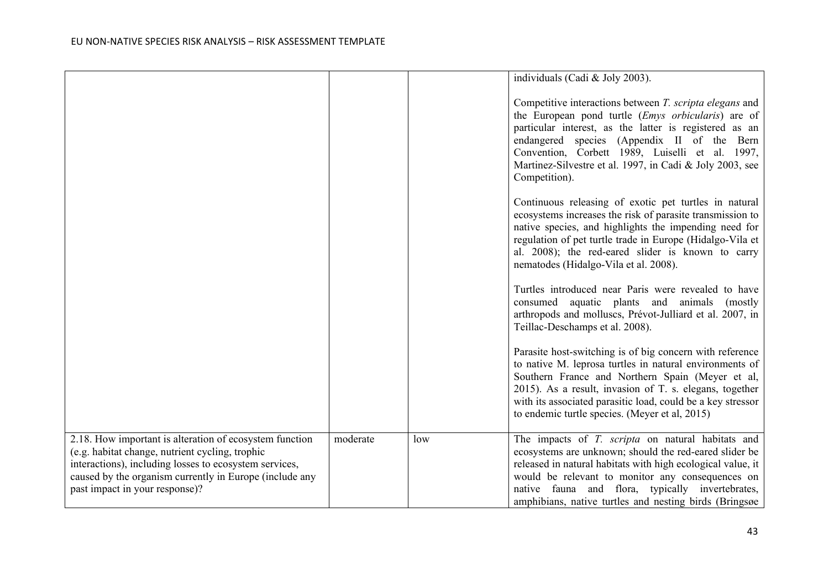|                                                                                                                                                                                                                                                                   |          |     | individuals (Cadi & Joly 2003).                                                                                                                                                                                                                                                                                                                                 |
|-------------------------------------------------------------------------------------------------------------------------------------------------------------------------------------------------------------------------------------------------------------------|----------|-----|-----------------------------------------------------------------------------------------------------------------------------------------------------------------------------------------------------------------------------------------------------------------------------------------------------------------------------------------------------------------|
|                                                                                                                                                                                                                                                                   |          |     | Competitive interactions between T. scripta elegans and<br>the European pond turtle ( <i>Emys orbicularis</i> ) are of<br>particular interest, as the latter is registered as an<br>endangered species (Appendix II of the Bern<br>Convention, Corbett 1989, Luiselli et al. 1997,<br>Martinez-Silvestre et al. 1997, in Cadi & Joly 2003, see<br>Competition). |
|                                                                                                                                                                                                                                                                   |          |     | Continuous releasing of exotic pet turtles in natural<br>ecosystems increases the risk of parasite transmission to<br>native species, and highlights the impending need for<br>regulation of pet turtle trade in Europe (Hidalgo-Vila et<br>al. 2008); the red-eared slider is known to carry<br>nematodes (Hidalgo-Vila et al. 2008).                          |
|                                                                                                                                                                                                                                                                   |          |     | Turtles introduced near Paris were revealed to have<br>consumed aquatic plants and animals (mostly<br>arthropods and molluscs, Prévot-Julliard et al. 2007, in<br>Teillac-Deschamps et al. 2008).                                                                                                                                                               |
|                                                                                                                                                                                                                                                                   |          |     | Parasite host-switching is of big concern with reference<br>to native M. leprosa turtles in natural environments of<br>Southern France and Northern Spain (Meyer et al,<br>2015). As a result, invasion of T. s. elegans, together<br>with its associated parasitic load, could be a key stressor<br>to endemic turtle species. (Meyer et al, 2015)             |
| 2.18. How important is alteration of ecosystem function<br>(e.g. habitat change, nutrient cycling, trophic<br>interactions), including losses to ecosystem services,<br>caused by the organism currently in Europe (include any<br>past impact in your response)? | moderate | low | The impacts of T. scripta on natural habitats and<br>ecosystems are unknown; should the red-eared slider be<br>released in natural habitats with high ecological value, it<br>would be relevant to monitor any consequences on<br>native fauna and flora, typically invertebrates,<br>amphibians, native turtles and nesting birds (Bringsøe)                   |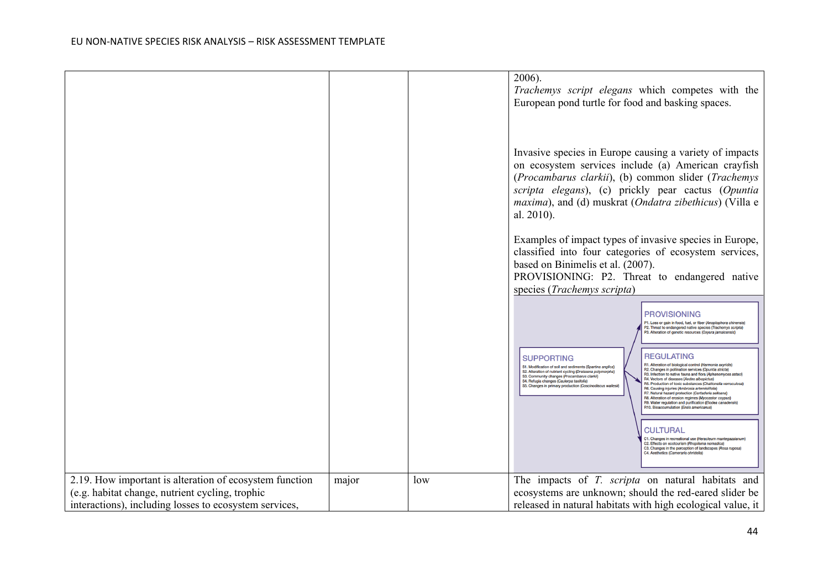|                                                         |       |     | $2006$ ).<br>Trachemys script elegans which competes with the<br>European pond turtle for food and basking spaces.                                                                                                                                                                                                                                                                                                                                                                                                                                                                                                                                                                                                                                                                                                                                                                                                                                                                                                                                                                                                                                                                                                                                                                                                     |
|---------------------------------------------------------|-------|-----|------------------------------------------------------------------------------------------------------------------------------------------------------------------------------------------------------------------------------------------------------------------------------------------------------------------------------------------------------------------------------------------------------------------------------------------------------------------------------------------------------------------------------------------------------------------------------------------------------------------------------------------------------------------------------------------------------------------------------------------------------------------------------------------------------------------------------------------------------------------------------------------------------------------------------------------------------------------------------------------------------------------------------------------------------------------------------------------------------------------------------------------------------------------------------------------------------------------------------------------------------------------------------------------------------------------------|
|                                                         |       |     | Invasive species in Europe causing a variety of impacts<br>on ecosystem services include (a) American crayfish<br>(Procambarus clarkii), (b) common slider (Trachemys<br>scripta elegans), (c) prickly pear cactus (Opuntia<br>maxima), and (d) muskrat (Ondatra zibethicus) (Villa e<br>al. 2010).<br>Examples of impact types of invasive species in Europe,<br>classified into four categories of ecosystem services,<br>based on Binimelis et al. (2007).<br>PROVISIONING: P2. Threat to endangered native<br>species (Trachemys scripta)                                                                                                                                                                                                                                                                                                                                                                                                                                                                                                                                                                                                                                                                                                                                                                          |
|                                                         |       |     | <b>PROVISIONING</b><br>P1. Loss or gain in food, fuel, or fiber (Anoplophora chinensis)<br>P2. Threat to endangered native species (Trachemys scripta)<br>P3. Alteration of genetic resources (Oxyura jamaicensis)<br><b>REGULATING</b><br><b>SUPPORTING</b><br>R1. Alteration of biological control (Harmonia axyridis)<br>S1. Modification of soil and sediments (Spartina anglica)<br>R2. Changes in pollination services (Opuntia stricta)<br>S2. Alteration of nutrient cycling (Dreissena polymorpha)<br>R3. Infection to native fauna and flora (Aphanomyces astaci<br>S3. Community changes (Procambarus clarkii)<br>R4. Vectors of diseases (Aedes albopictus)<br>S4. Refugia changes (Caulerpa taxifolia)<br>R5. Production of toxic substances (Chattonella verruculosa)<br>S5. Changes in primary production (Coscinodiscus wailesii)<br>R6. Causing injuries (Ambrosia artemisiifolia)<br>R7. Natural hazard protection (Cortaderia selloana)<br>R8. Alteration of erosion regimes (Myocastor coypus)<br>R9. Water regulation and purification (Elodea canadensis<br>R10. Bioaccumulation (Ensis americanus<br><b>CULTURAL</b><br>C1. Changes in recreational use (Heracleum mantegazzianu<br>C2. Effects on ecotourism (Rhopilema nomadica)<br>C3. Changes in the perception of landscapes (Rosa rugosa) |
|                                                         |       |     | C4. Aesthetics (Cameraria ohridella)                                                                                                                                                                                                                                                                                                                                                                                                                                                                                                                                                                                                                                                                                                                                                                                                                                                                                                                                                                                                                                                                                                                                                                                                                                                                                   |
| 2.19. How important is alteration of ecosystem function | major | low | The impacts of T. scripta on natural habitats and                                                                                                                                                                                                                                                                                                                                                                                                                                                                                                                                                                                                                                                                                                                                                                                                                                                                                                                                                                                                                                                                                                                                                                                                                                                                      |
| (e.g. habitat change, nutrient cycling, trophic         |       |     | ecosystems are unknown; should the red-eared slider be                                                                                                                                                                                                                                                                                                                                                                                                                                                                                                                                                                                                                                                                                                                                                                                                                                                                                                                                                                                                                                                                                                                                                                                                                                                                 |
| interactions), including losses to ecosystem services,  |       |     | released in natural habitats with high ecological value, it                                                                                                                                                                                                                                                                                                                                                                                                                                                                                                                                                                                                                                                                                                                                                                                                                                                                                                                                                                                                                                                                                                                                                                                                                                                            |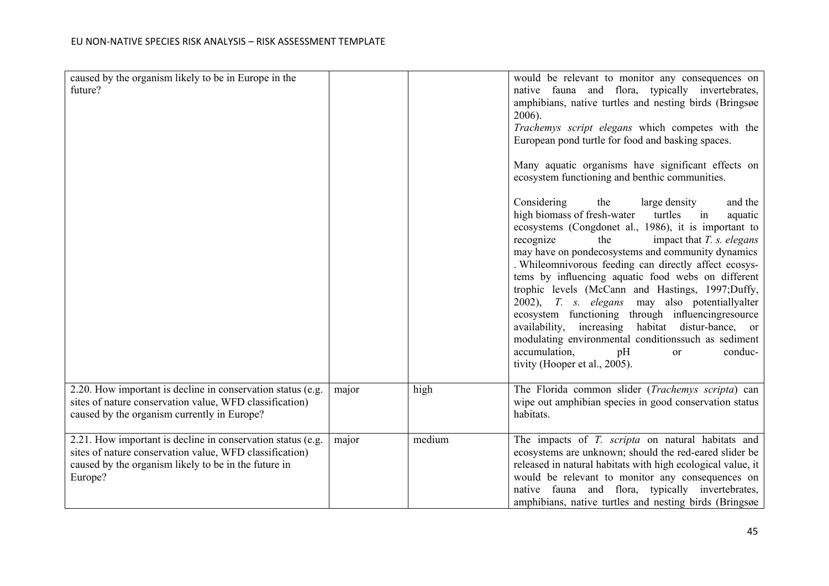| caused by the organism likely to be in Europe in the<br>future?                                                                                                                           |       |        | would be relevant to monitor any consequences on<br>native fauna and flora, typically invertebrates,<br>amphibians, native turtles and nesting birds (Bringsøe<br>2006).<br>Trachemys script elegans which competes with the<br>European pond turtle for food and basking spaces.<br>Many aquatic organisms have significant effects on<br>ecosystem functioning and benthic communities.<br>Considering<br>the<br>and the<br>large density<br>high biomass of fresh-water turtles<br>$\sin$<br>aquatic<br>ecosystems (Congdonet al., 1986), it is important to<br>recognize<br>the<br>impact that $T$ . $s$ . elegans<br>may have on pondecosystems and community dynamics<br>. Whileomnivorous feeding can directly affect ecosys-<br>tems by influencing aquatic food webs on different<br>trophic levels (McCann and Hastings, 1997;Duffy,<br>2002), T. s. elegans may also potentiallyalter<br>ecosystem functioning through influencingresource<br>availability, increasing habitat distur-bance, or<br>modulating environmental conditionssuch as sediment<br>accumulation,<br>pH<br>conduc-<br><b>or</b><br>tivity (Hooper et al., 2005). |
|-------------------------------------------------------------------------------------------------------------------------------------------------------------------------------------------|-------|--------|---------------------------------------------------------------------------------------------------------------------------------------------------------------------------------------------------------------------------------------------------------------------------------------------------------------------------------------------------------------------------------------------------------------------------------------------------------------------------------------------------------------------------------------------------------------------------------------------------------------------------------------------------------------------------------------------------------------------------------------------------------------------------------------------------------------------------------------------------------------------------------------------------------------------------------------------------------------------------------------------------------------------------------------------------------------------------------------------------------------------------------------------------|
| 2.20. How important is decline in conservation status (e.g.<br>sites of nature conservation value, WFD classification)<br>caused by the organism currently in Europe?                     | major | high   | The Florida common slider (Trachemys scripta) can<br>wipe out amphibian species in good conservation status<br>habitats.                                                                                                                                                                                                                                                                                                                                                                                                                                                                                                                                                                                                                                                                                                                                                                                                                                                                                                                                                                                                                          |
| 2.21. How important is decline in conservation status (e.g.<br>sites of nature conservation value, WFD classification)<br>caused by the organism likely to be in the future in<br>Europe? | major | medium | The impacts of T. scripta on natural habitats and<br>ecosystems are unknown; should the red-eared slider be<br>released in natural habitats with high ecological value, it<br>would be relevant to monitor any consequences on<br>native fauna and flora, typically invertebrates,<br>amphibians, native turtles and nesting birds (Bringsøe                                                                                                                                                                                                                                                                                                                                                                                                                                                                                                                                                                                                                                                                                                                                                                                                      |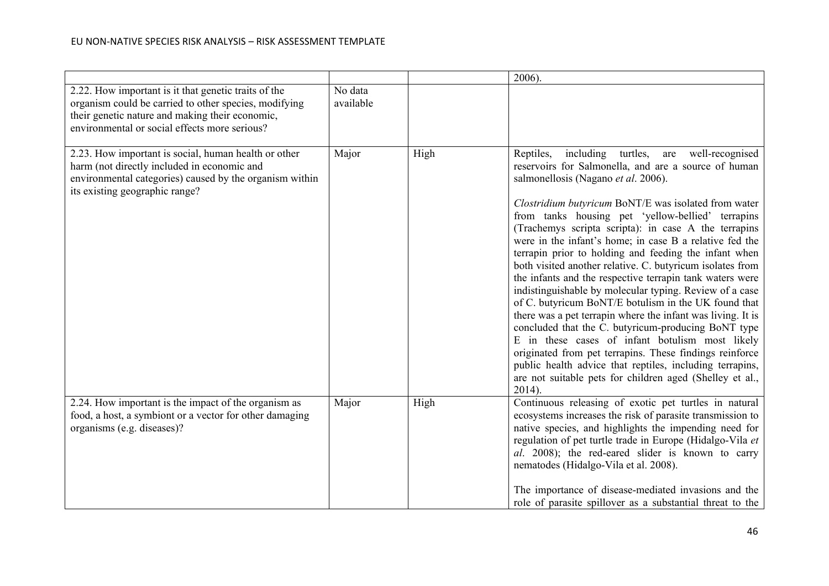|                                                                                                                                                                                                                   |                      |      | $2006$ ).                                                                                                                                                                                                                                                                                                                                                                                                                                                                                                                                                                                                                                                                                                                                                                                                                                                                                                                                                                                                                                                                 |
|-------------------------------------------------------------------------------------------------------------------------------------------------------------------------------------------------------------------|----------------------|------|---------------------------------------------------------------------------------------------------------------------------------------------------------------------------------------------------------------------------------------------------------------------------------------------------------------------------------------------------------------------------------------------------------------------------------------------------------------------------------------------------------------------------------------------------------------------------------------------------------------------------------------------------------------------------------------------------------------------------------------------------------------------------------------------------------------------------------------------------------------------------------------------------------------------------------------------------------------------------------------------------------------------------------------------------------------------------|
| 2.22. How important is it that genetic traits of the<br>organism could be carried to other species, modifying<br>their genetic nature and making their economic,<br>environmental or social effects more serious? | No data<br>available |      |                                                                                                                                                                                                                                                                                                                                                                                                                                                                                                                                                                                                                                                                                                                                                                                                                                                                                                                                                                                                                                                                           |
| 2.23. How important is social, human health or other<br>harm (not directly included in economic and<br>environmental categories) caused by the organism within<br>its existing geographic range?                  | Major                | High | including<br>turtles,<br>well-recognised<br>Reptiles,<br>are<br>reservoirs for Salmonella, and are a source of human<br>salmonellosis (Nagano et al. 2006).<br>Clostridium butyricum BoNT/E was isolated from water<br>from tanks housing pet 'yellow-bellied' terrapins<br>(Trachemys scripta scripta): in case A the terrapins<br>were in the infant's home; in case B a relative fed the<br>terrapin prior to holding and feeding the infant when<br>both visited another relative. C. butyricum isolates from<br>the infants and the respective terrapin tank waters were<br>indistinguishable by molecular typing. Review of a case<br>of C. butyricum BoNT/E botulism in the UK found that<br>there was a pet terrapin where the infant was living. It is<br>concluded that the C. butyricum-producing BoNT type<br>E in these cases of infant botulism most likely<br>originated from pet terrapins. These findings reinforce<br>public health advice that reptiles, including terrapins,<br>are not suitable pets for children aged (Shelley et al.,<br>$2014$ ). |
| 2.24. How important is the impact of the organism as<br>food, a host, a symbiont or a vector for other damaging<br>organisms (e.g. diseases)?                                                                     | Major                | High | Continuous releasing of exotic pet turtles in natural<br>ecosystems increases the risk of parasite transmission to<br>native species, and highlights the impending need for<br>regulation of pet turtle trade in Europe (Hidalgo-Vila et<br>al. 2008); the red-eared slider is known to carry<br>nematodes (Hidalgo-Vila et al. 2008).<br>The importance of disease-mediated invasions and the<br>role of parasite spillover as a substantial threat to the                                                                                                                                                                                                                                                                                                                                                                                                                                                                                                                                                                                                               |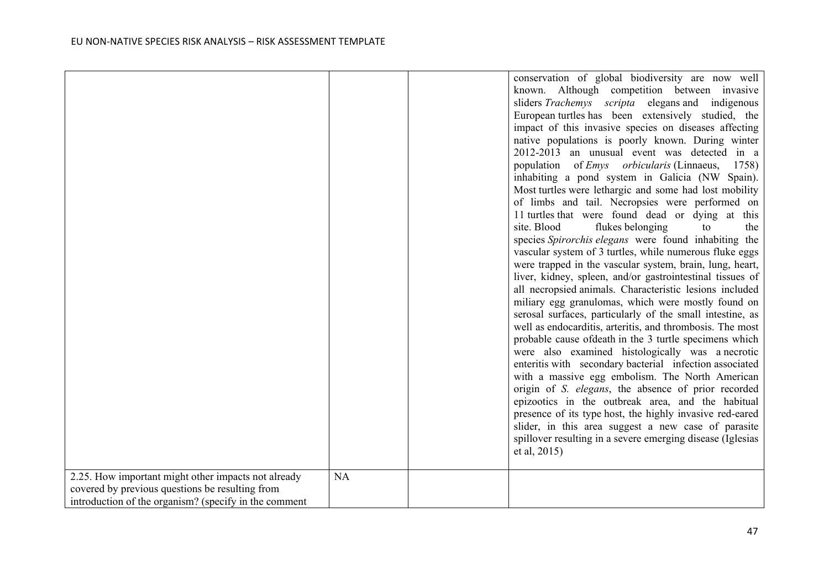| 2.25. How important might other impacts not already<br>covered by previous questions be resulting from | NA | conservation of global biodiversity are now well<br>known. Although competition between invasive<br>sliders Trachemys scripta elegans and indigenous<br>European turtles has been extensively studied, the<br>impact of this invasive species on diseases affecting<br>native populations is poorly known. During winter<br>2012-2013 an unusual event was detected in a<br>population of <i>Emys orbicularis</i> (Linnaeus,<br>1758)<br>inhabiting a pond system in Galicia (NW Spain).<br>Most turtles were lethargic and some had lost mobility<br>of limbs and tail. Necropsies were performed on<br>11 turtles that were found dead or dying at this<br>site. Blood<br>flukes belonging<br>to<br>the<br>species Spirorchis elegans were found inhabiting the<br>vascular system of 3 turtles, while numerous fluke eggs<br>were trapped in the vascular system, brain, lung, heart,<br>liver, kidney, spleen, and/or gastrointestinal tissues of<br>all necropsied animals. Characteristic lesions included<br>miliary egg granulomas, which were mostly found on<br>serosal surfaces, particularly of the small intestine, as<br>well as endocarditis, arteritis, and thrombosis. The most<br>probable cause of death in the 3 turtle specimens which<br>were also examined histologically was a necrotic<br>enteritis with secondary bacterial infection associated<br>with a massive egg embolism. The North American<br>origin of S. elegans, the absence of prior recorded<br>epizootics in the outbreak area, and the habitual<br>presence of its type host, the highly invasive red-eared<br>slider, in this area suggest a new case of parasite<br>spillover resulting in a severe emerging disease (Iglesias<br>et al, 2015) |
|--------------------------------------------------------------------------------------------------------|----|--------------------------------------------------------------------------------------------------------------------------------------------------------------------------------------------------------------------------------------------------------------------------------------------------------------------------------------------------------------------------------------------------------------------------------------------------------------------------------------------------------------------------------------------------------------------------------------------------------------------------------------------------------------------------------------------------------------------------------------------------------------------------------------------------------------------------------------------------------------------------------------------------------------------------------------------------------------------------------------------------------------------------------------------------------------------------------------------------------------------------------------------------------------------------------------------------------------------------------------------------------------------------------------------------------------------------------------------------------------------------------------------------------------------------------------------------------------------------------------------------------------------------------------------------------------------------------------------------------------------------------------------------------------------------------------------------------------------------------------------|
| introduction of the organism? (specify in the comment                                                  |    |                                                                                                                                                                                                                                                                                                                                                                                                                                                                                                                                                                                                                                                                                                                                                                                                                                                                                                                                                                                                                                                                                                                                                                                                                                                                                                                                                                                                                                                                                                                                                                                                                                                                                                                                            |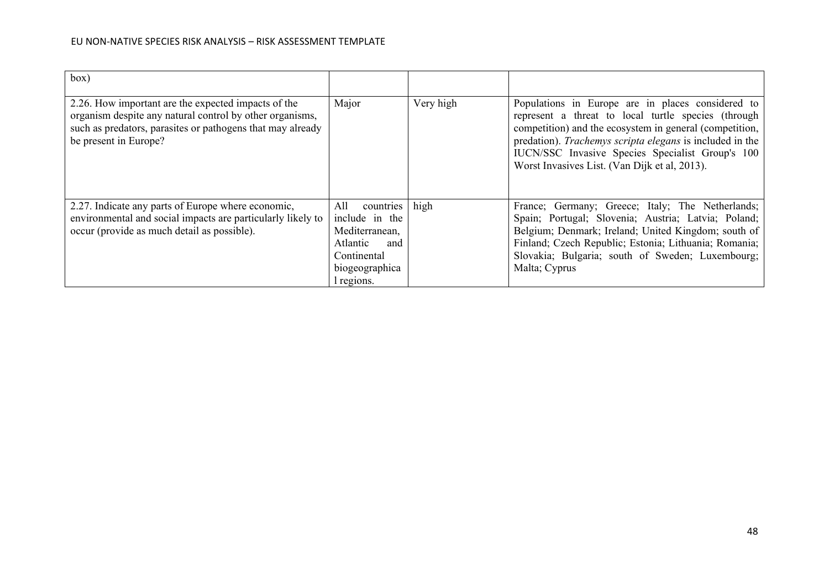| box)                                                                                                                                                                                                   |                                                                                                                        |           |                                                                                                                                                                                                                                                                                                                                      |
|--------------------------------------------------------------------------------------------------------------------------------------------------------------------------------------------------------|------------------------------------------------------------------------------------------------------------------------|-----------|--------------------------------------------------------------------------------------------------------------------------------------------------------------------------------------------------------------------------------------------------------------------------------------------------------------------------------------|
| 2.26. How important are the expected impacts of the<br>organism despite any natural control by other organisms,<br>such as predators, parasites or pathogens that may already<br>be present in Europe? | Major                                                                                                                  | Very high | Populations in Europe are in places considered to<br>represent a threat to local turtle species (through<br>competition) and the ecosystem in general (competition,<br>predation). Trachemys scripta elegans is included in the<br>IUCN/SSC Invasive Species Specialist Group's 100<br>Worst Invasives List. (Van Dijk et al, 2013). |
| 2.27. Indicate any parts of Europe where economic,<br>environmental and social impacts are particularly likely to<br>occur (provide as much detail as possible).                                       | countries<br>All<br>include in the<br>Mediterranean,<br>Atlantic<br>and<br>Continental<br>biogeographica<br>l regions. | high      | France; Germany; Greece; Italy; The Netherlands;<br>Spain; Portugal; Slovenia; Austria; Latvia; Poland;<br>Belgium; Denmark; Ireland; United Kingdom; south of<br>Finland; Czech Republic; Estonia; Lithuania; Romania;<br>Slovakia; Bulgaria; south of Sweden; Luxembourg;<br>Malta; Cyprus                                         |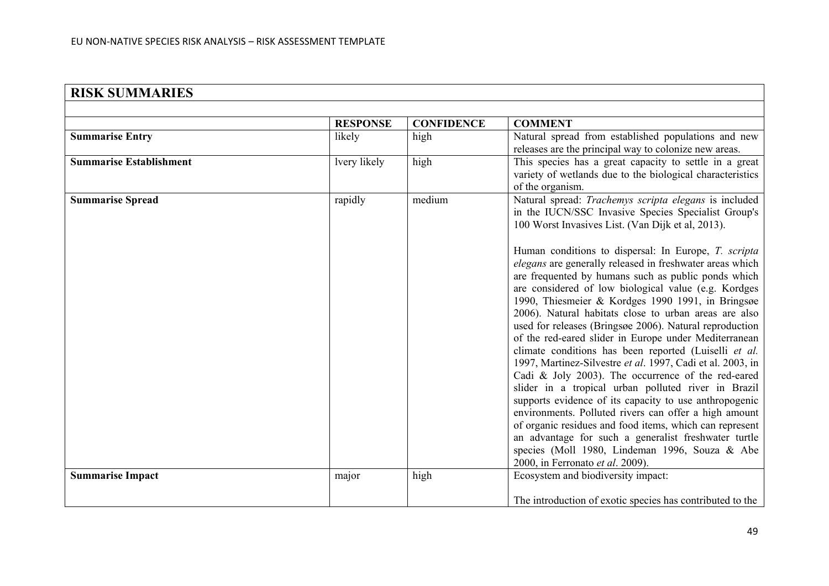| <b>RISK SUMMARIES</b>          |                 |                   |                                                                                                                                                                                                                                                                                                                                                                                                                                                                                                                                                                                                                                                                                                                                                                                                                                                                                                                                                                           |
|--------------------------------|-----------------|-------------------|---------------------------------------------------------------------------------------------------------------------------------------------------------------------------------------------------------------------------------------------------------------------------------------------------------------------------------------------------------------------------------------------------------------------------------------------------------------------------------------------------------------------------------------------------------------------------------------------------------------------------------------------------------------------------------------------------------------------------------------------------------------------------------------------------------------------------------------------------------------------------------------------------------------------------------------------------------------------------|
|                                |                 |                   |                                                                                                                                                                                                                                                                                                                                                                                                                                                                                                                                                                                                                                                                                                                                                                                                                                                                                                                                                                           |
|                                | <b>RESPONSE</b> | <b>CONFIDENCE</b> | <b>COMMENT</b>                                                                                                                                                                                                                                                                                                                                                                                                                                                                                                                                                                                                                                                                                                                                                                                                                                                                                                                                                            |
| <b>Summarise Entry</b>         | likely          | high              | Natural spread from established populations and new<br>releases are the principal way to colonize new areas.                                                                                                                                                                                                                                                                                                                                                                                                                                                                                                                                                                                                                                                                                                                                                                                                                                                              |
| <b>Summarise Establishment</b> | lvery likely    | high              | This species has a great capacity to settle in a great<br>variety of wetlands due to the biological characteristics<br>of the organism.                                                                                                                                                                                                                                                                                                                                                                                                                                                                                                                                                                                                                                                                                                                                                                                                                                   |
| <b>Summarise Spread</b>        | rapidly         | medium            | Natural spread: Trachemys scripta elegans is included<br>in the IUCN/SSC Invasive Species Specialist Group's<br>100 Worst Invasives List. (Van Dijk et al, 2013).<br>Human conditions to dispersal: In Europe, T. scripta                                                                                                                                                                                                                                                                                                                                                                                                                                                                                                                                                                                                                                                                                                                                                 |
|                                |                 |                   | elegans are generally released in freshwater areas which<br>are frequented by humans such as public ponds which<br>are considered of low biological value (e.g. Kordges<br>1990, Thiesmeier & Kordges 1990 1991, in Bringsøe<br>2006). Natural habitats close to urban areas are also<br>used for releases (Bringsøe 2006). Natural reproduction<br>of the red-eared slider in Europe under Mediterranean<br>climate conditions has been reported (Luiselli et al.<br>1997, Martinez-Silvestre et al. 1997, Cadi et al. 2003, in<br>Cadi & Joly 2003). The occurrence of the red-eared<br>slider in a tropical urban polluted river in Brazil<br>supports evidence of its capacity to use anthropogenic<br>environments. Polluted rivers can offer a high amount<br>of organic residues and food items, which can represent<br>an advantage for such a generalist freshwater turtle<br>species (Moll 1980, Lindeman 1996, Souza & Abe<br>2000, in Ferronato et al. 2009). |
| <b>Summarise Impact</b>        | major           | high              | Ecosystem and biodiversity impact:                                                                                                                                                                                                                                                                                                                                                                                                                                                                                                                                                                                                                                                                                                                                                                                                                                                                                                                                        |
|                                |                 |                   | The introduction of exotic species has contributed to the                                                                                                                                                                                                                                                                                                                                                                                                                                                                                                                                                                                                                                                                                                                                                                                                                                                                                                                 |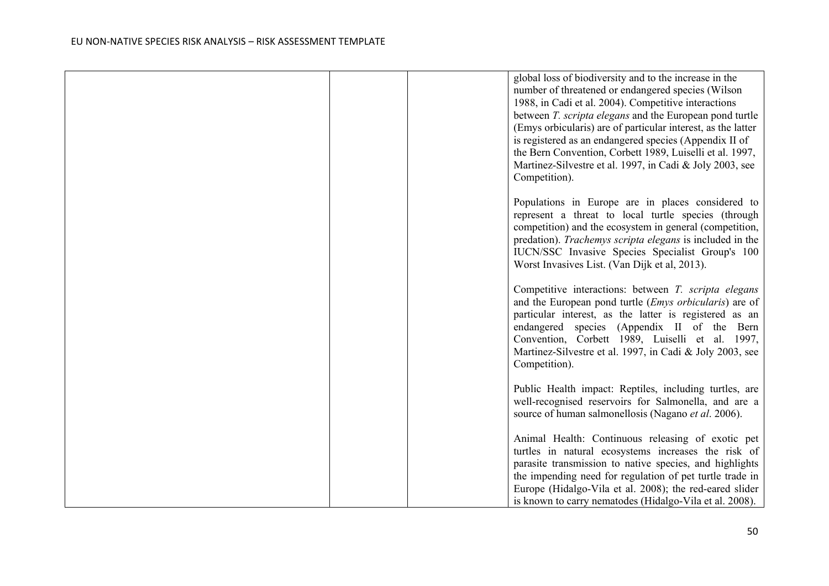| global loss of biodiversity and to the increase in the<br>number of threatened or endangered species (Wilson<br>1988, in Cadi et al. 2004). Competitive interactions<br>between T. scripta elegans and the European pond turtle<br>(Emys orbicularis) are of particular interest, as the latter<br>is registered as an endangered species (Appendix II of<br>the Bern Convention, Corbett 1989, Luiselli et al. 1997,<br>Martinez-Silvestre et al. 1997, in Cadi & Joly 2003, see<br>Competition). |
|----------------------------------------------------------------------------------------------------------------------------------------------------------------------------------------------------------------------------------------------------------------------------------------------------------------------------------------------------------------------------------------------------------------------------------------------------------------------------------------------------|
| Populations in Europe are in places considered to<br>represent a threat to local turtle species (through<br>competition) and the ecosystem in general (competition,<br>predation). Trachemys scripta elegans is included in the<br>IUCN/SSC Invasive Species Specialist Group's 100<br>Worst Invasives List. (Van Dijk et al, 2013).                                                                                                                                                               |
| Competitive interactions: between T. scripta elegans<br>and the European pond turtle ( <i>Emys orbicularis</i> ) are of<br>particular interest, as the latter is registered as an<br>endangered species (Appendix II of the Bern<br>Convention, Corbett 1989, Luiselli et al. 1997,<br>Martinez-Silvestre et al. 1997, in Cadi & Joly 2003, see<br>Competition).                                                                                                                                   |
| Public Health impact: Reptiles, including turtles, are<br>well-recognised reservoirs for Salmonella, and are a<br>source of human salmonellosis (Nagano et al. 2006).                                                                                                                                                                                                                                                                                                                              |
| Animal Health: Continuous releasing of exotic pet<br>turtles in natural ecosystems increases the risk of<br>parasite transmission to native species, and highlights<br>the impending need for regulation of pet turtle trade in<br>Europe (Hidalgo-Vila et al. 2008); the red-eared slider<br>is known to carry nematodes (Hidalgo-Vila et al. 2008).                                                                                                                                              |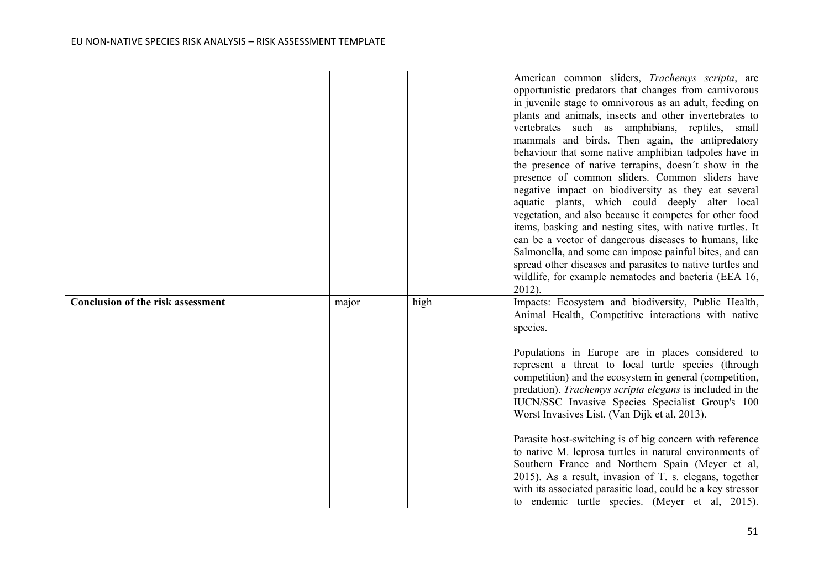|                                          |       |      | American common sliders, Trachemys scripta, are<br>opportunistic predators that changes from carnivorous<br>in juvenile stage to omnivorous as an adult, feeding on<br>plants and animals, insects and other invertebrates to<br>vertebrates such as amphibians, reptiles, small<br>mammals and birds. Then again, the antipredatory<br>behaviour that some native amphibian tadpoles have in<br>the presence of native terrapins, doesn't show in the<br>presence of common sliders. Common sliders have<br>negative impact on biodiversity as they eat several<br>aquatic plants, which could deeply alter local<br>vegetation, and also because it competes for other food<br>items, basking and nesting sites, with native turtles. It<br>can be a vector of dangerous diseases to humans, like<br>Salmonella, and some can impose painful bites, and can<br>spread other diseases and parasites to native turtles and<br>wildlife, for example nematodes and bacteria (EEA 16,<br>$2012$ ). |
|------------------------------------------|-------|------|--------------------------------------------------------------------------------------------------------------------------------------------------------------------------------------------------------------------------------------------------------------------------------------------------------------------------------------------------------------------------------------------------------------------------------------------------------------------------------------------------------------------------------------------------------------------------------------------------------------------------------------------------------------------------------------------------------------------------------------------------------------------------------------------------------------------------------------------------------------------------------------------------------------------------------------------------------------------------------------------------|
| <b>Conclusion of the risk assessment</b> | major | high | Impacts: Ecosystem and biodiversity, Public Health,<br>Animal Health, Competitive interactions with native<br>species.                                                                                                                                                                                                                                                                                                                                                                                                                                                                                                                                                                                                                                                                                                                                                                                                                                                                           |
|                                          |       |      | Populations in Europe are in places considered to<br>represent a threat to local turtle species (through<br>competition) and the ecosystem in general (competition,<br>predation). Trachemys scripta elegans is included in the<br>IUCN/SSC Invasive Species Specialist Group's 100<br>Worst Invasives List. (Van Dijk et al, 2013).                                                                                                                                                                                                                                                                                                                                                                                                                                                                                                                                                                                                                                                             |
|                                          |       |      | Parasite host-switching is of big concern with reference<br>to native M. leprosa turtles in natural environments of<br>Southern France and Northern Spain (Meyer et al,<br>2015). As a result, invasion of T. s. elegans, together<br>with its associated parasitic load, could be a key stressor<br>to endemic turtle species. (Meyer et al, 2015).                                                                                                                                                                                                                                                                                                                                                                                                                                                                                                                                                                                                                                             |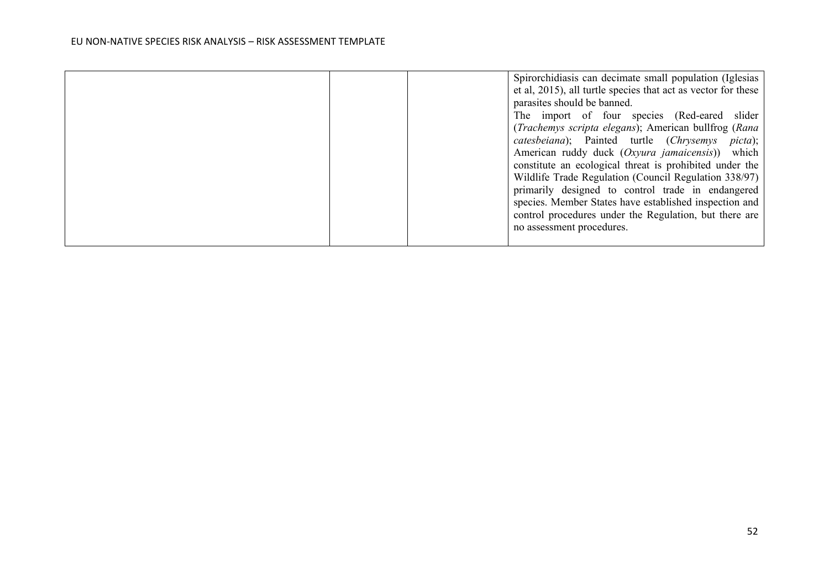|  | Spirorchidiasis can decimate small population (Iglesias       |
|--|---------------------------------------------------------------|
|  | et al, 2015), all turtle species that act as vector for these |
|  | parasites should be banned.                                   |
|  | The import of four species (Red-eared slider                  |
|  | (Trachemys scripta elegans); American bullfrog (Rana          |
|  | catesbeiana); Painted turtle (Chrysemys picta);               |
|  | American ruddy duck (Oxyura jamaicensis)) which               |
|  | constitute an ecological threat is prohibited under the       |
|  | Wildlife Trade Regulation (Council Regulation 338/97)         |
|  | primarily designed to control trade in endangered             |
|  | species. Member States have established inspection and        |
|  | control procedures under the Regulation, but there are        |
|  | no assessment procedures.                                     |
|  |                                                               |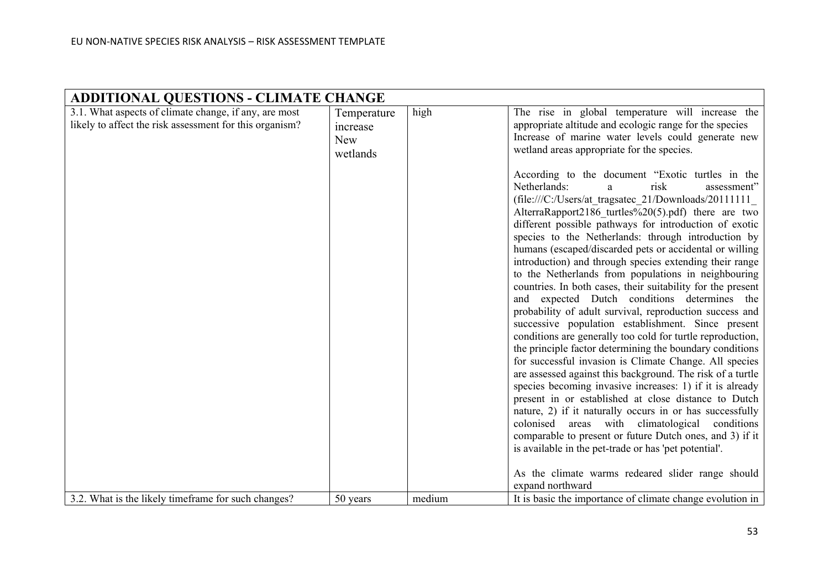| <b>ADDITIONAL QUESTIONS - CLIMATE CHANGE</b>            |             |        |                                                                                                               |
|---------------------------------------------------------|-------------|--------|---------------------------------------------------------------------------------------------------------------|
| 3.1. What aspects of climate change, if any, are most   | Temperature | high   | The rise in global temperature will increase the                                                              |
| likely to affect the risk assessment for this organism? | increase    |        | appropriate altitude and ecologic range for the species                                                       |
|                                                         | <b>New</b>  |        | Increase of marine water levels could generate new                                                            |
|                                                         | wetlands    |        | wetland areas appropriate for the species.                                                                    |
|                                                         |             |        |                                                                                                               |
|                                                         |             |        | According to the document "Exotic turtles in the<br>Netherlands:<br>assessment"<br>risk<br>a                  |
|                                                         |             |        | $(file:///C$ :/Users/at tragsatec 21/Downloads/20111111                                                       |
|                                                         |             |        | AlterraRapport2186 turtles%20(5).pdf) there are two                                                           |
|                                                         |             |        | different possible pathways for introduction of exotic                                                        |
|                                                         |             |        | species to the Netherlands: through introduction by                                                           |
|                                                         |             |        | humans (escaped/discarded pets or accidental or willing                                                       |
|                                                         |             |        | introduction) and through species extending their range                                                       |
|                                                         |             |        | to the Netherlands from populations in neighbouring                                                           |
|                                                         |             |        | countries. In both cases, their suitability for the present                                                   |
|                                                         |             |        | and expected Dutch conditions determines the                                                                  |
|                                                         |             |        | probability of adult survival, reproduction success and<br>successive population establishment. Since present |
|                                                         |             |        | conditions are generally too cold for turtle reproduction,                                                    |
|                                                         |             |        | the principle factor determining the boundary conditions                                                      |
|                                                         |             |        | for successful invasion is Climate Change. All species                                                        |
|                                                         |             |        | are assessed against this background. The risk of a turtle                                                    |
|                                                         |             |        | species becoming invasive increases: 1) if it is already                                                      |
|                                                         |             |        | present in or established at close distance to Dutch                                                          |
|                                                         |             |        | nature, 2) if it naturally occurs in or has successfully                                                      |
|                                                         |             |        | colonised areas with climatological<br>conditions                                                             |
|                                                         |             |        | comparable to present or future Dutch ones, and 3) if it                                                      |
|                                                         |             |        | is available in the pet-trade or has 'pet potential'.                                                         |
|                                                         |             |        | As the climate warms redeared slider range should                                                             |
|                                                         |             |        | expand northward                                                                                              |
| 3.2. What is the likely timeframe for such changes?     | 50 years    | medium | It is basic the importance of climate change evolution in                                                     |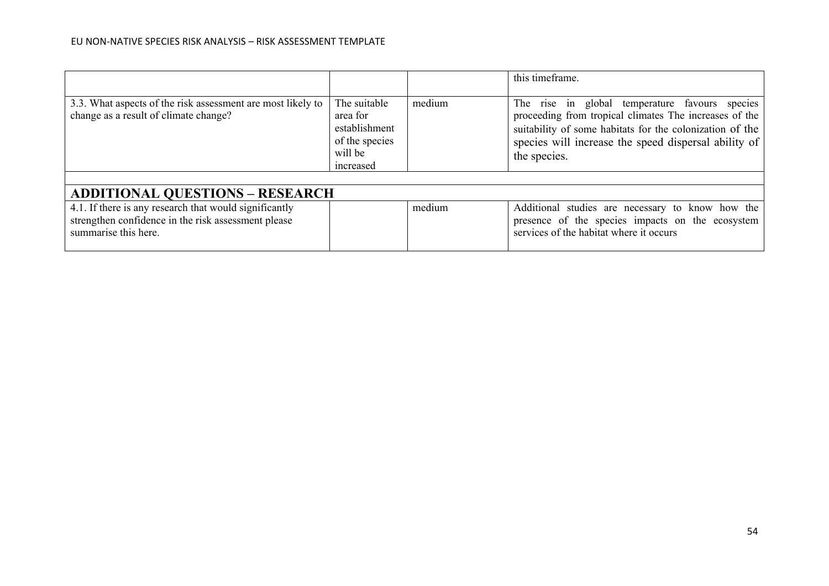|                                                                                                                                       |                                                                                     |        | this timeframe.                                                                                                                                                                                                                              |
|---------------------------------------------------------------------------------------------------------------------------------------|-------------------------------------------------------------------------------------|--------|----------------------------------------------------------------------------------------------------------------------------------------------------------------------------------------------------------------------------------------------|
| 3.3. What aspects of the risk assessment are most likely to<br>change as a result of climate change?                                  | The suitable<br>area for<br>establishment<br>of the species<br>will be<br>increased | medium | The rise in global temperature favours species<br>proceeding from tropical climates The increases of the<br>suitability of some habitats for the colonization of the<br>species will increase the speed dispersal ability of<br>the species. |
|                                                                                                                                       |                                                                                     |        |                                                                                                                                                                                                                                              |
| <b>ADDITIONAL QUESTIONS - RESEARCH</b>                                                                                                |                                                                                     |        |                                                                                                                                                                                                                                              |
| 4.1. If there is any research that would significantly<br>strengthen confidence in the risk assessment please<br>summarise this here. |                                                                                     | medium | Additional studies are necessary to know how the<br>presence of the species impacts on the ecosystem<br>services of the habitat where it occurs                                                                                              |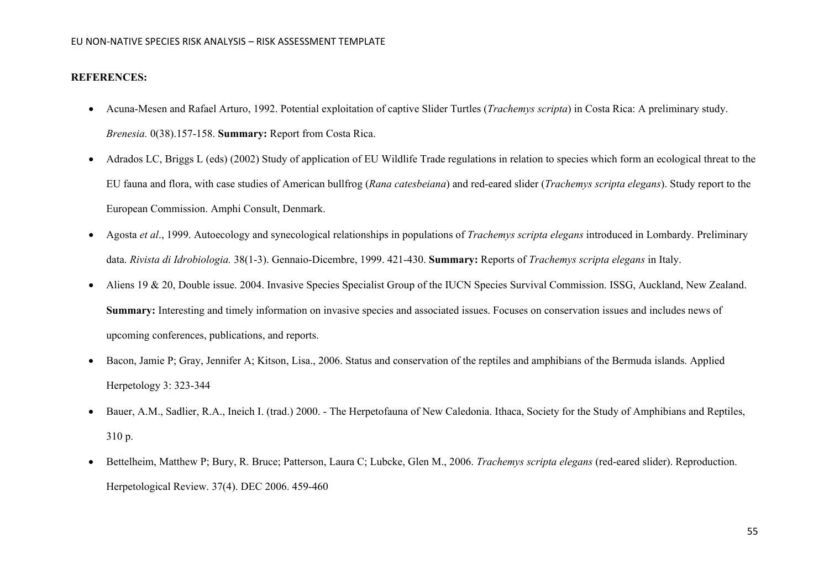# **REFERENCES:**

- Acuna-Mesen and Rafael Arturo, 1992. Potential exploitation of captive Slider Turtles (*Trachemys scripta*) in Costa Rica: A preliminary study. *Brenesia.* 0(38).157-158. **Summary:** Report from Costa Rica.
- Adrados LC, Briggs L (eds) (2002) Study of application of EU Wildlife Trade regulations in relation to species which form an ecological threat to the EU fauna and flora, with case studies of American bullfrog (*Rana catesbeiana*) and red-eared slider (*Trachemys scripta elegans*). Study report to the European Commission. Amphi Consult, Denmark.
- Agosta *et al*., 1999. Autoecology and synecological relationships in populations of *Trachemys scripta elegans* introduced in Lombardy. Preliminary data. *Rivista di Idrobiologia.* 38(1-3). Gennaio-Dicembre, 1999. 421-430. **Summary:** Reports of *Trachemys scripta elegans* in Italy.
- [Aliens 19 & 20, Double issue. 2004. Invasive Species Specialist Group of the IUCN Species Survival Commission. ISSG, Auckland, New Zealand.](http://www.issg.org/newsletter.html#Aliens) **Summary:** Interesting and timely information on invasive species and associated issues. Focuses on conservation issues and includes news of upcoming conferences, publications, and reports.
- Bacon, Jamie P; Gray, Jennifer A; Kitson, Lisa., 2006. Status and conservation of the reptiles and amphibians of the Bermuda islands. Applied Herpetology 3: 323-344
- Bauer, A.M., Sadlier, R.A., Ineich I. (trad.) 2000. The Herpetofauna of New Caledonia. Ithaca, Society for the Study of Amphibians and Reptiles, 310 p.
- Bettelheim, Matthew P; Bury, R. Bruce; Patterson, Laura C; Lubcke, Glen M., 2006. *Trachemys scripta elegans* (red-eared slider). Reproduction. Herpetological Review. 37(4). DEC 2006. 459-460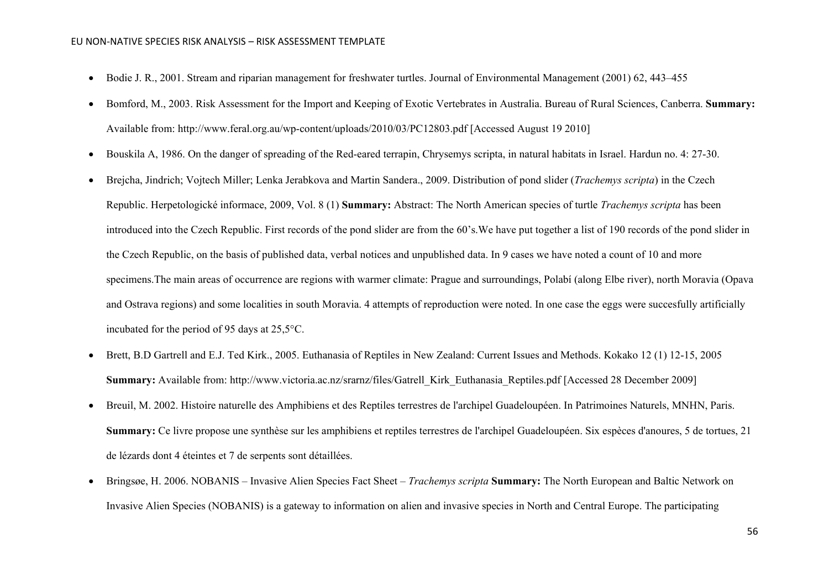- Bodie J. R., 2001. Stream and riparian management for freshwater turtles. Journal of Environmental Management (2001) 62, 443–455
- Bomford, M., 2003. Risk Assessment [for the Import and Keeping of Exotic Vertebrates in Australia. Bureau of Rural Sciences, Canberra.](http://www.feral.org.au/wp-content/uploads/2010/03/PC12803.pdf) **Summary:** Available from: http://www.feral.org.au/wp-content/uploads/2010/03/PC12803.pdf [Accessed August 19 2010]
- Bouskila A, 1986. On the danger of spreading of the Red-eared terrapin, Chrysemys scripta, in natural habitats in Israel. Hardun no. 4: 27-30.
- Brejcha, Jindrich; Vojtech Miller; Lenka Jerabkova and Martin Sandera., 2009. Distribution of pond slider (*Trachemys scripta*) in the Czech Republic. Herpetologické informace, 2009, Vol. 8 (1) **Summary:** Abstract: The North American species of turtle *Trachemys scripta* has been introduced into the Czech Republic. First records of the pond slider are from the 60's.We have put together a list of 190 records of the pond slider in the Czech Republic, on the basis of published data, verbal notices and unpublished data. In 9 cases we have noted a count of 10 and more specimens.The main areas of occurrence are regions with warmer climate: Prague and surroundings, Polabí (along Elbe river), north Moravia (Opava and Ostrava regions) and some localities in south Moravia. 4 attempts of reproduction were noted. In one case the eggs were succesfully artificially incubated for the period of 95 days at 25,5°C.
- [Brett, B.D Gartrell and E.J. Ted Kirk., 2005. Euthanasia of Reptiles in New Zealand: Current Issues and Methods. Kokako 12 \(1\) 12-15, 2005](http://www.victoria.ac.nz/srarnz/files/Gatrell_Kirk_Euthanasia_Reptiles.pdf) **Summary:** Available from: http://www.victoria.ac.nz/srarnz/files/Gatrell\_Kirk\_Euthanasia\_Reptiles.pdf [Accessed 28 December 2009]
- Breuil, M. 2002. Histoire naturelle des Amphibiens et des Reptiles terrestres de l'archipel Guadeloupéen. In Patrimoines Naturels, MNHN, Paris. **Summary:** Ce livre propose une synthèse sur les amphibiens et reptiles terrestres de l'archipel Guadeloupéen. Six espèces d'anoures, 5 de tortues, 21 de lézards dont 4 éteintes et 7 de serpents sont détaillées.
- Bringsøe, H. 2006. NOBANIS [Invasive Alien Species Fact Sheet –](http://www.nobanis.org/files/factsheets/Trachemys_scripta.pdf) *Trachemys scripta* **Summary:** The North European and Baltic Network on Invasive Alien Species (NOBANIS) is a gateway to information on alien and invasive species in North and Central Europe. The participating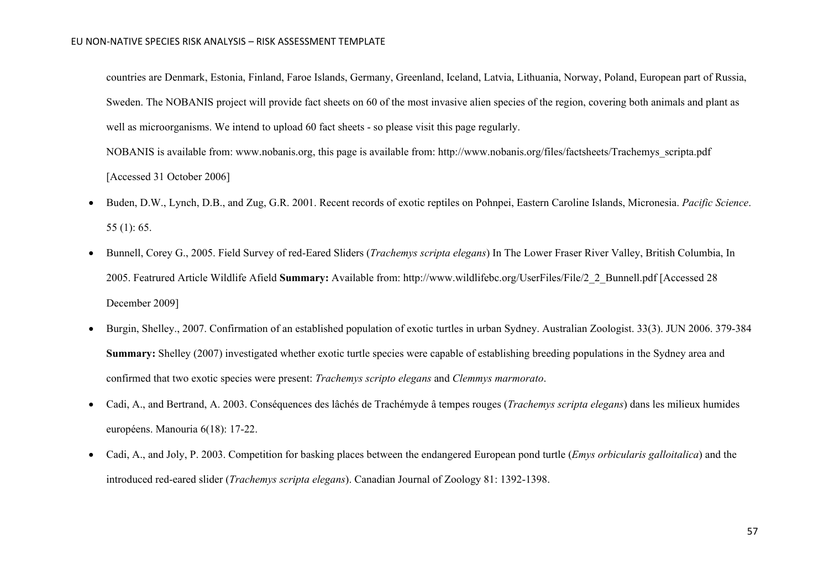countries are Denmark, Estonia, Finland, Faroe Islands, Germany, Greenland, Iceland, Latvia, Lithuania, Norway, Poland, European part of Russia, Sweden. The NOBANIS project will provide fact sheets on 60 of the most invasive alien species of the region, covering both animals and plant as well as microorganisms. We intend to upload 60 fact sheets - so please visit this page regularly.

NOBANIS is available from: www.nobanis.org, this page is available from: http://www.nobanis.org/files/factsheets/Trachemys\_scripta.pdf [Accessed 31 October 2006]

- Buden, D.W., Lynch, D.B., and Zug, G.R. 2001. Recent records of exotic reptiles on Pohnpei, Eastern Caroline Islands, Micronesia. *Pacific Science*. 55 (1): 65.
- [Bunnell, Corey G., 2005. Field Survey of red-Eared Sliders \(](http://www.wildlifebc.org/UserFiles/File/2_2_Bunnell.pdf)*Trachemys scripta elegans*) In The Lower Fraser River Valley, British Columbia, In [2005. Featrured Article Wildlife Afield](http://www.wildlifebc.org/UserFiles/File/2_2_Bunnell.pdf) **Summary:** Available from: http://www.wildlifebc.org/UserFiles/File/2\_2\_Bunnell.pdf [Accessed 28 December 2009]
- Burgin, Shelley., 2007. Confirmation of an established population of exotic turtles in urban Sydney. Australian Zoologist. 33(3). JUN 2006. 379-384 **Summary:** Shelley (2007) investigated whether exotic turtle species were capable of establishing breeding populations in the Sydney area and confirmed that two exotic species were present: *Trachemys scripto elegans* and *Clemmys marmorato*.
- Cadi, A., and Bertrand, A. 2003. Conséquences des lâchés de Trachémyde â tempes rouges (*Trachemys scripta elegans*) dans les milieux humides européens. Manouria 6(18): 17-22.
- Cadi, A., and Joly, P. 2003. Competition for basking places between the endangered European pond turtle (*Emys orbicularis galloitalica*) and the introduced red-eared slider (*Trachemys scripta elegans*). Canadian Journal of Zoology 81: 1392-1398.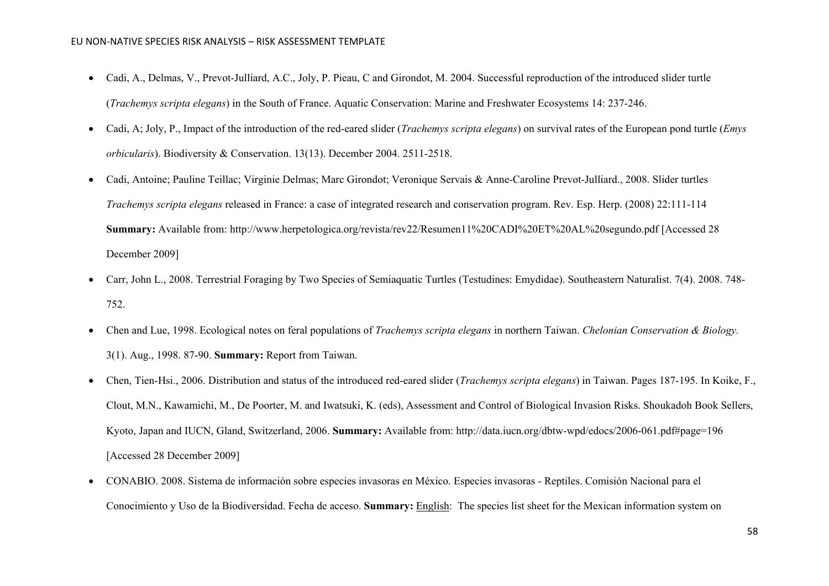- Cadi, A., Delmas, V., Prevot-Julliard, A.C., Joly, P. Pieau, C and Girondot, M. 2004. Successful reproduction of the introduced slider turtle (*Trachemys scripta elegans*) in the South of France. Aquatic Conservation: Marine and Freshwater Ecosystems 14: 237-246.
- Cadi, A; Joly, P., Impact of the introduction of the red-eared slider (*Trachemys scripta elegans*) on survival rates of the European pond turtle (*Emys orbicularis*). Biodiversity & Conservation. 13(13). December 2004. 2511-2518.
- [Cadi, Antoine; Pauline Teillac; Virginie Delmas; Marc Girondot; Veronique Servais & Anne-Caroline Prevot-Julliard., 2008. Slider turtles](http://www.herpetologica.org/revista/rev22/Resumen11%20CADI%20ET%20AL%20segundo.pdf)  *Trachemys scripta elegans* [released in France: a case of integrated research and conservation program. Rev. Esp. Herp. \(2008\) 22:111-114](http://www.herpetologica.org/revista/rev22/Resumen11%20CADI%20ET%20AL%20segundo.pdf) **Summary:** Available from: http://www.herpetologica.org/revista/rev22/Resumen11%20CADI%20ET%20AL%20segundo.pdf [Accessed 28 December 2009]
- Carr, John L., 2008. Terrestrial Foraging by Two Species of Semiaquatic Turtles (Testudines: Emydidae). Southeastern Naturalist. 7(4). 2008. 748- 752.
- Chen and Lue, 1998. Ecological notes on feral populations of *Trachemys scripta elegans* in northern Taiwan. *Chelonian Conservation & Biology.* 3(1). Aug., 1998. 87-90. **Summary:** Report from Taiwan.
- [Chen, Tien-Hsi., 2006. Distribution and status of the introduced red-eared slider \(](http://data.iucn.org/dbtw-wpd/edocs/2006-061.pdf#page=196)*Trachemys scripta elegans*) in Taiwan. Pages 187-195. In Koike, F., [Clout, M.N., Kawamichi, M., De Poorter, M. and Iwatsuki, K. \(eds\), Assessment and Control of Biological Invasion Risks. Shoukadoh Book Sellers,](http://data.iucn.org/dbtw-wpd/edocs/2006-061.pdf#page=196)  [Kyoto, Japan and IUCN, Gland, Switzerland, 2006.](http://data.iucn.org/dbtw-wpd/edocs/2006-061.pdf#page=196) **Summary:** Available from: http://data.iucn.org/dbtw-wpd/edocs/2006-061.pdf#page=196 [Accessed 28 December 2009]
- [CONABIO. 2008. Sistema de información sobre especies invasoras en México. Especies invasoras -](http://www.conabio.gob.mx/invasoras/index.php/Especies_invasoras_-_Reptiles) Reptiles. Comisión Nacional para el [Conocimiento y Uso de la Biodiversidad. Fecha de acceso.](http://www.conabio.gob.mx/invasoras/index.php/Especies_invasoras_-_Reptiles) **Summary:** English: The species list sheet for the Mexican information system on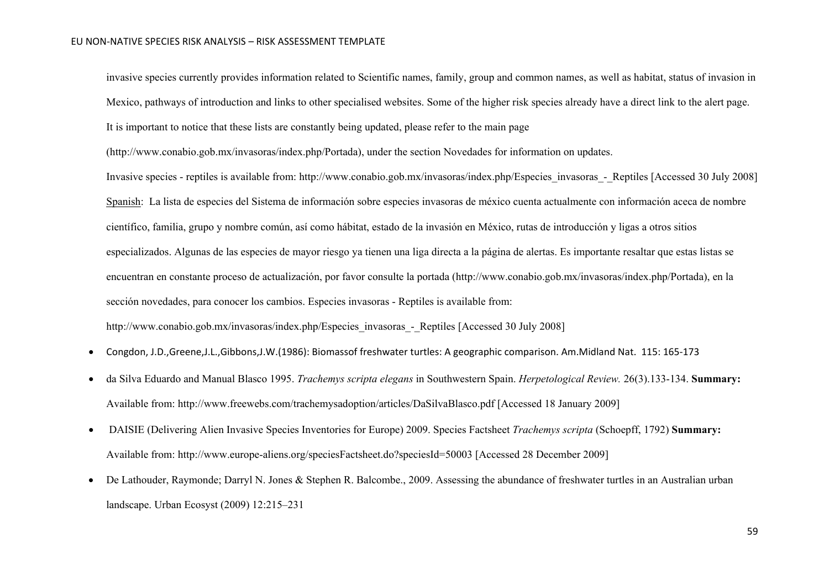invasive species currently provides information related to Scientific names, family, group and common names, as well as habitat, status of invasion in Mexico, pathways of introduction and links to other specialised websites. Some of the higher risk species already have a direct link to the alert page. It is important to notice that these lists are constantly being updated, please refer to the main page

(http://www.conabio.gob.mx/invasoras/index.php/Portada), under the section Novedades for information on updates.

Invasive species - reptiles is available from: http://www.conabio.gob.mx/invasoras/index.php/Especies\_invasoras\_-\_Reptiles [Accessed 30 July 2008] Spanish: La lista de especies del Sistema de información sobre especies invasoras de méxico cuenta actualmente con información aceca de nombre científico, familia, grupo y nombre común, así como hábitat, estado de la invasión en México, rutas de introducción y ligas a otros sitios especializados. Algunas de las especies de mayor riesgo ya tienen una liga directa a la página de alertas. Es importante resaltar que estas listas se encuentran en constante proceso de actualización, por favor consulte la portada (http://www.conabio.gob.mx/invasoras/index.php/Portada), en la sección novedades, para conocer los cambios. Especies invasoras - Reptiles is available from:

http://www.conabio.gob.mx/invasoras/index.php/Especies\_invasoras\_-\_Reptiles [Accessed 30 July 2008]

- Congdon, J.D.,Greene,J.L.,Gibbons,J.W.(1986): Biomassof freshwater turtles: A geographic comparison. Am.Midland Nat. 115: 165-173
- [da Silva Eduardo and Manual Blasco 1995.](http://www.freewebs.com/trachemysadoption/articles/DaSilvaBlasco.pdf) *Trachemys scripta elegans* in Southwestern Spain. *Herpetological Review.* 26(3).133-134. **Summary:** Available from: http://www.freewebs.com/trachemysadoption/articles/DaSilvaBlasco.pdf [Accessed 18 January 2009]
- [DAISIE \(Delivering Alien Invasive Species Inventories for Europe\) 2009. Species Factsheet](http://www.europe-aliens.org/speciesFactsheet.do?speciesId=50003) *Trachemys scripta* (Schoepff, 1792) **Summary:** Available from: http://www.europe-aliens.org/speciesFactsheet.do?speciesId=50003 [Accessed 28 December 2009]
- De Lathouder, Raymonde; Darryl N. Jones & Stephen R. Balcombe., 2009. Assessing the abundance of freshwater turtles in an Australian urban landscape. Urban Ecosyst (2009) 12:215–231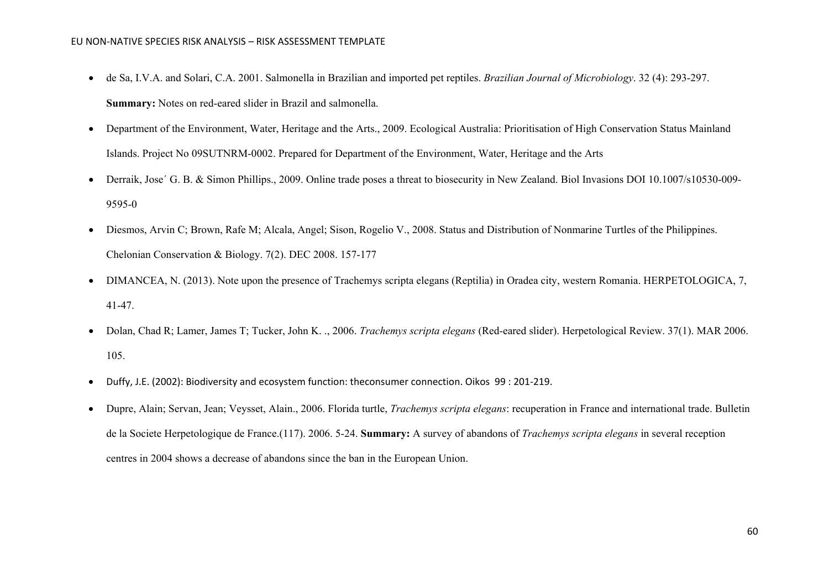- de Sa, I.V.A. and Solari, C.A. 2001. Salmonella in Brazilian and imported pet reptiles. *Brazilian Journal of Microbiology*. 32 (4): 293-297. **Summary:** Notes on red-eared slider in Brazil and salmonella.
- Department of the Environment, Water, Heritage and the Arts., 2009. Ecological Australia: Prioritisation of High Conservation Status Mainland Islands. Project No 09SUTNRM-0002. Prepared for Department of the Environment, Water, Heritage and the Arts
- Derraik, Jose´ G. B. & Simon Phillips., 2009. Online trade poses a threat to biosecurity in New Zealand. Biol Invasions DOI 10.1007/s10530-009- 9595-0
- Diesmos, Arvin C; Brown, Rafe M; Alcala, Angel; Sison, Rogelio V., 2008. Status and Distribution of Nonmarine Turtles of the Philippines. Chelonian Conservation & Biology. 7(2). DEC 2008. 157-177
- DIMANCEA, N. (2013). Note upon the presence of Trachemys scripta elegans (Reptilia) in Oradea city, western Romania. HERPETOLOGICA, 7, 41-47.
- Dolan, Chad R; Lamer, James T; Tucker, John K. ., 2006. *Trachemys scripta elegans* (Red-eared slider). Herpetological Review. 37(1). MAR 2006. 105.
- Duffy, J.E. (2002): Biodiversity and ecosystem function: theconsumer connection. Oikos 99 : 201-219.
- Dupre, Alain; Servan, Jean; Veysset, Alain., 2006. Florida turtle, *Trachemys scripta elegans*: recuperation in France and international trade. Bulletin de la Societe Herpetologique de France.(117). 2006. 5-24. **Summary:** A survey of abandons of *Trachemys scripta elegans* in several reception centres in 2004 shows a decrease of abandons since the ban in the European Union.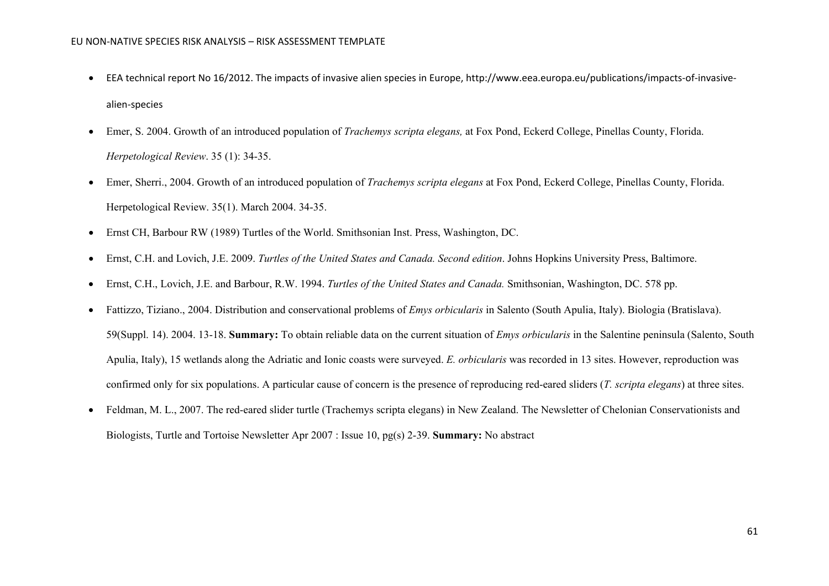- EEA technical report No 16/2012. The impacts of invasive alien species in Europe, http://www.eea.europa.eu/publications/impacts-of-invasivealien-species
- Emer, S. 2004. Growth of an introduced population of *Trachemys scripta elegans,* at Fox Pond, Eckerd College, Pinellas County, Florida. *Herpetological Review*. 35 (1): 34-35.
- Emer, Sherri., 2004. Growth of an introduced population of *Trachemys scripta elegans* at Fox Pond, Eckerd College, Pinellas County, Florida. Herpetological Review. 35(1). March 2004. 34-35.
- Ernst CH, Barbour RW (1989) Turtles of the World. Smithsonian Inst. Press, Washington, DC.
- Ernst, C.H. and Lovich, J.E. 2009. *Turtles of the United States and Canada. Second edition*. Johns Hopkins University Press, Baltimore.
- Ernst, C.H., Lovich, J.E. and Barbour, R.W. 1994. *Turtles of the United States and Canada.* Smithsonian, Washington, DC. 578 pp.
- Fattizzo, Tiziano., 2004. Distribution and conservational problems of *Emys orbicularis* in Salento (South Apulia, Italy). Biologia (Bratislava). 59(Suppl. 14). 2004. 13-18. **Summary:** To obtain reliable data on the current situation of *Emys orbicularis* in the Salentine peninsula (Salento, South Apulia, Italy), 15 wetlands along the Adriatic and Ionic coasts were surveyed. *E. orbicularis* was recorded in 13 sites. However, reproduction was confirmed only for six populations. A particular cause of concern is the presence of reproducing red-eared sliders (*T. scripta elegans*) at three sites.
- Feldman, M. L., 2007. The red-eared slider turtle (Trachemys scripta elegans) in New Zealand. The Newsletter of Chelonian Conservationists and Biologists, Turtle and Tortoise Newsletter Apr 2007 : Issue 10, pg(s) 2-39. **Summary:** No abstract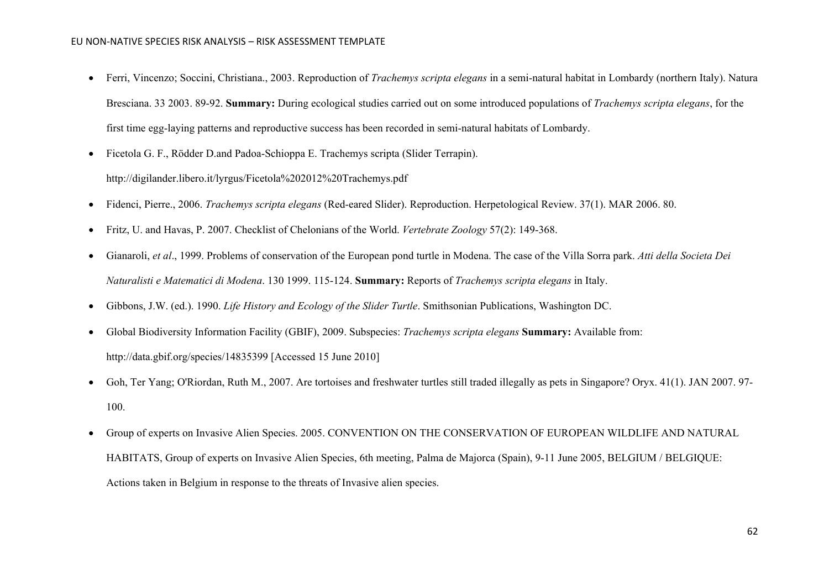- Ferri, Vincenzo; Soccini, Christiana., 2003. Reproduction of *Trachemys scripta elegans* in a semi-natural habitat in Lombardy (northern Italy). Natura Bresciana. 33 2003. 89-92. **Summary:** During ecological studies carried out on some introduced populations of *Trachemys scripta elegans*, for the first time egg-laying patterns and reproductive success has been recorded in semi-natural habitats of Lombardy.
- Ficetola G. F., Rödder D.and Padoa-Schioppa E. Trachemys scripta (Slider Terrapin).

http://digilander.libero.it/lyrgus/Ficetola%202012%20Trachemys.pdf

- Fidenci, Pierre., 2006. *Trachemys scripta elegans* (Red-eared Slider). Reproduction. Herpetological Review. 37(1). MAR 2006. 80.
- Fritz, U. and Havas, P. 2007. Checklist of Chelonians of the World. *Vertebrate Zoology* 57(2): 149-368.
- Gianaroli, *et al*., 1999. Problems of conservation of the European pond turtle in Modena. The case of the Villa Sorra park. *Atti della Societa Dei Naturalisti e Matematici di Modena*. 130 1999. 115-124. **Summary:** Reports of *Trachemys scripta elegans* in Italy.
- Gibbons, J.W. (ed.). 1990. *Life History and Ecology of the Slider Turtle*. Smithsonian Publications, Washington DC.
- [Global Biodiversity Information Facility \(GBIF\), 2009. Subspecies:](http://data.gbif.org/species/14835399) *Trachemys scripta elegans* **Summary:** Available from: http://data.gbif.org/species/14835399 [Accessed 15 June 2010]
- Goh, Ter Yang; O'Riordan, Ruth M., 2007. Are tortoises and freshwater turtles still traded illegally as pets in Singapore? Oryx. 41(1). JAN 2007. 97- 100.
- Group of experts on Invasive Alien Species. 2005. CONVENTION ON THE CONSERVATION OF EUROPEAN WILDLIFE AND NATURAL HABITATS, Group of experts on Invasive Alien Species, 6th meeting, Palma de Majorca (Spain), 9-11 June 2005, BELGIUM / BELGIQUE: Actions taken in Belgium in response to the threats of Invasive alien species.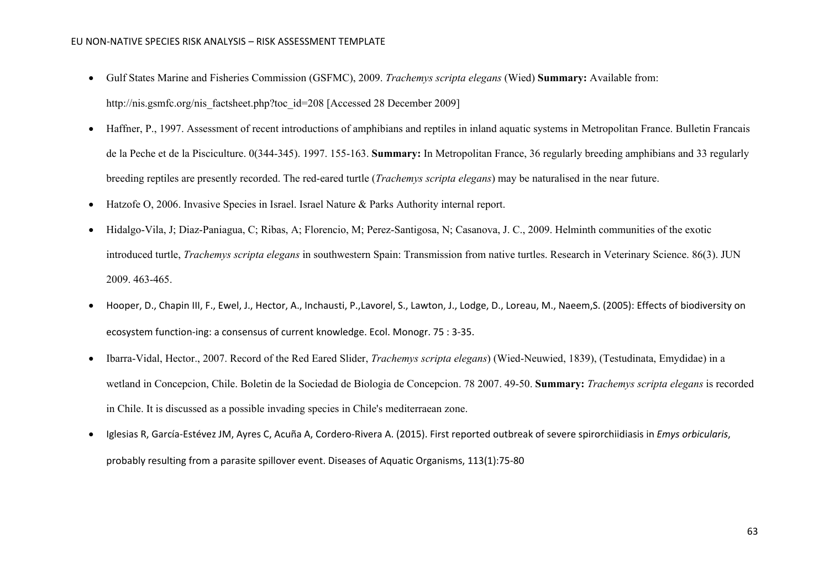- [Gulf States Marine and Fisheries Commission \(GSFMC\), 2009.](http://nis.gsmfc.org/nis_factsheet.php?toc_id=208) *Trachemys scripta elegans* (Wied) **Summary:** Available from: http://nis.gsmfc.org/nis\_factsheet.php?toc\_id=208 [Accessed 28 December 2009]
- Haffner, P., 1997. Assessment of recent introductions of amphibians and reptiles in inland aquatic systems in Metropolitan France. Bulletin Francais de la Peche et de la Pisciculture. 0(344-345). 1997. 155-163. **Summary:** In Metropolitan France, 36 regularly breeding amphibians and 33 regularly breeding reptiles are presently recorded. The red-eared turtle (*Trachemys scripta elegans*) may be naturalised in the near future.
- Hatzofe O, 2006. Invasive Species in Israel. Israel Nature & Parks Authority internal report.
- Hidalgo-Vila, J; Diaz-Paniagua, C; Ribas, A; Florencio, M; Perez-Santigosa, N; Casanova, J. C., 2009. Helminth communities of the exotic introduced turtle, *Trachemys scripta elegans* in southwestern Spain: Transmission from native turtles. Research in Veterinary Science. 86(3). JUN 2009. 463-465.
- Hooper, D., Chapin III, F., Ewel, J., Hector, A., Inchausti, P.,Lavorel, S., Lawton, J., Lodge, D., Loreau, M., Naeem,S. (2005): Effects of biodiversity on ecosystem function-ing: a consensus of current knowledge. Ecol. Monogr. 75 : 3-35.
- Ibarra-Vidal, Hector., 2007. Record of the Red Eared Slider, *Trachemys scripta elegans*) (Wied-Neuwied, 1839), (Testudinata, Emydidae) in a wetland in Concepcion, Chile. Boletin de la Sociedad de Biologia de Concepcion. 78 2007. 49-50. **Summary:** *Trachemys scripta elegans* is recorded in Chile. It is discussed as a possible invading species in Chile's mediterraean zone.
- [Iglesias R,](http://europepmc.org/search;jsessionid=gE5KRVxLLNjwit5wdAFL.1?page=1&query=AUTH:%22Iglesias+R%22) [García-Estévez JM,](http://europepmc.org/search;jsessionid=gE5KRVxLLNjwit5wdAFL.1?page=1&query=AUTH:%22Garc%C3%ADa-Est%C3%A9vez+JM%22) [Ayres C,](http://europepmc.org/search;jsessionid=gE5KRVxLLNjwit5wdAFL.1?page=1&query=AUTH:%22Ayres+C%22) [Acuña A,](http://europepmc.org/search;jsessionid=gE5KRVxLLNjwit5wdAFL.1?page=1&query=AUTH:%22Acu%C3%B1a+A%22) [Cordero-Rivera A.](http://europepmc.org/search;jsessionid=gE5KRVxLLNjwit5wdAFL.1?page=1&query=AUTH:%22Cordero-Rivera+A%22) (2015). First reported outbreak of severe spirorchiidiasis in *Emys orbicularis*, probably resulting from a parasite spillover event. [Diseases of Aquatic Organisms,](http://europepmc.org/search;jsessionid=gE5KRVxLLNjwit5wdAFL.1?page=1&query=JOURNAL:%22Dis+Aquat+Organ%22) 113(1):75-80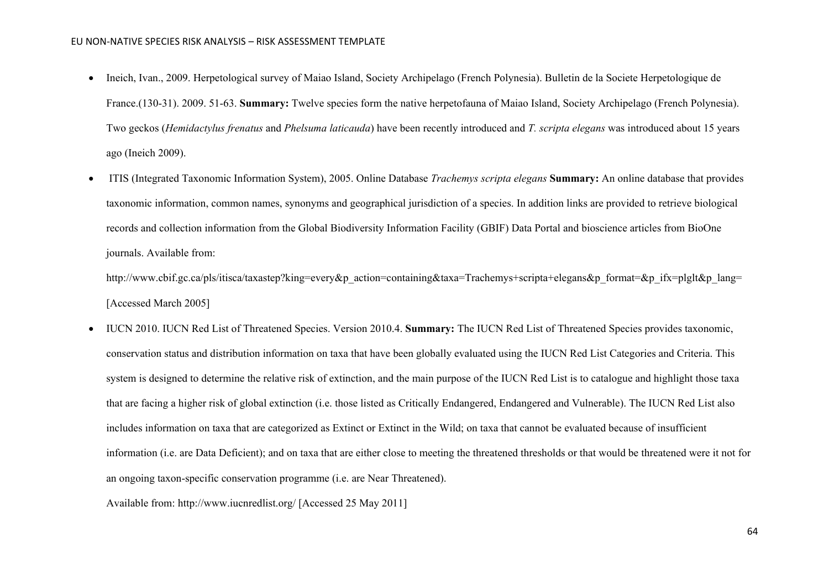- Ineich, Ivan., 2009. Herpetological survey of Maiao Island, Society Archipelago (French Polynesia). Bulletin de la Societe Herpetologique de France.(130-31). 2009. 51-63. **Summary:** Twelve species form the native herpetofauna of Maiao Island, Society Archipelago (French Polynesia). Two geckos (*Hemidactylus frenatus* and *Phelsuma laticauda*) have been recently introduced and *T. scripta elegans* was introduced about 15 years ago (Ineich 2009).
- [ITIS \(Integrated Taxonomic Information System\), 2005. Online Database](http://www.cbif.gc.ca/pls/itisca/taxastep?king=every&p_action=containing&taxa=Trachemys+scripta+elegans&p_format=&p_ifx=plglt&p_lang=) *Trachemys scripta elegans* **Summary:** An online database that provides taxonomic information, common names, synonyms and geographical jurisdiction of a species. In addition links are provided to retrieve biological records and collection information from the Global Biodiversity Information Facility (GBIF) Data Portal and bioscience articles from BioOne journals. Available from:

http://www.cbif.gc.ca/pls/itisca/taxastep?king=every&p\_action=containing&taxa=Trachemys+scripta+elegans&p\_format=&p\_ifx=plglt&p\_lang= [Accessed March 2005]

• [IUCN 2010. IUCN Red List of Threatened Species. Version 2010.4.](http://www.iucnredlist.org/) **Summary:** The IUCN Red List of Threatened Species provides taxonomic, conservation status and distribution information on taxa that have been globally evaluated using the IUCN Red List Categories and Criteria. This system is designed to determine the relative risk of extinction, and the main purpose of the IUCN Red List is to catalogue and highlight those taxa that are facing a higher risk of global extinction (i.e. those listed as Critically Endangered, Endangered and Vulnerable). The IUCN Red List also includes information on taxa that are categorized as Extinct or Extinct in the Wild; on taxa that cannot be evaluated because of insufficient information (i.e. are Data Deficient); and on taxa that are either close to meeting the threatened thresholds or that would be threatened were it not for an ongoing taxon-specific conservation programme (i.e. are Near Threatened).

Available from: http://www.iucnredlist.org/ [Accessed 25 May 2011]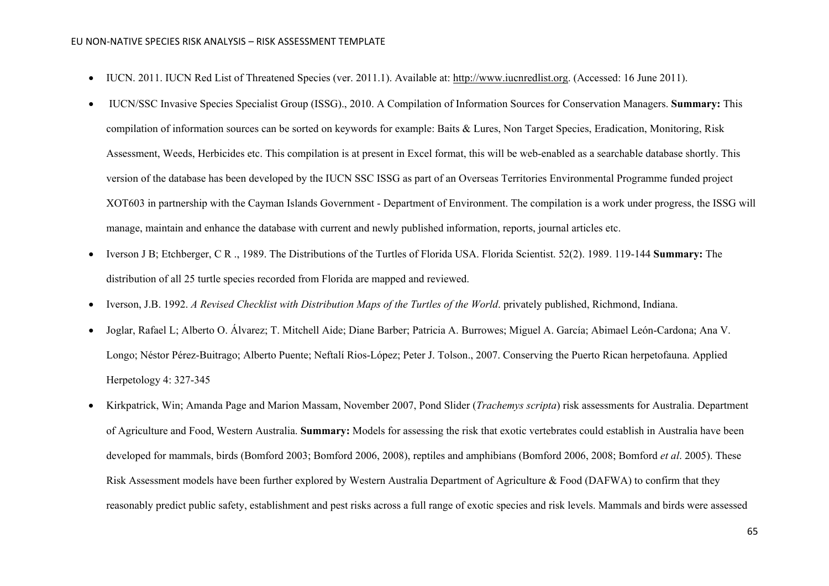- IUCN. 2011. IUCN Red List of Threatened Species (ver. 2011.1). Available at: [http://www.iucnredlist.org.](http://www.iucnredlist.org/) (Accessed: 16 June 2011).
- [IUCN/SSC Invasive Species Specialist Group \(ISSG\)., 2010. A Compilation of Information Sources for Conservation Managers.](http://www.issg.org/database/species/reference_files/OTEP/IUCN-SSC-ISSG-ManagementResources.xls) **Summary:** This compilation of information sources can be sorted on keywords for example: Baits & Lures, Non Target Species, Eradication, Monitoring, Risk Assessment, Weeds, Herbicides etc. This compilation is at present in Excel format, this will be web-enabled as a searchable database shortly. This version of the database has been developed by the IUCN SSC ISSG as part of an Overseas Territories Environmental Programme funded project XOT603 in partnership with the Cayman Islands Government - Department of Environment. The compilation is a work under progress, the ISSG will manage, maintain and enhance the database with current and newly published information, reports, journal articles etc.
- Iverson J B; Etchberger, C R ., 1989. The Distributions of the Turtles of Florida USA. Florida Scientist. 52(2). 1989. 119-144 **Summary:** The distribution of all 25 turtle species recorded from Florida are mapped and reviewed.
- Iverson, J.B. 1992. *A Revised Checklist with Distribution Maps of the Turtles of the World*. privately published, Richmond, Indiana.
- Joglar, Rafael L; Alberto O. Álvarez; T. Mitchell Aide; Diane Barber; Patricia A. Burrowes; Miguel A. García; Abimael León-Cardona; Ana V. Longo; Néstor Pérez-Buitrago; Alberto Puente; Neftalí Rios-López; Peter J. Tolson., 2007. Conserving the Puerto Rican herpetofauna. Applied Herpetology 4: 327-345
- [Kirkpatrick, Win; Amanda Page and Marion Massam, November 2007, Pond Slider \(](http://www.issg.org/database/species/reference_files/ausriskassessments/trascr.pdf)*Trachemys scripta*) risk assessments for Australia. Department [of Agriculture and Food, Western Australia.](http://www.issg.org/database/species/reference_files/ausriskassessments/trascr.pdf) **Summary:** Models for assessing the risk that exotic vertebrates could establish in Australia have been developed for mammals, birds (Bomford 2003; Bomford 2006, 2008), reptiles and amphibians (Bomford 2006, 2008; Bomford *et al*. 2005). These Risk Assessment models have been further explored by Western Australia Department of Agriculture & Food (DAFWA) to confirm that they reasonably predict public safety, establishment and pest risks across a full range of exotic species and risk levels. Mammals and birds were assessed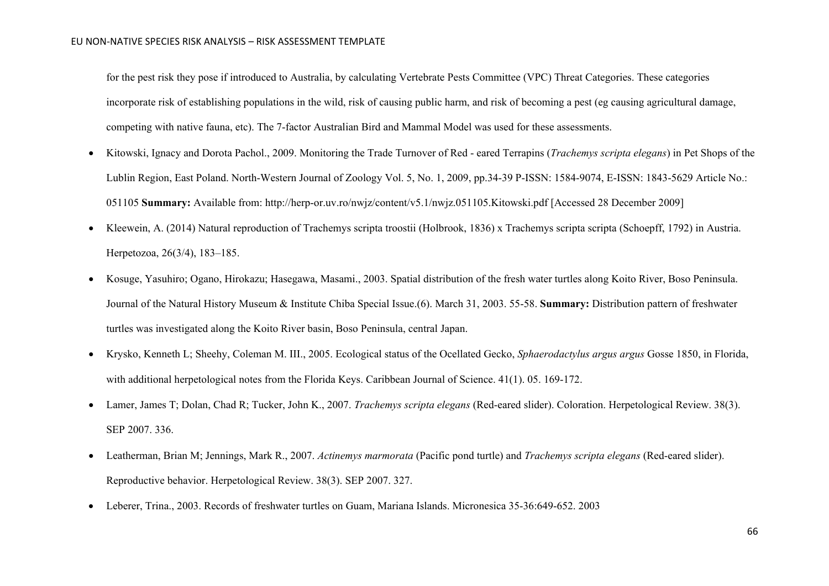for the pest risk they pose if introduced to Australia, by calculating Vertebrate Pests Committee (VPC) Threat Categories. These categories incorporate risk of establishing populations in the wild, risk of causing public harm, and risk of becoming a pest (eg causing agricultural damage, competing with native fauna, etc). The 7-factor Australian Bird and Mammal Model was used for these assessments.

- [Kitowski, Ignacy and Dorota Pachol., 2009. Monitoring the Trade Turnover of Red -](http://herp-or.uv.ro/nwjz/content/v5.1/nwjz.051105.Kitowski.pdf) eared Terrapins (*Trachemys scripta elegans*) in Pet Shops of the [Lublin Region, East Poland. North-Western Journal of Zoology Vol. 5, No. 1, 2009, pp.34-39 P-ISSN: 1584-9074, E-ISSN: 1843-5629 Article No.:](http://herp-or.uv.ro/nwjz/content/v5.1/nwjz.051105.Kitowski.pdf)  [051105](http://herp-or.uv.ro/nwjz/content/v5.1/nwjz.051105.Kitowski.pdf) **Summary:** Available from: http://herp-or.uv.ro/nwjz/content/v5.1/nwjz.051105.Kitowski.pdf [Accessed 28 December 2009]
- Kleewein, A. (2014) Natural reproduction of Trachemys scripta troostii (Holbrook, 1836) x Trachemys scripta scripta (Schoepff, 1792) in Austria. Herpetozoa, 26(3/4), 183–185.
- Kosuge, Yasuhiro; Ogano, Hirokazu; Hasegawa, Masami., 2003. Spatial distribution of the fresh water turtles along Koito River, Boso Peninsula. Journal of the Natural History Museum & Institute Chiba Special Issue.(6). March 31, 2003. 55-58. **Summary:** Distribution pattern of freshwater turtles was investigated along the Koito River basin, Boso Peninsula, central Japan.
- Krysko, Kenneth L; Sheehy, Coleman M. III., 2005. Ecological status of the Ocellated Gecko, *Sphaerodactylus argus argus* Gosse 1850, in Florida, with additional herpetological notes from the Florida Keys. Caribbean Journal of Science. 41(1). 05. 169-172.
- Lamer, James T; Dolan, Chad R; Tucker, John K., 2007. *Trachemys scripta elegans* (Red-eared slider). Coloration. Herpetological Review. 38(3). SEP 2007. 336.
- Leatherman, Brian M; Jennings, Mark R., 2007. *Actinemys marmorata* (Pacific pond turtle) and *Trachemys scripta elegans* (Red-eared slider). Reproductive behavior. Herpetological Review. 38(3). SEP 2007. 327.
- Leberer, Trina., 2003. Records of freshwater turtles on Guam, Mariana Islands. Micronesica 35-36:649-652. 2003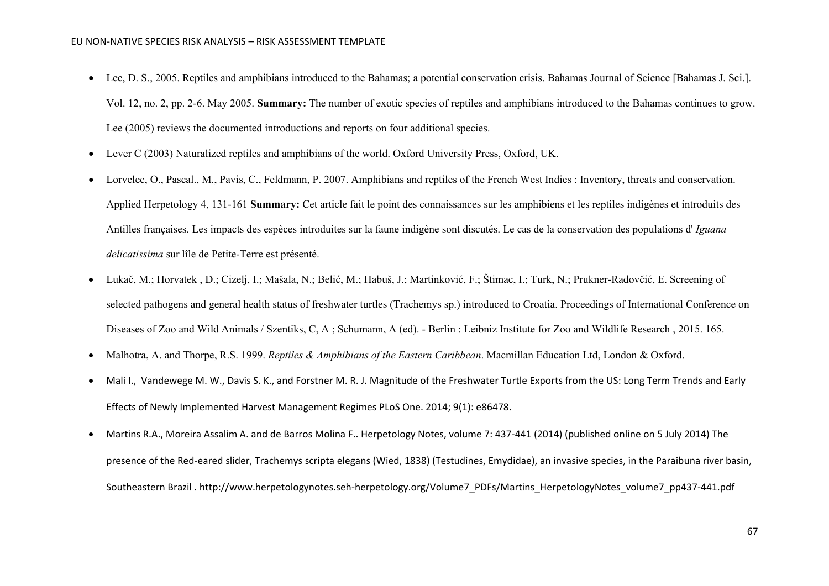- Lee, D. S., 2005. Reptiles and amphibians introduced to the Bahamas; a potential conservation crisis. Bahamas Journal of Science [Bahamas J. Sci.]. Vol. 12, no. 2, pp. 2-6. May 2005. **Summary:** The number of exotic species of reptiles and amphibians introduced to the Bahamas continues to grow. Lee (2005) reviews the documented introductions and reports on four additional species.
- Lever C (2003) Naturalized reptiles and amphibians of the world. Oxford University Press, Oxford, UK.
- Lorvelec, O., Pascal., M., Pavis, C., Feldmann, P. 2007. Amphibians and reptiles of the French West Indies : Inventory, threats and conservation. Applied Herpetology 4, 131-161 **Summary:** Cet article fait le point des connaissances sur les amphibiens et les reptiles indigènes et introduits des Antilles françaises. Les impacts des espèces introduites sur la faune indigène sont discutés. Le cas de la conservation des populations d' *Iguana delicatissima* sur lîle de Petite-Terre est présenté.
- Lukač, M.; Horvatek , D.; Cizelj, I.; Mašala, N.; Belić, M.; Habuš, J.; Martinković, F.; Štimac, I.; Turk, N.; Prukner-Radovčić, E. Screening of selected pathogens and general health status of freshwater turtles (Trachemys sp.) introduced to Croatia. Proceedings of International Conference on Diseases of Zoo and Wild Animals / Szentiks, C, A ; Schumann, A (ed). - Berlin : Leibniz Institute for Zoo and Wildlife Research , 2015. 165.
- Malhotra, A. and Thorpe, R.S. 1999. *Reptiles & Amphibians of the Eastern Caribbean*. Macmillan Education Ltd, London & Oxford.
- [Mali](http://www.ncbi.nlm.nih.gov/pubmed/?term=Mali%20I%5Bauth%5D) I., [Vandewege](http://www.ncbi.nlm.nih.gov/pubmed/?term=Vandewege%20MW%5Bauth%5D) M. W., [Davis](http://www.ncbi.nlm.nih.gov/pubmed/?term=Davis%20SK%5Bauth%5D) S. K., and [Forstner](http://www.ncbi.nlm.nih.gov/pubmed/?term=Forstner%20MR%5Bauth%5D) M. R. J. Magnitude of the Freshwater Turtle Exports from the US: Long Term Trends and Early Effects of Newly Implemented Harvest Management Regimes PLoS One. 2014; 9(1): e86478.
- Martins R.A., Moreira Assalim A. and de Barros Molina F.. Herpetology Notes, volume 7: 437-441 (2014) (published online on 5 July 2014) The presence of the Red-eared slider, Trachemys scripta elegans (Wied, 1838) (Testudines, Emydidae), an invasive species, in the Paraibuna river basin, Southeastern Brazil . http://www.herpetologynotes.seh-herpetology.org/Volume7\_PDFs/Martins\_HerpetologyNotes\_volume7\_pp437-441.pdf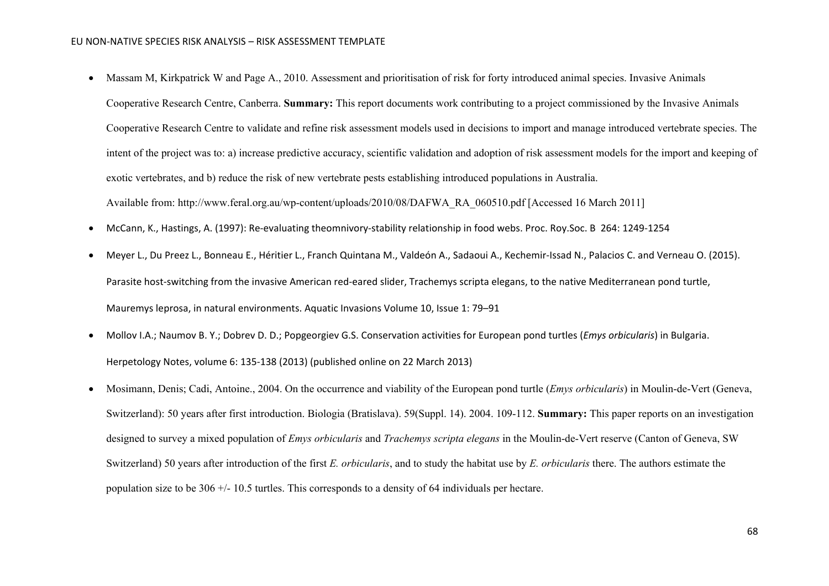- Massam M, Kirkpatrick W and Page A., 2010. Assessment and prioritisation of risk for forty introduced animal species. Invasive Animals [Cooperative Research Centre, Canberra.](http://www.feral.org.au/wp-content/uploads/2010/08/DAFWA_RA_060510.pdf) **Summary:** This report documents work contributing to a project commissioned by the Invasive Animals Cooperative Research Centre to validate and refine risk assessment models used in decisions to import and manage introduced vertebrate species. The intent of the project was to: a) increase predictive accuracy, scientific validation and adoption of risk assessment models for the import and keeping of exotic vertebrates, and b) reduce the risk of new vertebrate pests establishing introduced populations in Australia. Available from: http://www.feral.org.au/wp-content/uploads/2010/08/DAFWA\_RA\_060510.pdf [Accessed 16 March 2011]
- McCann, K., Hastings, A. (1997): Re-evaluating theomnivory-stability relationship in food webs. Proc. Roy.Soc. B 264: 1249-1254
- Meyer L., Du Preez L., Bonneau E., Héritier L., Franch Quintana M., Valdeón A., Sadaoui A., Kechemir-Issad N., Palacios C. and Verneau O. (2015). Parasite host-switching from the invasive American red-eared slider, Trachemys scripta elegans, to the native Mediterranean pond turtle, Mauremys leprosa, in natural environments. Aquatic Invasions Volume 10, Issue 1: 79–91
- Mollov I.A.; Naumov B. Y.; Dobrev D. D.; Popgeorgiev G.S. Conservation activities for European pond turtles (*Emys orbicularis*) in Bulgaria. Herpetology Notes, volume 6: 135-138 (2013) (published online on 22 March 2013)
- Mosimann, Denis; Cadi, Antoine., 2004. On the occurrence and viability of the European pond turtle (*Emys orbicularis*) in Moulin-de-Vert (Geneva, Switzerland): 50 years after first introduction. Biologia (Bratislava). 59(Suppl. 14). 2004. 109-112. **Summary:** This paper reports on an investigation designed to survey a mixed population of *Emys orbicularis* and *Trachemys scripta elegans* in the Moulin-de-Vert reserve (Canton of Geneva, SW Switzerland) 50 years after introduction of the first *E. orbicularis*, and to study the habitat use by *E. orbicularis* there. The authors estimate the population size to be  $306 + (-10.5)$  turtles. This corresponds to a density of 64 individuals per hectare.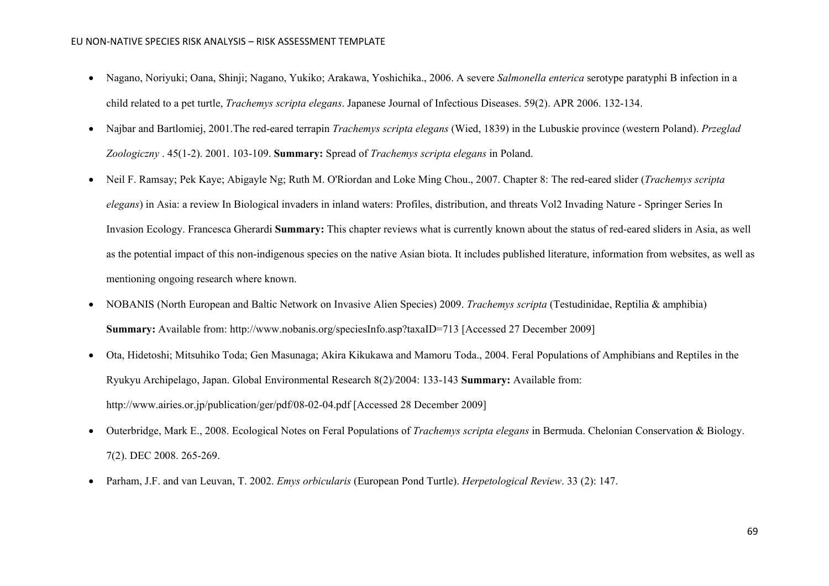- Nagano, Noriyuki; Oana, Shinji; Nagano, Yukiko; Arakawa, Yoshichika., 2006. A severe *Salmonella enterica* serotype paratyphi B infection in a child related to a pet turtle, *Trachemys scripta elegans*. Japanese Journal of Infectious Diseases. 59(2). APR 2006. 132-134.
- Najbar and Bartlomiej, 2001.The red-eared terrapin *Trachemys scripta elegans* (Wied, 1839) in the Lubuskie province (western Poland). *Przeglad Zoologiczny* . 45(1-2). 2001. 103-109. **Summary:** Spread of *Trachemys scripta elegans* in Poland.
- Neil F. Ramsay; Pek Kaye; Abigayle Ng; Ruth M. O'Riordan and Loke Ming Chou., 2007. Chapter 8: The red-eared slider (*Trachemys scripta elegans*) in Asia: a review In Biological invaders in inland waters: Profiles, distribution, and threats Vol2 Invading Nature - Springer Series In Invasion Ecology. Francesca Gherardi **Summary:** This chapter reviews what is currently known about the status of red-eared sliders in Asia, as well as the potential impact of this non-indigenous species on the native Asian biota. It includes published literature, information from websites, as well as mentioning ongoing research where known.
- [NOBANIS \(North European and Baltic Network on Invasive Alien Species\) 2009.](http://www.nobanis.org/speciesInfo.asp?taxaID=713) *Trachemys scripta* (Testudinidae, Reptilia & amphibia) **Summary:** Available from: http://www.nobanis.org/speciesInfo.asp?taxaID=713 [Accessed 27 December 2009]
- [Ota, Hidetoshi; Mitsuhiko Toda; Gen Masunaga; Akira Kikukawa and Mamoru Toda., 2004. Feral Populations of Amphibians and Reptiles in the](http://www.airies.or.jp/publication/ger/pdf/08-02-04.pdf)  [Ryukyu Archipelago, Japan. Global Environmental Research 8\(2\)/2004: 133-143](http://www.airies.or.jp/publication/ger/pdf/08-02-04.pdf) **Summary:** Available from: http://www.airies.or.jp/publication/ger/pdf/08-02-04.pdf [Accessed 28 December 2009]
- Outerbridge, Mark E., 2008. Ecological Notes on Feral Populations of *Trachemys scripta elegans* in Bermuda. Chelonian Conservation & Biology. 7(2). DEC 2008. 265-269.
- Parham, J.F. and van Leuvan, T. 2002. *Emys orbicularis* (European Pond Turtle). *Herpetological Review*. 33 (2): 147.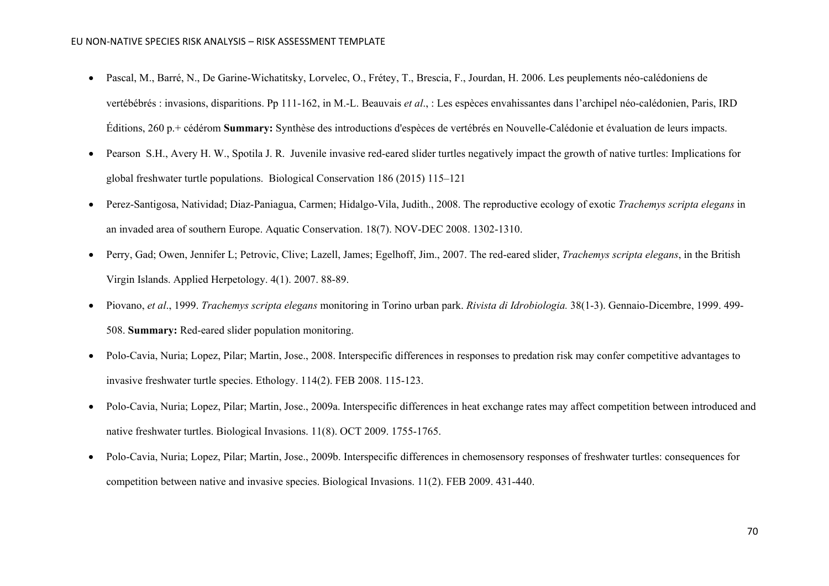- Pascal, M., Barré, N., De Garine-Wichatitsky, Lorvelec, O., Frétey, T., Brescia, F., Jourdan, H. 2006. Les peuplements néo-calédoniens de vertébébrés : invasions, disparitions. Pp 111-162, in M.-L. Beauvais *et al*., : Les espèces envahissantes dans l'archipel néo-calédonien, Paris, IRD Éditions, 260 p.+ cédérom **Summary:** Synthèse des introductions d'espèces de vertébrés en Nouvelle-Calédonie et évaluation de leurs impacts.
- Pearson S.H., Avery H. W., Spotila J. R. Juvenile invasive red-eared slider turtles negatively impact the growth of native turtles: Implications for global freshwater turtle populations. Biological Conservation 186 (2015) 115–121
- Perez-Santigosa, Natividad; Diaz-Paniagua, Carmen; Hidalgo-Vila, Judith., 2008. The reproductive ecology of exotic *Trachemys scripta elegans* in an invaded area of southern Europe. Aquatic Conservation. 18(7). NOV-DEC 2008. 1302-1310.
- Perry, Gad; Owen, Jennifer L; Petrovic, Clive; Lazell, James; Egelhoff, Jim., 2007. The red-eared slider, *Trachemys scripta elegans*, in the British Virgin Islands. Applied Herpetology. 4(1). 2007. 88-89.
- Piovano, *et al*., 1999. *Trachemys scripta elegans* monitoring in Torino urban park. *Rivista di Idrobiologia.* 38(1-3). Gennaio-Dicembre, 1999. 499- 508. **Summary:** Red-eared slider population monitoring.
- Polo-Cavia, Nuria; Lopez, Pilar; Martin, Jose., 2008. Interspecific differences in responses to predation risk may confer competitive advantages to invasive freshwater turtle species. Ethology. 114(2). FEB 2008. 115-123.
- Polo-Cavia, Nuria; Lopez, Pilar; Martin, Jose., 2009a. Interspecific differences in heat exchange rates may affect competition between introduced and native freshwater turtles. Biological Invasions. 11(8). OCT 2009. 1755-1765.
- Polo-Cavia, Nuria; Lopez, Pilar; Martin, Jose., 2009b. Interspecific differences in chemosensory responses of freshwater turtles: consequences for competition between native and invasive species. Biological Invasions. 11(2). FEB 2009. 431-440.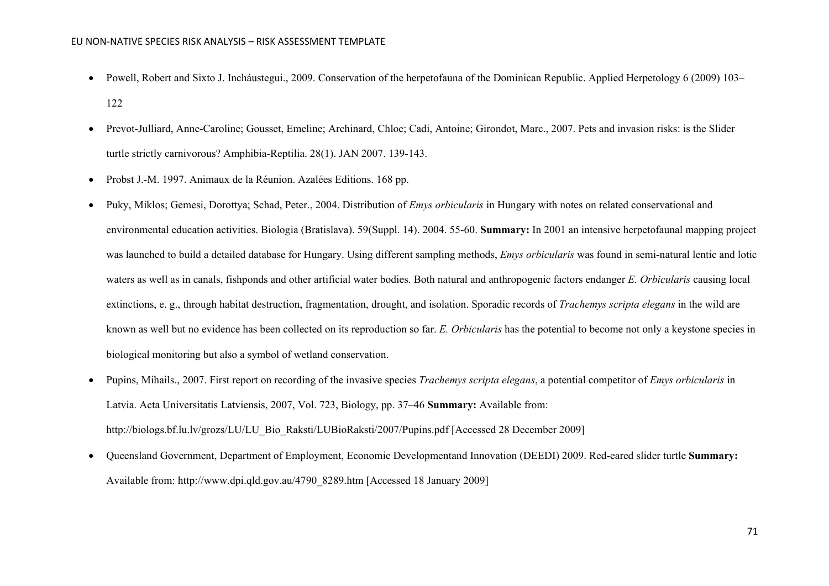- Powell, Robert and Sixto J. Incháustegui., 2009. Conservation of the herpetofauna of the Dominican Republic. Applied Herpetology 6 (2009) 103– 122
- Prevot-Julliard, Anne-Caroline; Gousset, Emeline; Archinard, Chloe; Cadi, Antoine; Girondot, Marc., 2007. Pets and invasion risks: is the Slider turtle strictly carnivorous? Amphibia-Reptilia. 28(1). JAN 2007. 139-143.
- Probst J.-M. 1997. Animaux de la Réunion. Azalées Editions. 168 pp.
- Puky, Miklos; Gemesi, Dorottya; Schad, Peter., 2004. Distribution of *Emys orbicularis* in Hungary with notes on related conservational and environmental education activities. Biologia (Bratislava). 59(Suppl. 14). 2004. 55-60. **Summary:** In 2001 an intensive herpetofaunal mapping project was launched to build a detailed database for Hungary. Using different sampling methods, *Emys orbicularis* was found in semi-natural lentic and lotic waters as well as in canals, fishponds and other artificial water bodies. Both natural and anthropogenic factors endanger *E. Orbicularis* causing local extinctions, e. g., through habitat destruction, fragmentation, drought, and isolation. Sporadic records of *Trachemys scripta elegans* in the wild are known as well but no evidence has been collected on its reproduction so far. *E. Orbicularis* has the potential to become not only a keystone species in biological monitoring but also a symbol of wetland conservation.
- [Pupins, Mihails., 2007. First report on recording of the invasive species](http://biologs.bf.lu.lv/grozs/LU/LU_Bio_Raksti/LUBioRaksti/2007/Pupins.pdf) *Trachemys scripta elegans*, a potential competitor of *Emys orbicularis* in [Latvia. Acta Universitatis Latviensis, 2007, Vol. 723, Biology, pp. 37–46](http://biologs.bf.lu.lv/grozs/LU/LU_Bio_Raksti/LUBioRaksti/2007/Pupins.pdf) **Summary:** Available from: http://biologs.bf.lu.lv/grozs/LU/LU\_Bio\_Raksti/LUBioRaksti/2007/Pupins.pdf [Accessed 28 December 2009]
- [Queensland Government, Department of Employment, Economic Developmentand Innovation \(DEEDI\) 2009. Red-eared slider turtle](http://www.dpi.qld.gov.au/4790_8289.htm) **Summary:** Available from: http://www.dpi.qld.gov.au/4790\_8289.htm [Accessed 18 January 2009]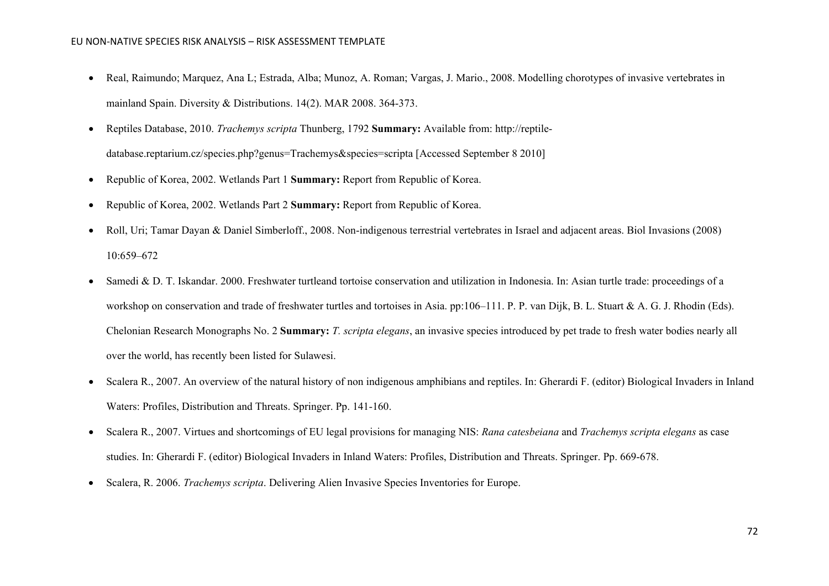- Real, Raimundo; Marquez, Ana L; Estrada, Alba; Munoz, A. Roman; Vargas, J. Mario., 2008. Modelling chorotypes of invasive vertebrates in mainland Spain. Diversity & Distributions. 14(2). MAR 2008. 364-373.
- [Reptiles Database, 2010.](http://reptile-database.reptarium.cz/species.php?genus=Trachemys&species=scripta) *Trachemys scripta* Thunberg, 1792 **Summary:** Available from: http://reptiledatabase.reptarium.cz/species.php?genus=Trachemys&species=scripta [Accessed September 8 2010]
- Republic of Korea, 2002. Wetlands Part 1 **Summary:** Report from Republic of Korea.
- Republic of Korea, 2002. Wetlands Part 2 **Summary:** Report from Republic of Korea.
- Roll, Uri; Tamar Dayan & Daniel Simberloff., 2008. Non-indigenous terrestrial vertebrates in Israel and adjacent areas. Biol Invasions (2008) 10:659–672
- Samedi & D. T. Iskandar. 2000. Freshwater turtleand tortoise conservation and utilization in Indonesia. In: Asian turtle trade: proceedings of a workshop on conservation and trade of freshwater turtles and tortoises in Asia. pp:106–111. P. P. van Dijk, B. L. Stuart & A. G. J. Rhodin (Eds). Chelonian Research Monographs No. 2 **Summary:** *T. scripta elegans*, an invasive species introduced by pet trade to fresh water bodies nearly all over the world, has recently been listed for Sulawesi.
- Scalera R., 2007. An overview of the natural history of non indigenous amphibians and reptiles. In: Gherardi F. (editor) Biological Invaders in Inland Waters: Profiles, Distribution and Threats. Springer. Pp. 141-160.
- Scalera R., 2007. Virtues and shortcomings of EU legal provisions for managing NIS: *Rana catesbeiana* and *Trachemys scripta elegans* as case studies. In: Gherardi F. (editor) Biological Invaders in Inland Waters: Profiles, Distribution and Threats. Springer. Pp. 669-678.
- Scalera, R. 2006. *Trachemys scripta*. Delivering Alien Invasive Species Inventories for Europe.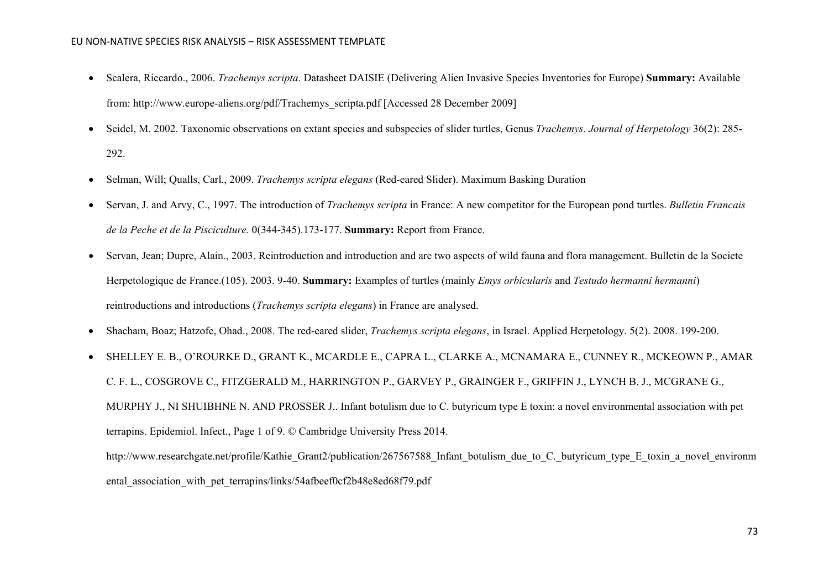- Scalera, Riccardo., 2006. *Trachemys scripta*. Datasheet DAISIE (Delivering [Alien Invasive Species Inventories for Europe\)](http://www.europe-aliens.org/pdf/Trachemys_scripta.pdf) **Summary:** Available from: http://www.europe-aliens.org/pdf/Trachemys\_scripta.pdf [Accessed 28 December 2009]
- Seidel, M. 2002. Taxonomic observations on extant species and subspecies of slider turtles, Genus *Trachemys*. *Journal of Herpetology* 36(2): 285- 292.
- Selman, Will; Qualls, Carl., 2009. *Trachemys scripta elegans* (Red-eared Slider). Maximum Basking Duration
- Servan, J. and Arvy, C., 1997. The introduction of *Trachemys scripta* in France: A new competitor for the European pond turtles. *Bulletin Francais de la Peche et de la Pisciculture.* 0(344-345).173-177. **Summary:** Report from France.
- Servan, Jean; Dupre, Alain., 2003. Reintroduction and introduction and are two aspects of wild fauna and flora management. Bulletin de la Societe Herpetologique de France.(105). 2003. 9-40. **Summary:** Examples of turtles (mainly *Emys orbicularis* and *Testudo hermanni hermanni*) reintroductions and introductions (*Trachemys scripta elegans*) in France are analysed.
- Shacham, Boaz; Hatzofe, Ohad., 2008. The red-eared slider, *Trachemys scripta elegans*, in Israel. Applied Herpetology. 5(2). 2008. 199-200.
- SHELLEY E. B., O'ROURKE D., GRANT K., MCARDLE E., CAPRA L., CLARKE A., MCNAMARA E., CUNNEY R., MCKEOWN P., AMAR C. F. L., COSGROVE C., FITZGERALD M., HARRINGTON P., GARVEY P., GRAINGER F., GRIFFIN J., LYNCH B. J., MCGRANE G., MURPHY J., NI SHUIBHNE N. AND PROSSER J.. Infant botulism due to C. butyricum type E toxin: a novel environmental association with pet terrapins. Epidemiol. Infect., Page 1 of 9. © Cambridge University Press 2014.

http://www.researchgate.net/profile/Kathie Grant2/publication/267567588 Infant botulism due to C. butyricum type E toxin a novel environm ental association with pet terrapins/links/54afbeef0cf2b48e8ed68f79.pdf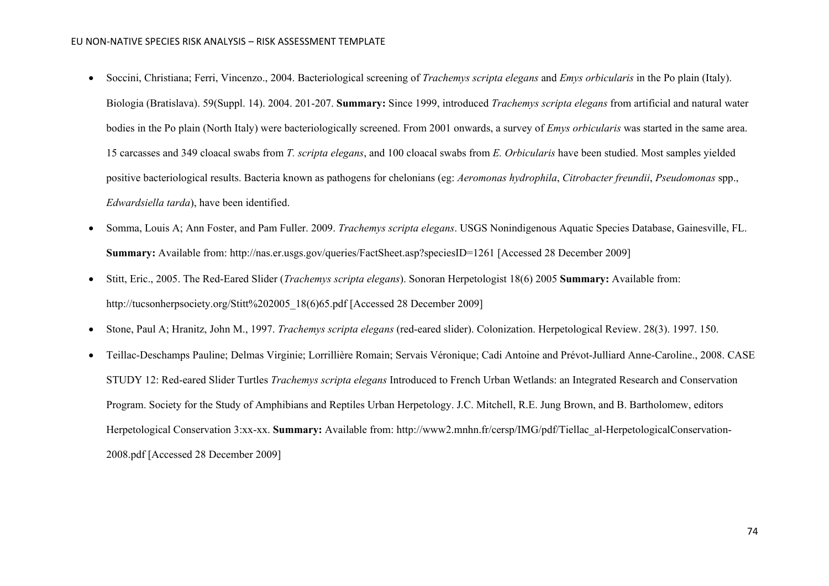- Soccini, Christiana; Ferri, Vincenzo., 2004. Bacteriological screening of *Trachemys scripta elegans* and *Emys orbicularis* in the Po plain (Italy). Biologia (Bratislava). 59(Suppl. 14). 2004. 201-207. **Summary:** Since 1999, introduced *Trachemys scripta elegans* from artificial and natural water bodies in the Po plain (North Italy) were bacteriologically screened. From 2001 onwards, a survey of *Emys orbicularis* was started in the same area. 15 carcasses and 349 cloacal swabs from *T. scripta elegans*, and 100 cloacal swabs from *E. Orbicularis* have been studied. Most samples yielded positive bacteriological results. Bacteria known as pathogens for chelonians (eg: *Aeromonas hydrophila*, *Citrobacter freundii*, *Pseudomonas* spp., *Edwardsiella tarda*), have been identified.
- Somma, Louis A; Ann Foster, and Pam Fuller. 2009. *Trachemys scripta elegans*[. USGS Nonindigenous Aquatic Species Database, Gainesville, FL.](http://nas.er.usgs.gov/queries/FactSheet.asp?speciesID=1261) **Summary:** Available from: http://nas.er.usgs.gov/queries/FactSheet.asp?speciesID=1261 [Accessed 28 December 2009]
- [Stitt, Eric., 2005. The Red-Eared Slider \(](http://tucsonherpsociety.org/Stitt%202005_18(6)65.pdf)*Trachemys scripta elegans*). Sonoran Herpetologist 18(6) 2005 **Summary:** Available from: http://tucsonherpsociety.org/Stitt%202005\_18(6)65.pdf [Accessed 28 December 2009]
- Stone, Paul A; Hranitz, John M., 1997. *Trachemys scripta elegans* (red-eared slider). Colonization. Herpetological Review. 28(3). 1997. 150.
- [Teillac-Deschamps Pauline; Delmas Virginie; Lorrillière Romain; Servais Véronique; Cadi Antoine and Prévot-Julliard Anne-Caroline., 2008. CASE](http://www2.mnhn.fr/cersp/IMG/pdf/Tiellac_al-HerpetologicalConservation-2008.pdf)  STUDY 12: Red-eared Slider Turtles *Trachemys scripta elegans* [Introduced to French Urban Wetlands: an Integrated Research and Conservation](http://www2.mnhn.fr/cersp/IMG/pdf/Tiellac_al-HerpetologicalConservation-2008.pdf)  [Program. Society for the Study of Amphibians and Reptiles Urban Herpetology. J.C. Mitchell, R.E. Jung Brown, and B. Bartholomew, editors](http://www2.mnhn.fr/cersp/IMG/pdf/Tiellac_al-HerpetologicalConservation-2008.pdf)  [Herpetological Conservation 3:xx-xx.](http://www2.mnhn.fr/cersp/IMG/pdf/Tiellac_al-HerpetologicalConservation-2008.pdf) **Summary:** Available from: http://www2.mnhn.fr/cersp/IMG/pdf/Tiellac\_al-HerpetologicalConservation-2008.pdf [Accessed 28 December 2009]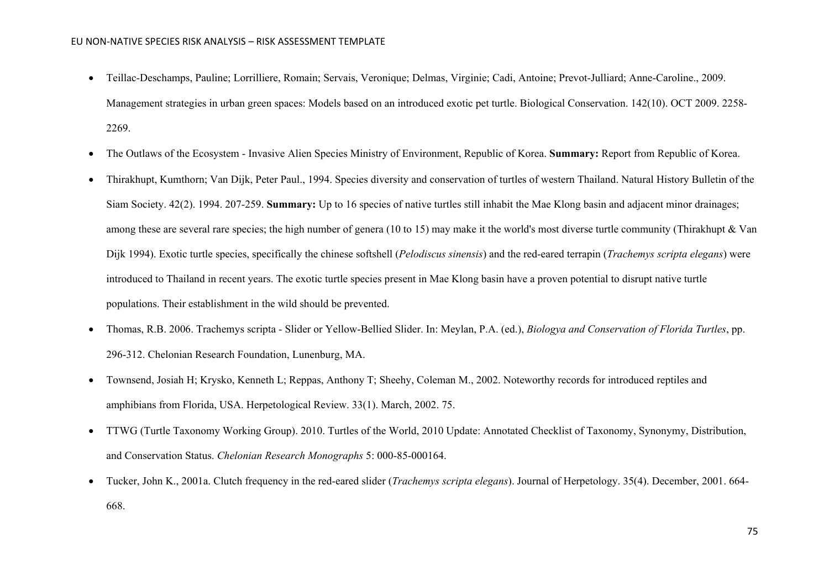- Teillac-Deschamps, Pauline; Lorrilliere, Romain; Servais, Veronique; Delmas, Virginie; Cadi, Antoine; Prevot-Julliard; Anne-Caroline., 2009. Management strategies in urban green spaces: Models based on an introduced exotic pet turtle. Biological Conservation. 142(10). OCT 2009. 2258- 2269.
- The Outlaws of the Ecosystem Invasive Alien Species Ministry of Environment, Republic of Korea. **Summary:** Report from Republic of Korea.
- Thirakhupt, Kumthorn; Van Dijk, Peter Paul., 1994. Species diversity and conservation of turtles of western Thailand. Natural History Bulletin of the Siam Society. 42(2). 1994. 207-259. **Summary:** Up to 16 species of native turtles still inhabit the Mae Klong basin and adjacent minor drainages; among these are several rare species; the high number of genera (10 to 15) may make it the world's most diverse turtle community (Thirakhupt & Van Dijk 1994). Exotic turtle species, specifically the chinese softshell (*Pelodiscus sinensis*) and the red-eared terrapin (*Trachemys scripta elegans*) were introduced to Thailand in recent years. The exotic turtle species present in Mae Klong basin have a proven potential to disrupt native turtle populations. Their establishment in the wild should be prevented.
- Thomas, R.B. 2006. Trachemys scripta Slider or Yellow-Bellied Slider. In: Meylan, P.A. (ed.), *Biologya and Conservation of Florida Turtles*, pp. 296-312. Chelonian Research Foundation, Lunenburg, MA.
- Townsend, Josiah H; Krysko, Kenneth L; Reppas, Anthony T; Sheehy, Coleman M., 2002. Noteworthy records for introduced reptiles and amphibians from Florida, USA. Herpetological Review. 33(1). March, 2002. 75.
- TTWG (Turtle Taxonomy Working Group). 2010. Turtles of the World, 2010 Update: Annotated Checklist of Taxonomy, Synonymy, Distribution, and Conservation Status. *Chelonian Research Monographs* 5: 000-85-000164.
- Tucker, John K., 2001a. Clutch frequency in the red-eared slider (*Trachemys scripta elegans*). Journal of Herpetology. 35(4). December, 2001. 664- 668.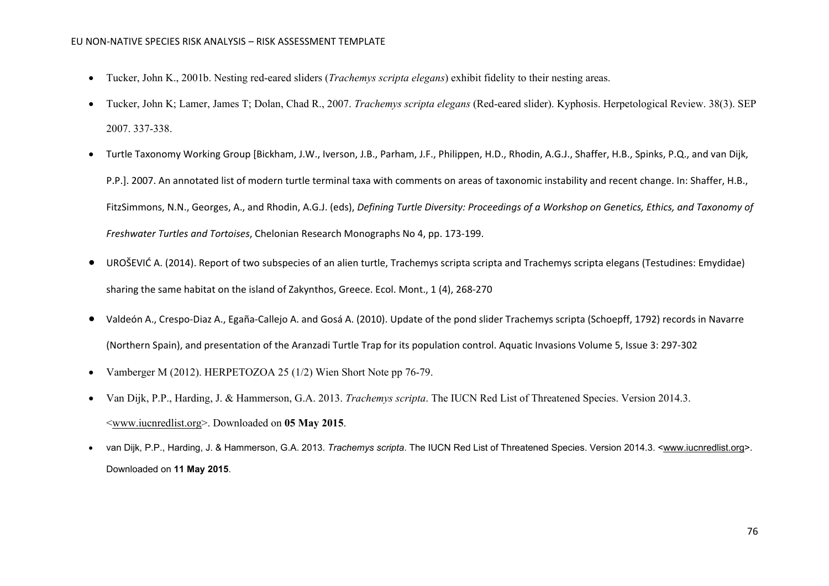- Tucker, John K., 2001b. Nesting red-eared sliders (*Trachemys scripta elegans*) exhibit fidelity to their nesting areas.
- Tucker, John K; Lamer, James T; Dolan, Chad R., 2007. *Trachemys scripta elegans* (Red-eared slider). Kyphosis. Herpetological Review. 38(3). SEP 2007. 337-338.
- Turtle Taxonomy Working Group [Bickham, J.W., Iverson, J.B., Parham, J.F., Philippen, H.D., Rhodin, A.G.J., Shaffer, H.B., Spinks, P.Q., and van Dijk, P.P.]. 2007. An annotated list of modern turtle terminal taxa with comments on areas of taxonomic instability and recent change. In: Shaffer, H.B., FitzSimmons, N.N., Georges, A., and Rhodin, A.G.J. (eds), *Defining Turtle Diversity: Proceedings of a Workshop on Genetics, Ethics, and Taxonomy of Freshwater Turtles and Tortoises*, Chelonian Research Monographs No 4, pp. 173-199.
- UROŠEVIĆ A. (2014). Report of two subspecies of an alien turtle, Trachemys scripta scripta and Trachemys scripta elegans (Testudines: Emydidae) sharing the same habitat on the island of Zakynthos, Greece. Ecol. Mont., 1 (4), 268-270
- Valdeón A., Crespo-Diaz A., Egaña-Callejo A. and Gosá A. (2010). Update of the pond slider Trachemys scripta (Schoepff, 1792) records in Navarre (Northern Spain), and presentation of the Aranzadi Turtle Trap for its population control. Aquatic Invasions Volume 5, Issue 3: 297-302
- Vamberger M (2012). HERPETOZOA 25 (1/2) Wien Short Note pp 76-79.
- Van Dijk, P.P., Harding, J. & Hammerson, G.A. 2013. *Trachemys scripta*. The IUCN Red List of Threatened Species. Version 2014.3. [<www.iucnredlist.org>](http://www.iucnredlist.org/). Downloaded on **05 May 2015**.
- van Dijk, P.P., Harding, J. & Hammerson, G.A. 2013. *Trachemys scripta*. The IUCN Red List of Threatened Species. Version 2014.3. [<www.iucnredlist.org>](http://www.iucnredlist.org/). Downloaded on **11 May 2015**.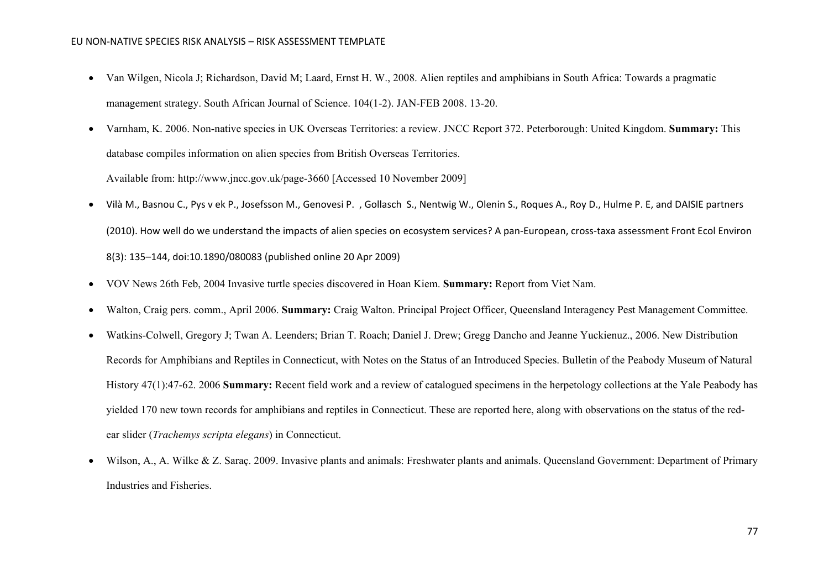- Van Wilgen, Nicola J; Richardson, David M; Laard, Ernst H. W., 2008. Alien reptiles and amphibians in South Africa: Towards a pragmatic management strategy. South African Journal of Science. 104(1-2). JAN-FEB 2008. 13-20.
- [Varnham, K. 2006. Non-native species in UK Overseas Territories: a review. JNCC Report 372. Peterborough: United Kingdom.](http://www.jncc.gov.uk/page-3660) **Summary:** This database compiles information on alien species from British Overseas Territories. Available from: http://www.jncc.gov.uk/page-3660 [Accessed 10 November 2009]
- Vilà M., Basnou C., Pys v ek P., Josefsson M., Genovesi P. , Gollasch S., Nentwig W., Olenin S., Roques A., Roy D., Hulme P. E, and DAISIE partners (2010). How well do we understand the impacts of alien species on ecosystem services? A pan-European, cross-taxa assessment Front Ecol Environ 8(3): 135–144, doi:10.1890/080083 (published online 20 Apr 2009)
- VOV News 26th Feb, 2004 Invasive turtle species discovered in Hoan Kiem. **Summary:** Report from Viet Nam.
- Walton, Craig pers. comm., April 2006. **Summary:** Craig Walton. Principal Project Officer, Queensland Interagency Pest Management Committee.
- Watkins-Colwell, Gregory J; Twan A. Leenders; Brian T. Roach; Daniel J. Drew; Gregg Dancho and Jeanne Yuckienuz., 2006. New Distribution Records for Amphibians and Reptiles in Connecticut, with Notes on the Status of an Introduced Species. Bulletin of the Peabody Museum of Natural History 47(1):47-62. 2006 **Summary:** Recent field work and a review of catalogued specimens in the herpetology collections at the Yale Peabody has yielded 170 new town records for amphibians and reptiles in Connecticut. These are reported here, along with observations on the status of the redear slider (*Trachemys scripta elegans*) in Connecticut.
- Wilson, A., A. Wilke & Z. Saraç. 2009. Invasive plants and animals: Freshwater plants and animals. Queensland Government: Department of Primary Industries and Fisheries.